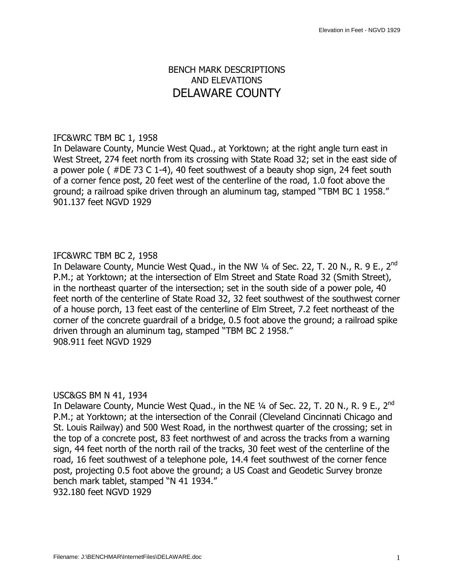# BENCH MARK DESCRIPTIONS AND ELEVATIONS DELAWARE COUNTY

#### IFC&WRC TBM BC 1, 1958

In Delaware County, Muncie West Quad., at Yorktown; at the right angle turn east in West Street, 274 feet north from its crossing with State Road 32; set in the east side of a power pole ( #DE 73 C 1-4), 40 feet southwest of a beauty shop sign, 24 feet south of a corner fence post, 20 feet west of the centerline of the road, 1.0 foot above the ground; a railroad spike driven through an aluminum tag, stamped "TBM BC 1 1958." 901.137 feet NGVD 1929

## IFC&WRC TBM BC 2, 1958

In Delaware County, Muncie West Quad., in the NW  $\frac{1}{4}$  of Sec. 22, T. 20 N., R. 9 E., 2<sup>nd</sup> P.M.; at Yorktown; at the intersection of Elm Street and State Road 32 (Smith Street), in the northeast quarter of the intersection; set in the south side of a power pole, 40 feet north of the centerline of State Road 32, 32 feet southwest of the southwest corner of a house porch, 13 feet east of the centerline of Elm Street, 7.2 feet northeast of the corner of the concrete guardrail of a bridge, 0.5 foot above the ground; a railroad spike driven through an aluminum tag, stamped "TBM BC 2 1958." 908.911 feet NGVD 1929

#### USC&GS BM N 41, 1934

In Delaware County, Muncie West Quad., in the NE  $\frac{1}{4}$  of Sec. 22, T. 20 N., R. 9 E., 2<sup>nd</sup> P.M.; at Yorktown; at the intersection of the Conrail (Cleveland Cincinnati Chicago and St. Louis Railway) and 500 West Road, in the northwest quarter of the crossing; set in the top of a concrete post, 83 feet northwest of and across the tracks from a warning sign, 44 feet north of the north rail of the tracks, 30 feet west of the centerline of the road, 16 feet southwest of a telephone pole, 14.4 feet southwest of the corner fence post, projecting 0.5 foot above the ground; a US Coast and Geodetic Survey bronze bench mark tablet, stamped "N 41 1934."

932.180 feet NGVD 1929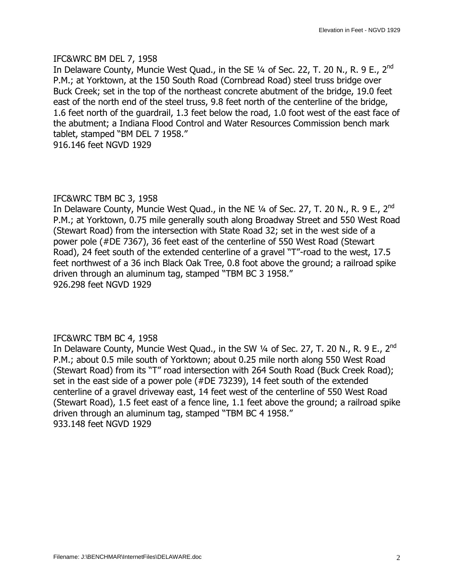#### IFC&WRC BM DEL 7, 1958

In Delaware County, Muncie West Quad., in the SE  $\frac{1}{4}$  of Sec. 22, T. 20 N., R. 9 E., 2<sup>nd</sup> P.M.; at Yorktown, at the 150 South Road (Cornbread Road) steel truss bridge over Buck Creek; set in the top of the northeast concrete abutment of the bridge, 19.0 feet east of the north end of the steel truss, 9.8 feet north of the centerline of the bridge, 1.6 feet north of the guardrail, 1.3 feet below the road, 1.0 foot west of the east face of the abutment; a Indiana Flood Control and Water Resources Commission bench mark tablet, stamped "BM DEL 7 1958."

916.146 feet NGVD 1929

## IFC&WRC TBM BC 3, 1958

In Delaware County, Muncie West Quad., in the NE  $\frac{1}{4}$  of Sec. 27, T. 20 N., R. 9 E., 2<sup>nd</sup> P.M.; at Yorktown, 0.75 mile generally south along Broadway Street and 550 West Road (Stewart Road) from the intersection with State Road 32; set in the west side of a power pole (#DE 7367), 36 feet east of the centerline of 550 West Road (Stewart Road), 24 feet south of the extended centerline of a gravel "T"-road to the west, 17.5 feet northwest of a 36 inch Black Oak Tree, 0.8 foot above the ground; a railroad spike driven through an aluminum tag, stamped "TBM BC 3 1958." 926.298 feet NGVD 1929

#### IFC&WRC TBM BC 4, 1958

In Delaware County, Muncie West Quad., in the SW  $\frac{1}{4}$  of Sec. 27, T. 20 N., R. 9 E., 2<sup>nd</sup> P.M.; about 0.5 mile south of Yorktown; about 0.25 mile north along 550 West Road (Stewart Road) from its "T" road intersection with 264 South Road (Buck Creek Road); set in the east side of a power pole (#DE 73239), 14 feet south of the extended centerline of a gravel driveway east, 14 feet west of the centerline of 550 West Road (Stewart Road), 1.5 feet east of a fence line, 1.1 feet above the ground; a railroad spike driven through an aluminum tag, stamped "TBM BC 4 1958." 933.148 feet NGVD 1929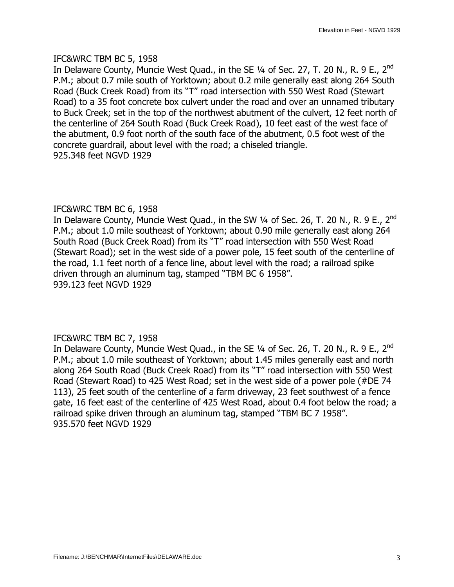#### IFC&WRC TBM BC 5, 1958

In Delaware County, Muncie West Quad., in the SE  $\frac{1}{4}$  of Sec. 27, T. 20 N., R. 9 E., 2<sup>nd</sup> P.M.; about 0.7 mile south of Yorktown; about 0.2 mile generally east along 264 South Road (Buck Creek Road) from its "T" road intersection with 550 West Road (Stewart Road) to a 35 foot concrete box culvert under the road and over an unnamed tributary to Buck Creek; set in the top of the northwest abutment of the culvert, 12 feet north of the centerline of 264 South Road (Buck Creek Road), 10 feet east of the west face of the abutment, 0.9 foot north of the south face of the abutment, 0.5 foot west of the concrete guardrail, about level with the road; a chiseled triangle. 925.348 feet NGVD 1929

## IFC&WRC TBM BC 6, 1958

In Delaware County, Muncie West Quad., in the SW  $\frac{1}{4}$  of Sec. 26, T. 20 N., R. 9 E., 2<sup>nd</sup> P.M.; about 1.0 mile southeast of Yorktown; about 0.90 mile generally east along 264 South Road (Buck Creek Road) from its "T" road intersection with 550 West Road (Stewart Road); set in the west side of a power pole, 15 feet south of the centerline of the road, 1.1 feet north of a fence line, about level with the road; a railroad spike driven through an aluminum tag, stamped "TBM BC 6 1958". 939.123 feet NGVD 1929

#### IFC&WRC TBM BC 7, 1958

In Delaware County, Muncie West Quad., in the SE  $\frac{1}{4}$  of Sec. 26, T. 20 N., R. 9 E., 2<sup>nd</sup> P.M.; about 1.0 mile southeast of Yorktown; about 1.45 miles generally east and north along 264 South Road (Buck Creek Road) from its "T" road intersection with 550 West Road (Stewart Road) to 425 West Road; set in the west side of a power pole (#DE 74 113), 25 feet south of the centerline of a farm driveway, 23 feet southwest of a fence gate, 16 feet east of the centerline of 425 West Road, about 0.4 foot below the road; a railroad spike driven through an aluminum tag, stamped "TBM BC 7 1958". 935.570 feet NGVD 1929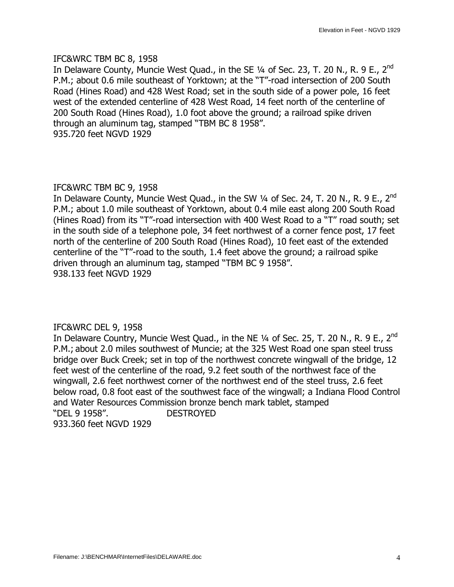#### IFC&WRC TBM BC 8, 1958

In Delaware County, Muncie West Quad., in the SE 1/4 of Sec. 23, T. 20 N., R. 9 E., 2<sup>nd</sup> P.M.; about 0.6 mile southeast of Yorktown; at the "T"-road intersection of 200 South Road (Hines Road) and 428 West Road; set in the south side of a power pole, 16 feet west of the extended centerline of 428 West Road, 14 feet north of the centerline of 200 South Road (Hines Road), 1.0 foot above the ground; a railroad spike driven through an aluminum tag, stamped "TBM BC 8 1958". 935.720 feet NGVD 1929

## IFC&WRC TBM BC 9, 1958

In Delaware County, Muncie West Quad., in the SW  $\frac{1}{4}$  of Sec. 24, T. 20 N., R. 9 E., 2<sup>nd</sup> P.M.; about 1.0 mile southeast of Yorktown, about 0.4 mile east along 200 South Road (Hines Road) from its "T"-road intersection with 400 West Road to a "T" road south; set in the south side of a telephone pole, 34 feet northwest of a corner fence post, 17 feet north of the centerline of 200 South Road (Hines Road), 10 feet east of the extended centerline of the "T"-road to the south, 1.4 feet above the ground; a railroad spike driven through an aluminum tag, stamped "TBM BC 9 1958". 938.133 feet NGVD 1929

#### IFC&WRC DEL 9, 1958

In Delaware Country, Muncie West Quad., in the NE  $\frac{1}{4}$  of Sec. 25, T. 20 N., R. 9 E., 2<sup>nd</sup> P.M.; about 2.0 miles southwest of Muncie; at the 325 West Road one span steel truss bridge over Buck Creek; set in top of the northwest concrete wingwall of the bridge, 12 feet west of the centerline of the road, 9.2 feet south of the northwest face of the wingwall, 2.6 feet northwest corner of the northwest end of the steel truss, 2.6 feet below road, 0.8 foot east of the southwest face of the wingwall; a Indiana Flood Control and Water Resources Commission bronze bench mark tablet, stamped —DEL 9 1958". DESTROYED 933.360 feet NGVD 1929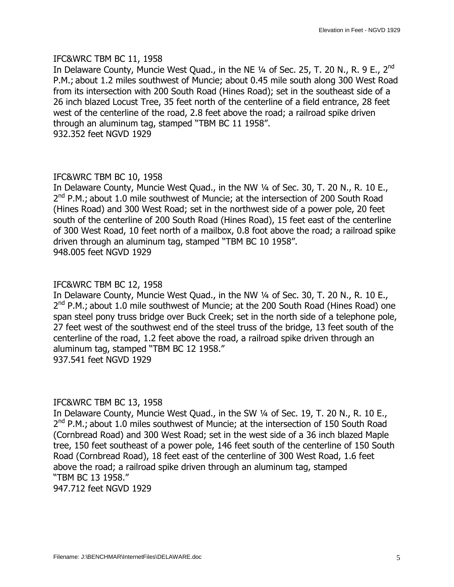#### IFC&WRC TBM BC 11, 1958

In Delaware County, Muncie West Quad., in the NE  $\frac{1}{4}$  of Sec. 25, T. 20 N., R. 9 E., 2<sup>nd</sup> P.M.; about 1.2 miles southwest of Muncie; about 0.45 mile south along 300 West Road from its intersection with 200 South Road (Hines Road); set in the southeast side of a 26 inch blazed Locust Tree, 35 feet north of the centerline of a field entrance, 28 feet west of the centerline of the road, 2.8 feet above the road; a railroad spike driven through an aluminum tag, stamped "TBM BC 11 1958". 932.352 feet NGVD 1929

## IFC&WRC TBM BC 10, 1958

In Delaware County, Muncie West Quad., in the NW 1/4 of Sec. 30, T. 20 N., R. 10 E.,  $2^{nd}$  P.M.; about 1.0 mile southwest of Muncie; at the intersection of 200 South Road (Hines Road) and 300 West Road; set in the northwest side of a power pole, 20 feet south of the centerline of 200 South Road (Hines Road), 15 feet east of the centerline of 300 West Road, 10 feet north of a mailbox, 0.8 foot above the road; a railroad spike driven through an aluminum tag, stamped "TBM BC 10 1958". 948.005 feet NGVD 1929

## IFC&WRC TBM BC 12, 1958

In Delaware County, Muncie West Quad., in the NW 1/4 of Sec. 30, T. 20 N., R. 10 E.,  $2^{nd}$  P.M.; about 1.0 mile southwest of Muncie; at the 200 South Road (Hines Road) one span steel pony truss bridge over Buck Creek; set in the north side of a telephone pole, 27 feet west of the southwest end of the steel truss of the bridge, 13 feet south of the centerline of the road, 1.2 feet above the road, a railroad spike driven through an aluminum tag, stamped "TBM BC 12 1958." 937.541 feet NGVD 1929

#### IFC&WRC TBM BC 13, 1958

In Delaware County, Muncie West Quad., in the SW 1/4 of Sec. 19, T. 20 N., R. 10 E.,  $2^{nd}$  P.M.; about 1.0 miles southwest of Muncie; at the intersection of 150 South Road (Cornbread Road) and 300 West Road; set in the west side of a 36 inch blazed Maple tree, 150 feet southeast of a power pole, 146 feet south of the centerline of 150 South Road (Cornbread Road), 18 feet east of the centerline of 300 West Road, 1.6 feet above the road; a railroad spike driven through an aluminum tag, stamped "TBM BC 13 1958."

947.712 feet NGVD 1929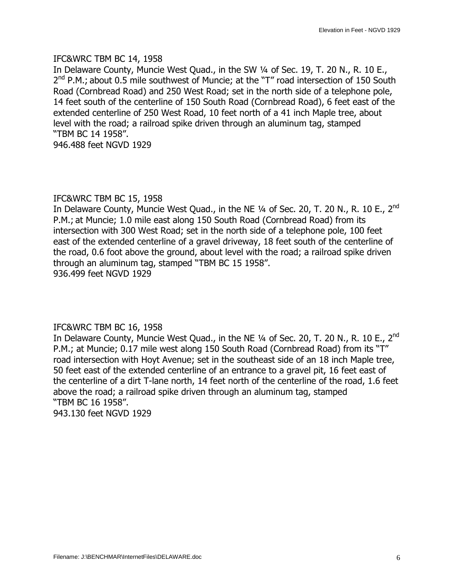#### IFC&WRC TBM BC 14, 1958

In Delaware County, Muncie West Quad., in the SW 1/4 of Sec. 19, T. 20 N., R. 10 E.,  $2^{nd}$  P.M.; about 0.5 mile southwest of Muncie; at the "T" road intersection of 150 South Road (Cornbread Road) and 250 West Road; set in the north side of a telephone pole, 14 feet south of the centerline of 150 South Road (Cornbread Road), 6 feet east of the extended centerline of 250 West Road, 10 feet north of a 41 inch Maple tree, about level with the road; a railroad spike driven through an aluminum tag, stamped "TBM BC 14 1958".

946.488 feet NGVD 1929

#### IFC&WRC TBM BC 15, 1958

In Delaware County, Muncie West Quad., in the NE  $\frac{1}{4}$  of Sec. 20, T. 20 N., R. 10 E., 2<sup>nd</sup> P.M.; at Muncie; 1.0 mile east along 150 South Road (Cornbread Road) from its intersection with 300 West Road; set in the north side of a telephone pole, 100 feet east of the extended centerline of a gravel driveway, 18 feet south of the centerline of the road, 0.6 foot above the ground, about level with the road; a railroad spike driven through an aluminum tag, stamped "TBM BC 15 1958". 936.499 feet NGVD 1929

#### IFC&WRC TBM BC 16, 1958

In Delaware County, Muncie West Quad., in the NE  $\frac{1}{4}$  of Sec. 20, T. 20 N., R. 10 E., 2<sup>nd</sup> P.M.; at Muncie; 0.17 mile west along 150 South Road (Cornbread Road) from its "T" road intersection with Hoyt Avenue; set in the southeast side of an 18 inch Maple tree, 50 feet east of the extended centerline of an entrance to a gravel pit, 16 feet east of the centerline of a dirt T-lane north, 14 feet north of the centerline of the road, 1.6 feet above the road; a railroad spike driven through an aluminum tag, stamped "TBM BC 16 1958".

943.130 feet NGVD 1929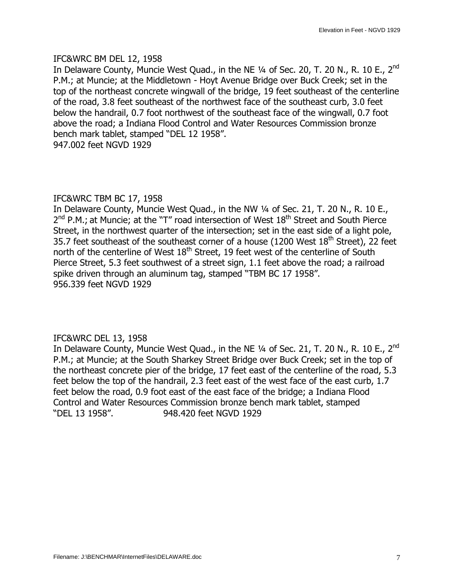#### IFC&WRC BM DEL 12, 1958

In Delaware County, Muncie West Quad., in the NE  $\frac{1}{4}$  of Sec. 20, T. 20 N., R. 10 E., 2<sup>nd</sup> P.M.; at Muncie; at the Middletown - Hoyt Avenue Bridge over Buck Creek; set in the top of the northeast concrete wingwall of the bridge, 19 feet southeast of the centerline of the road, 3.8 feet southeast of the northwest face of the southeast curb, 3.0 feet below the handrail, 0.7 foot northwest of the southeast face of the wingwall, 0.7 foot above the road; a Indiana Flood Control and Water Resources Commission bronze bench mark tablet, stamped "DEL 12 1958". 947.002 feet NGVD 1929

## IFC&WRC TBM BC 17, 1958

In Delaware County, Muncie West Quad., in the NW 1/4 of Sec. 21, T. 20 N., R. 10 E.,  $2^{nd}$  P.M.; at Muncie; at the "T" road intersection of West  $18^{th}$  Street and South Pierce Street, in the northwest quarter of the intersection; set in the east side of a light pole, 35.7 feet southeast of the southeast corner of a house (1200 West  $18<sup>th</sup>$  Street), 22 feet north of the centerline of West  $18<sup>th</sup>$  Street, 19 feet west of the centerline of South Pierce Street, 5.3 feet southwest of a street sign, 1.1 feet above the road; a railroad spike driven through an aluminum tag, stamped "TBM BC 17 1958". 956.339 feet NGVD 1929

## IFC&WRC DEL 13, 1958

In Delaware County, Muncie West Quad., in the NE  $\frac{1}{4}$  of Sec. 21, T. 20 N., R. 10 E., 2<sup>nd</sup> P.M.; at Muncie; at the South Sharkey Street Bridge over Buck Creek; set in the top of the northeast concrete pier of the bridge, 17 feet east of the centerline of the road, 5.3 feet below the top of the handrail, 2.3 feet east of the west face of the east curb, 1.7 feet below the road, 0.9 foot east of the east face of the bridge; a Indiana Flood Control and Water Resources Commission bronze bench mark tablet, stamped —DEL 13 1958". 948.420 feet NGVD 1929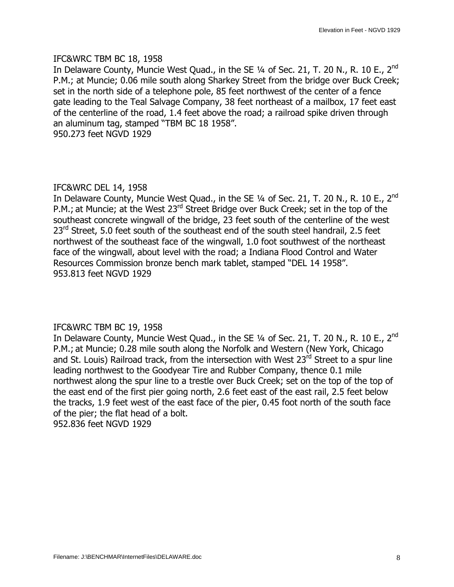#### IFC&WRC TBM BC 18, 1958

In Delaware County, Muncie West Quad., in the SE  $\frac{1}{4}$  of Sec. 21, T. 20 N., R. 10 E., 2<sup>nd</sup> P.M.; at Muncie; 0.06 mile south along Sharkey Street from the bridge over Buck Creek; set in the north side of a telephone pole, 85 feet northwest of the center of a fence gate leading to the Teal Salvage Company, 38 feet northeast of a mailbox, 17 feet east of the centerline of the road, 1.4 feet above the road; a railroad spike driven through an aluminum tag, stamped "TBM BC 18 1958". 950.273 feet NGVD 1929

## IFC&WRC DEL 14, 1958

In Delaware County, Muncie West Quad., in the SE  $\frac{1}{4}$  of Sec. 21, T. 20 N., R. 10 E., 2<sup>nd</sup> P.M.; at Muncie; at the West 23<sup>rd</sup> Street Bridge over Buck Creek; set in the top of the southeast concrete wingwall of the bridge, 23 feet south of the centerline of the west 23<sup>rd</sup> Street, 5.0 feet south of the southeast end of the south steel handrail, 2.5 feet northwest of the southeast face of the wingwall, 1.0 foot southwest of the northeast face of the wingwall, about level with the road; a Indiana Flood Control and Water Resources Commission bronze bench mark tablet, stamped "DEL 14 1958". 953.813 feet NGVD 1929

## IFC&WRC TBM BC 19, 1958

In Delaware County, Muncie West Quad., in the SE  $\frac{1}{4}$  of Sec. 21, T. 20 N., R. 10 E., 2<sup>nd</sup> P.M.; at Muncie; 0.28 mile south along the Norfolk and Western (New York, Chicago and St. Louis) Railroad track, from the intersection with West 23<sup>rd</sup> Street to a spur line leading northwest to the Goodyear Tire and Rubber Company, thence 0.1 mile northwest along the spur line to a trestle over Buck Creek; set on the top of the top of the east end of the first pier going north, 2.6 feet east of the east rail, 2.5 feet below the tracks, 1.9 feet west of the east face of the pier, 0.45 foot north of the south face of the pier; the flat head of a bolt. 952.836 feet NGVD 1929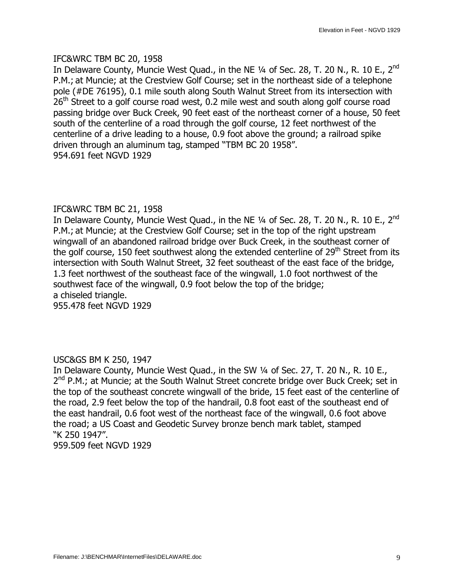#### IFC&WRC TBM BC 20, 1958

In Delaware County, Muncie West Ouad., in the NE  $\frac{1}{4}$  of Sec. 28, T. 20 N., R. 10 E., 2<sup>nd</sup> P.M.; at Muncie; at the Crestview Golf Course; set in the northeast side of a telephone pole (#DE 76195), 0.1 mile south along South Walnut Street from its intersection with  $26<sup>th</sup>$  Street to a golf course road west, 0.2 mile west and south along golf course road passing bridge over Buck Creek, 90 feet east of the northeast corner of a house, 50 feet south of the centerline of a road through the golf course, 12 feet northwest of the centerline of a drive leading to a house, 0.9 foot above the ground; a railroad spike driven through an aluminum tag, stamped "TBM BC 20 1958". 954.691 feet NGVD 1929

## IFC&WRC TBM BC 21, 1958

In Delaware County, Muncie West Quad., in the NE 1/4 of Sec. 28, T. 20 N., R. 10 E., 2<sup>nd</sup> P.M.; at Muncie; at the Crestview Golf Course; set in the top of the right upstream wingwall of an abandoned railroad bridge over Buck Creek, in the southeast corner of the golf course, 150 feet southwest along the extended centerline of  $29<sup>th</sup>$  Street from its intersection with South Walnut Street, 32 feet southeast of the east face of the bridge, 1.3 feet northwest of the southeast face of the wingwall, 1.0 foot northwest of the southwest face of the wingwall, 0.9 foot below the top of the bridge; a chiseled triangle.

955.478 feet NGVD 1929

#### USC&GS BM K 250, 1947

In Delaware County, Muncie West Quad., in the SW  $\frac{1}{4}$  of Sec. 27, T. 20 N., R. 10 E.,  $2<sup>nd</sup>$  P.M.; at Muncie; at the South Walnut Street concrete bridge over Buck Creek; set in the top of the southeast concrete wingwall of the bride, 15 feet east of the centerline of the road, 2.9 feet below the top of the handrail, 0.8 foot east of the southeast end of the east handrail, 0.6 foot west of the northeast face of the wingwall, 0.6 foot above the road; a US Coast and Geodetic Survey bronze bench mark tablet, stamped "K 250 1947".

959.509 feet NGVD 1929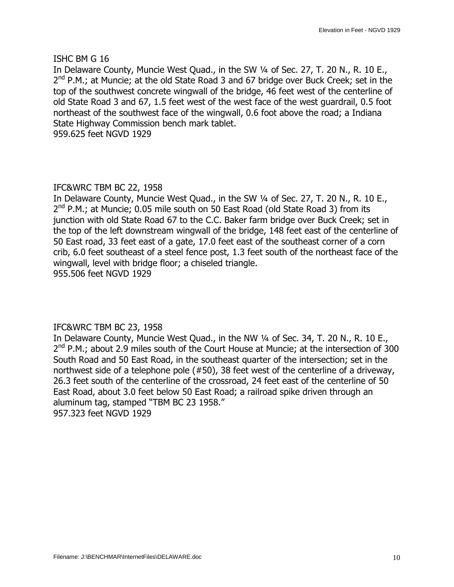#### ISHC BM G 16

In Delaware County, Muncie West Quad., in the SW 1/4 of Sec. 27, T. 20 N., R. 10 E.,  $2<sup>nd</sup>$  P.M.; at Muncie; at the old State Road 3 and 67 bridge over Buck Creek; set in the top of the southwest concrete wingwall of the bridge, 46 feet west of the centerline of old State Road 3 and 67, 1.5 feet west of the west face of the west guardrail, 0.5 foot northeast of the southwest face of the wingwall, 0.6 foot above the road; a Indiana State Highway Commission bench mark tablet. 959.625 feet NGVD 1929

# IFC&WRC TBM BC 22, 1958

In Delaware County, Muncie West Quad., in the SW  $\frac{1}{4}$  of Sec. 27, T. 20 N., R. 10 E.,  $2<sup>nd</sup>$  P.M.; at Muncie; 0.05 mile south on 50 East Road (old State Road 3) from its junction with old State Road 67 to the C.C. Baker farm bridge over Buck Creek; set in the top of the left downstream wingwall of the bridge, 148 feet east of the centerline of 50 East road, 33 feet east of a gate, 17.0 feet east of the southeast corner of a corn crib, 6.0 feet southeast of a steel fence post, 1.3 feet south of the northeast face of the wingwall, level with bridge floor; a chiseled triangle. 955.506 feet NGVD 1929

#### IFC&WRC TBM BC 23, 1958

In Delaware County, Muncie West Quad., in the NW 1/4 of Sec. 34, T. 20 N., R. 10 E.,  $2<sup>nd</sup>$  P.M.; about 2.9 miles south of the Court House at Muncie; at the intersection of 300 South Road and 50 East Road, in the southeast quarter of the intersection; set in the northwest side of a telephone pole (#50), 38 feet west of the centerline of a driveway, 26.3 feet south of the centerline of the crossroad, 24 feet east of the centerline of 50 East Road, about 3.0 feet below 50 East Road; a railroad spike driven through an aluminum tag, stamped "TBM BC 23 1958." 957.323 feet NGVD 1929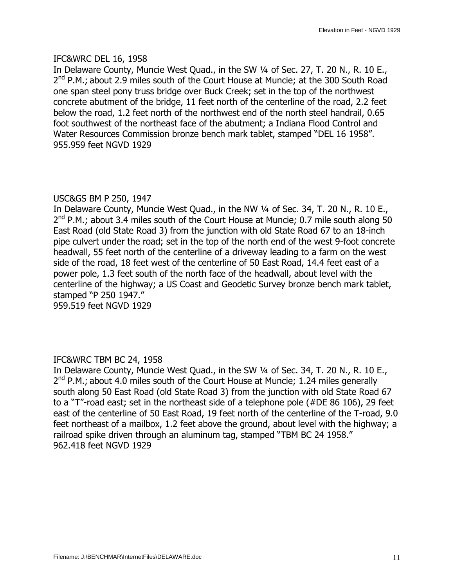#### IFC&WRC DEL 16, 1958

In Delaware County, Muncie West Quad., in the SW 1/4 of Sec. 27, T. 20 N., R. 10 E.,  $2<sup>nd</sup>$  P.M.; about 2.9 miles south of the Court House at Muncie; at the 300 South Road one span steel pony truss bridge over Buck Creek; set in the top of the northwest concrete abutment of the bridge, 11 feet north of the centerline of the road, 2.2 feet below the road, 1.2 feet north of the northwest end of the north steel handrail, 0.65 foot southwest of the northeast face of the abutment; a Indiana Flood Control and Water Resources Commission bronze bench mark tablet, stamped "DEL 16 1958". 955.959 feet NGVD 1929

#### USC&GS BM P 250, 1947

In Delaware County, Muncie West Quad., in the NW 1/4 of Sec. 34, T. 20 N., R. 10 E.,  $2^{nd}$  P.M.; about 3.4 miles south of the Court House at Muncie; 0.7 mile south along 50 East Road (old State Road 3) from the junction with old State Road 67 to an 18-inch pipe culvert under the road; set in the top of the north end of the west 9-foot concrete headwall, 55 feet north of the centerline of a driveway leading to a farm on the west side of the road, 18 feet west of the centerline of 50 East Road, 14.4 feet east of a power pole, 1.3 feet south of the north face of the headwall, about level with the centerline of the highway; a US Coast and Geodetic Survey bronze bench mark tablet, stamped "P 250 1947." 959.519 feet NGVD 1929

#### IFC&WRC TBM BC 24, 1958

In Delaware County, Muncie West Quad., in the SW 1/4 of Sec. 34, T. 20 N., R. 10 E.,  $2<sup>nd</sup>$  P.M.; about 4.0 miles south of the Court House at Muncie; 1.24 miles generally south along 50 East Road (old State Road 3) from the junction with old State Road 67 to a "T"-road east; set in the northeast side of a telephone pole ( $#DE 86 106$ ), 29 feet east of the centerline of 50 East Road, 19 feet north of the centerline of the T-road, 9.0 feet northeast of a mailbox, 1.2 feet above the ground, about level with the highway; a railroad spike driven through an aluminum tag, stamped "TBM BC 24 1958." 962.418 feet NGVD 1929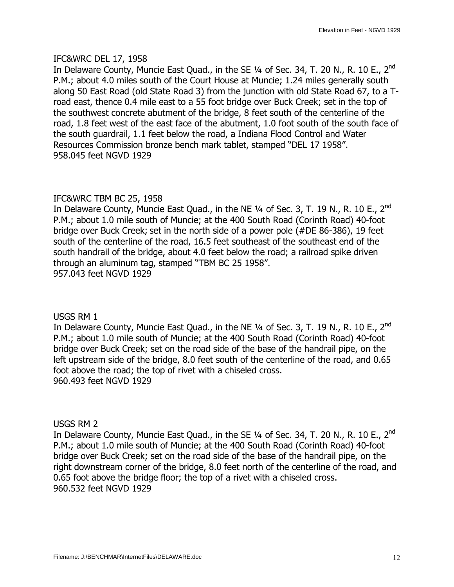#### IFC&WRC DEL 17, 1958

In Delaware County, Muncie East Quad., in the SE  $\frac{1}{4}$  of Sec. 34, T. 20 N., R. 10 E., 2<sup>nd</sup> P.M.; about 4.0 miles south of the Court House at Muncie; 1.24 miles generally south along 50 East Road (old State Road 3) from the junction with old State Road 67, to a Troad east, thence 0.4 mile east to a 55 foot bridge over Buck Creek; set in the top of the southwest concrete abutment of the bridge, 8 feet south of the centerline of the road, 1.8 feet west of the east face of the abutment, 1.0 foot south of the south face of the south guardrail, 1.1 feet below the road, a Indiana Flood Control and Water Resources Commission bronze bench mark tablet, stamped "DEL 17 1958". 958.045 feet NGVD 1929

# IFC&WRC TBM BC 25, 1958

In Delaware County, Muncie East Quad., in the NE  $1/4$  of Sec. 3, T. 19 N., R. 10 E., 2<sup>nd</sup> P.M.; about 1.0 mile south of Muncie; at the 400 South Road (Corinth Road) 40-foot bridge over Buck Creek; set in the north side of a power pole (#DE 86-386), 19 feet south of the centerline of the road, 16.5 feet southeast of the southeast end of the south handrail of the bridge, about 4.0 feet below the road; a railroad spike driven through an aluminum tag, stamped "TBM BC 25 1958". 957.043 feet NGVD 1929

## USGS RM 1

In Delaware County, Muncie East Quad., in the NE  $\frac{1}{4}$  of Sec. 3, T. 19 N., R. 10 E., 2<sup>nd</sup> P.M.; about 1.0 mile south of Muncie; at the 400 South Road (Corinth Road) 40-foot bridge over Buck Creek; set on the road side of the base of the handrail pipe, on the left upstream side of the bridge, 8.0 feet south of the centerline of the road, and 0.65 foot above the road; the top of rivet with a chiseled cross. 960.493 feet NGVD 1929

#### USGS RM 2

In Delaware County, Muncie East Quad., in the SE  $\frac{1}{4}$  of Sec. 34, T. 20 N., R. 10 E., 2<sup>nd</sup> P.M.; about 1.0 mile south of Muncie; at the 400 South Road (Corinth Road) 40-foot bridge over Buck Creek; set on the road side of the base of the handrail pipe, on the right downstream corner of the bridge, 8.0 feet north of the centerline of the road, and 0.65 foot above the bridge floor; the top of a rivet with a chiseled cross. 960.532 feet NGVD 1929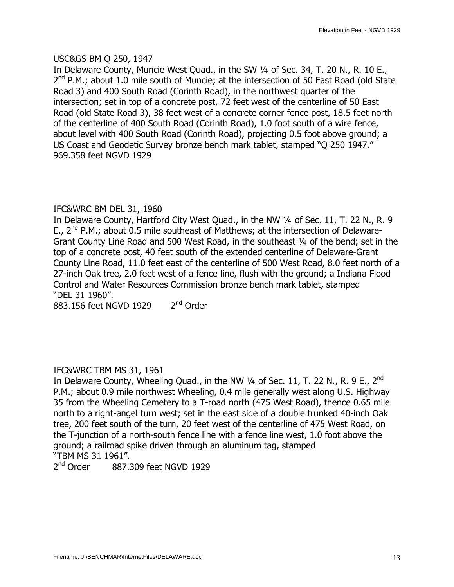## USC&GS BM Q 250, 1947

In Delaware County, Muncie West Quad., in the SW 1/4 of Sec. 34, T. 20 N., R. 10 E.,  $2<sup>nd</sup>$  P.M.; about 1.0 mile south of Muncie; at the intersection of 50 East Road (old State Road 3) and 400 South Road (Corinth Road), in the northwest quarter of the intersection; set in top of a concrete post, 72 feet west of the centerline of 50 East Road (old State Road 3), 38 feet west of a concrete corner fence post, 18.5 feet north of the centerline of 400 South Road (Corinth Road), 1.0 foot south of a wire fence, about level with 400 South Road (Corinth Road), projecting 0.5 foot above ground; a US Coast and Geodetic Survey bronze bench mark tablet, stamped "O 250 1947." 969.358 feet NGVD 1929

# IFC&WRC BM DEL 31, 1960

In Delaware County, Hartford City West Quad., in the NW 1/4 of Sec. 11, T. 22 N., R. 9 E.,  $2^{nd}$  P.M.; about 0.5 mile southeast of Matthews; at the intersection of Delaware-Grant County Line Road and 500 West Road, in the southeast 1/4 of the bend; set in the top of a concrete post, 40 feet south of the extended centerline of Delaware-Grant County Line Road, 11.0 feet east of the centerline of 500 West Road, 8.0 feet north of a 27-inch Oak tree, 2.0 feet west of a fence line, flush with the ground; a Indiana Flood Control and Water Resources Commission bronze bench mark tablet, stamped —DEL 31 1960".

883.156 feet NGVD 1929 2<sup>nd</sup> Order

# IFC&WRC TBM MS 31, 1961

In Delaware County, Wheeling Quad., in the NW  $\frac{1}{4}$  of Sec. 11, T. 22 N., R. 9 E., 2<sup>nd</sup> P.M.; about 0.9 mile northwest Wheeling, 0.4 mile generally west along U.S. Highway 35 from the Wheeling Cemetery to a T-road north (475 West Road), thence 0.65 mile north to a right-angel turn west; set in the east side of a double trunked 40-inch Oak tree, 200 feet south of the turn, 20 feet west of the centerline of 475 West Road, on the T-junction of a north-south fence line with a fence line west, 1.0 foot above the ground; a railroad spike driven through an aluminum tag, stamped "TBM MS 31 1961".<br>2<sup>nd</sup> Order 887.3

887.309 feet NGVD 1929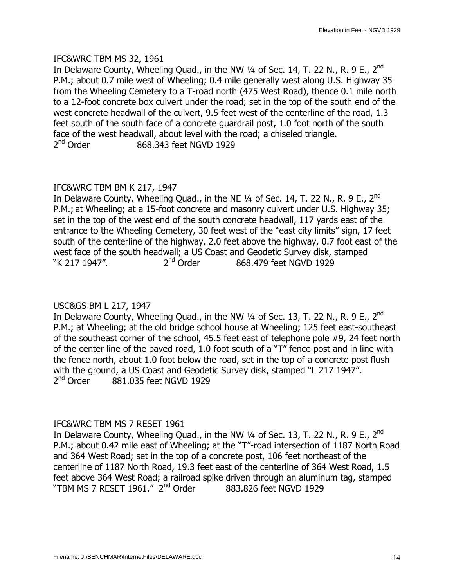#### IFC&WRC TBM MS 32, 1961

In Delaware County, Wheeling Quad., in the NW  $\frac{1}{4}$  of Sec. 14, T. 22 N., R. 9 E., 2<sup>nd</sup> P.M.; about 0.7 mile west of Wheeling; 0.4 mile generally west along U.S. Highway 35 from the Wheeling Cemetery to a T-road north (475 West Road), thence 0.1 mile north to a 12-foot concrete box culvert under the road; set in the top of the south end of the west concrete headwall of the culvert, 9.5 feet west of the centerline of the road, 1.3 feet south of the south face of a concrete guardrail post, 1.0 foot north of the south face of the west headwall, about level with the road; a chiseled triangle.  $2<sup>nd</sup>$  Order 868.343 feet NGVD 1929

## IFC&WRC TBM BM K 217, 1947

In Delaware County, Wheeling Quad., in the NE  $\frac{1}{4}$  of Sec. 14, T. 22 N., R. 9 E., 2<sup>nd</sup> P.M.; at Wheeling; at a 15-foot concrete and masonry culvert under U.S. Highway 35; set in the top of the west end of the south concrete headwall, 117 yards east of the entrance to the Wheeling Cemetery, 30 feet west of the "east city limits" sign, 17 feet south of the centerline of the highway, 2.0 feet above the highway, 0.7 foot east of the west face of the south headwall; a US Coast and Geodetic Survey disk, stamped  $\degree$ K 217 1947". "K 217 1947".  $2^{nd}$  Order  $868.479$  feet NGVD 1929

## USC&GS BM L 217, 1947

In Delaware County, Wheeling Quad., in the NW  $\frac{1}{4}$  of Sec. 13, T. 22 N., R. 9 E., 2<sup>nd</sup> P.M.; at Wheeling; at the old bridge school house at Wheeling; 125 feet east-southeast of the southeast corner of the school, 45.5 feet east of telephone pole #9, 24 feet north of the center line of the paved road, 1.0 foot south of a "T" fence post and in line with the fence north, about 1.0 foot below the road, set in the top of a concrete post flush with the ground, a US Coast and Geodetic Survey disk, stamped "L 217 1947".  $2<sup>nd</sup>$  Order  $881.035$  feet NGVD 1929

#### IFC&WRC TBM MS 7 RESET 1961

In Delaware County, Wheeling Quad., in the NW 1/4 of Sec. 13, T. 22 N., R. 9 E., 2<sup>nd</sup> P.M.; about 0.42 mile east of Wheeling; at the "T"-road intersection of 1187 North Road and 364 West Road; set in the top of a concrete post, 106 feet northeast of the centerline of 1187 North Road, 19.3 feet east of the centerline of 364 West Road, 1.5 feet above 364 West Road; a railroad spike driven through an aluminum tag, stamped "TBM MS 7 RESET 1961." 2<sup>nd</sup> Order 883.826 feet NGVD 1929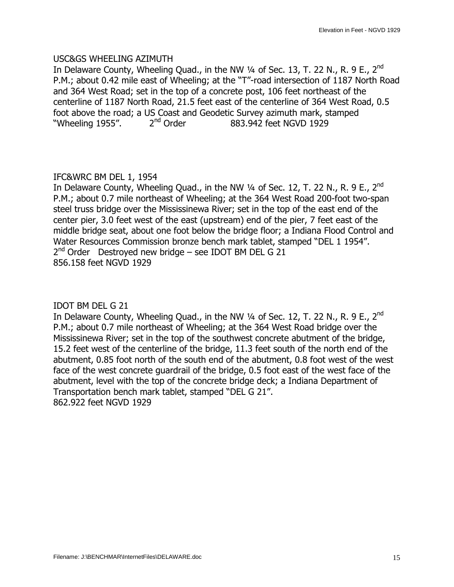#### USC&GS WHEELING AZIMUTH

In Delaware County, Wheeling Quad., in the NW 1/4 of Sec. 13, T. 22 N., R. 9 E., 2<sup>nd</sup> P.M.; about 0.42 mile east of Wheeling; at the "T"-road intersection of 1187 North Road and 364 West Road; set in the top of a concrete post, 106 feet northeast of the centerline of 1187 North Road, 21.5 feet east of the centerline of 364 West Road, 0.5 foot above the road; a US Coast and Geodetic Survey azimuth mark, stamped "Wheeling 1955".  $2^{nd}$  Order 883.942 feet NGVD 1929 "Wheeling  $1955"$ .  $2<sup>nd</sup>$  Order 883.942 feet NGVD 1929

# IFC&WRC BM DEL 1, 1954

In Delaware County, Wheeling Quad., in the NW  $\frac{1}{4}$  of Sec. 12, T. 22 N., R. 9 E., 2<sup>nd</sup> P.M.; about 0.7 mile northeast of Wheeling; at the 364 West Road 200-foot two-span steel truss bridge over the Mississinewa River; set in the top of the east end of the center pier, 3.0 feet west of the east (upstream) end of the pier, 7 feet east of the middle bridge seat, about one foot below the bridge floor; a Indiana Flood Control and Water Resources Commission bronze bench mark tablet, stamped "DEL 1 1954".  $2^{nd}$  Order Destroyed new bridge – see IDOT BM DEL G 21 856.158 feet NGVD 1929

## IDOT BM DEL G 21

In Delaware County, Wheeling Quad., in the NW  $\frac{1}{4}$  of Sec. 12, T. 22 N., R. 9 E., 2<sup>nd</sup> P.M.; about 0.7 mile northeast of Wheeling; at the 364 West Road bridge over the Mississinewa River; set in the top of the southwest concrete abutment of the bridge, 15.2 feet west of the centerline of the bridge, 11.3 feet south of the north end of the abutment, 0.85 foot north of the south end of the abutment, 0.8 foot west of the west face of the west concrete guardrail of the bridge, 0.5 foot east of the west face of the abutment, level with the top of the concrete bridge deck; a Indiana Department of Transportation bench mark tablet, stamped "DEL G 21". 862.922 feet NGVD 1929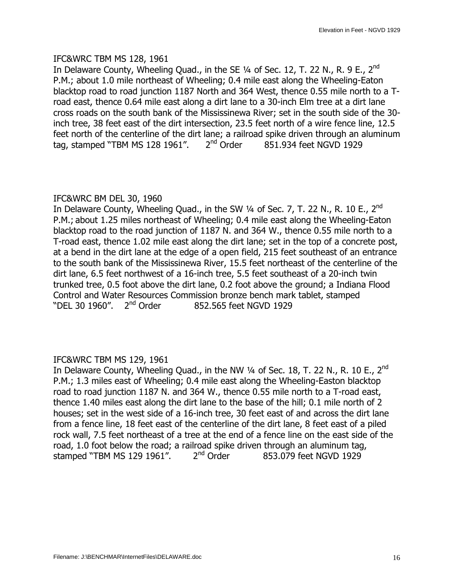#### IFC&WRC TBM MS 128, 1961

In Delaware County, Wheeling Quad., in the SE  $\frac{1}{4}$  of Sec. 12, T. 22 N., R. 9 E., 2<sup>nd</sup> P.M.; about 1.0 mile northeast of Wheeling; 0.4 mile east along the Wheeling-Eaton blacktop road to road junction 1187 North and 364 West, thence 0.55 mile north to a Troad east, thence 0.64 mile east along a dirt lane to a 30-inch Elm tree at a dirt lane cross roads on the south bank of the Mississinewa River; set in the south side of the 30 inch tree, 38 feet east of the dirt intersection, 23.5 feet north of a wire fence line, 12.5 feet north of the centerline of the dirt lane; a railroad spike driven through an aluminum tag, stamped "TBM MS 128 1961".  $2<sup>nd</sup>$  Order 851.934 feet NGVD 1929

## IFC&WRC BM DEL 30, 1960

In Delaware County, Wheeling Quad., in the SW  $1/4$  of Sec. 7, T. 22 N., R. 10 E., 2<sup>nd</sup> P.M.; about 1.25 miles northeast of Wheeling; 0.4 mile east along the Wheeling-Eaton blacktop road to the road junction of 1187 N. and 364 W., thence 0.55 mile north to a T-road east, thence 1.02 mile east along the dirt lane; set in the top of a concrete post, at a bend in the dirt lane at the edge of a open field, 215 feet southeast of an entrance to the south bank of the Mississinewa River, 15.5 feet northeast of the centerline of the dirt lane, 6.5 feet northwest of a 16-inch tree, 5.5 feet southeast of a 20-inch twin trunked tree, 0.5 foot above the dirt lane, 0.2 foot above the ground; a Indiana Flood Control and Water Resources Commission bronze bench mark tablet, stamped "DEL 30 1960". 2<sup>nd</sup> Order 852.565 feet NGVD 1929

## IFC&WRC TBM MS 129, 1961

In Delaware County, Wheeling Quad., in the NW  $\frac{1}{4}$  of Sec. 18, T. 22 N., R. 10 E., 2<sup>nd</sup> P.M.; 1.3 miles east of Wheeling; 0.4 mile east along the Wheeling-Easton blacktop road to road junction 1187 N. and 364 W., thence 0.55 mile north to a T-road east, thence 1.40 miles east along the dirt lane to the base of the hill; 0.1 mile north of 2 houses; set in the west side of a 16-inch tree, 30 feet east of and across the dirt lane from a fence line, 18 feet east of the centerline of the dirt lane, 8 feet east of a piled rock wall, 7.5 feet northeast of a tree at the end of a fence line on the east side of the road, 1.0 foot below the road; a railroad spike driven through an aluminum tag, stamped "TBM MS 129 1961".  $2<sup>nd</sup>$  Order 853.079 feet NGVD 1929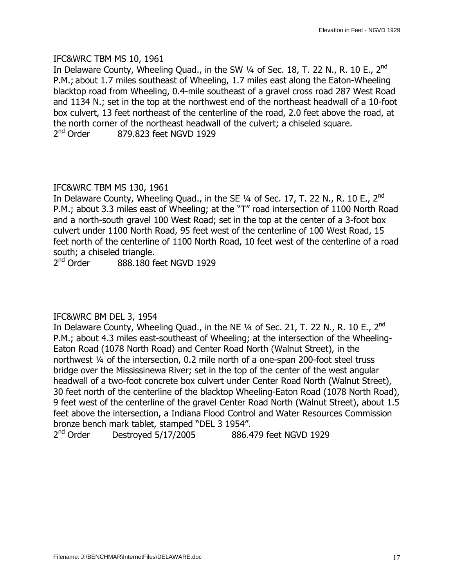#### IFC&WRC TBM MS 10, 1961

In Delaware County, Wheeling Quad., in the SW  $\frac{1}{4}$  of Sec. 18, T. 22 N., R. 10 E., 2<sup>nd</sup> P.M.; about 1.7 miles southeast of Wheeling, 1.7 miles east along the Eaton-Wheeling blacktop road from Wheeling, 0.4-mile southeast of a gravel cross road 287 West Road and 1134 N.; set in the top at the northwest end of the northeast headwall of a 10-foot box culvert, 13 feet northeast of the centerline of the road, 2.0 feet above the road, at the north corner of the northeast headwall of the culvert; a chiseled square. 2<sup>nd</sup> Order 879.823 feet NGVD 1929

## IFC&WRC TBM MS 130, 1961

In Delaware County, Wheeling Quad., in the SE 1/4 of Sec. 17, T. 22 N., R. 10 E., 2<sup>nd</sup> P.M.; about 3.3 miles east of Wheeling; at the "T" road intersection of 1100 North Road and a north-south gravel 100 West Road; set in the top at the center of a 3-foot box culvert under 1100 North Road, 95 feet west of the centerline of 100 West Road, 15 feet north of the centerline of 1100 North Road, 10 feet west of the centerline of a road south; a chiseled triangle.<br>2<sup>nd</sup> Order 888.180 fe

888.180 feet NGVD 1929

## IFC&WRC BM DEL 3, 1954

In Delaware County, Wheeling Quad., in the NE 1/4 of Sec. 21, T. 22 N., R. 10 E., 2<sup>nd</sup> P.M.; about 4.3 miles east-southeast of Wheeling; at the intersection of the Wheeling-Eaton Road (1078 North Road) and Center Road North (Walnut Street), in the northwest 1/4 of the intersection, 0.2 mile north of a one-span 200-foot steel truss bridge over the Mississinewa River; set in the top of the center of the west angular headwall of a two-foot concrete box culvert under Center Road North (Walnut Street), 30 feet north of the centerline of the blacktop Wheeling-Eaton Road (1078 North Road), 9 feet west of the centerline of the gravel Center Road North (Walnut Street), about 1.5 feet above the intersection, a Indiana Flood Control and Water Resources Commission bronze bench mark tablet, stamped "DEL 3 1954".

2<sup>nd</sup> Order Destroyed 5/17/2005 886.479 feet NGVD 1929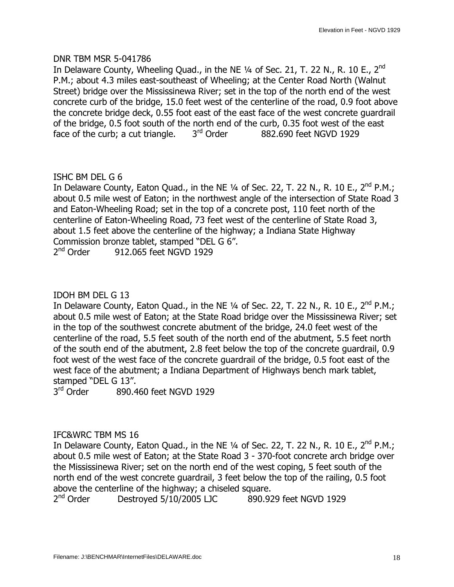#### DNR TBM MSR 5-041786

In Delaware County, Wheeling Quad., in the NE  $\frac{1}{4}$  of Sec. 21, T. 22 N., R. 10 E., 2<sup>nd</sup> P.M.; about 4.3 miles east-southeast of Wheeling; at the Center Road North (Walnut Street) bridge over the Mississinewa River; set in the top of the north end of the west concrete curb of the bridge, 15.0 feet west of the centerline of the road, 0.9 foot above the concrete bridge deck, 0.55 foot east of the east face of the west concrete guardrail of the bridge, 0.5 foot south of the north end of the curb, 0.35 foot west of the east face of the curb; a cut triangle,  $3<sup>rd</sup>$  Order 882.690 feet NGVD 1929 face of the curb; a cut triangle.  $3<sup>rd</sup>$  Order 882.690 feet NGVD 1929

## ISHC BM DEL G 6

In Delaware County, Eaton Quad., in the NE  $\frac{1}{4}$  of Sec. 22, T. 22 N., R. 10 E.,  $2^{nd}$  P.M.; about 0.5 mile west of Eaton; in the northwest angle of the intersection of State Road 3 and Eaton-Wheeling Road; set in the top of a concrete post, 110 feet north of the centerline of Eaton-Wheeling Road, 73 feet west of the centerline of State Road 3, about 1.5 feet above the centerline of the highway; a Indiana State Highway Commission bronze tablet, stamped "DEL G 6".  $2<sup>nd</sup>$  Order 912.065 feet NGVD 1929

## IDOH BM DEL G 13

In Delaware County, Eaton Quad., in the NE  $\frac{1}{4}$  of Sec. 22, T. 22 N., R. 10 E., 2<sup>nd</sup> P.M.; about 0.5 mile west of Eaton; at the State Road bridge over the Mississinewa River; set in the top of the southwest concrete abutment of the bridge, 24.0 feet west of the centerline of the road, 5.5 feet south of the north end of the abutment, 5.5 feet north of the south end of the abutment, 2.8 feet below the top of the concrete guardrail, 0.9 foot west of the west face of the concrete guardrail of the bridge, 0.5 foot east of the west face of the abutment; a Indiana Department of Highways bench mark tablet, stamped "DEL G 13".

3<sup>rd</sup> Order 890.460 feet NGVD 1929

#### IFC&WRC TBM MS 16

In Delaware County, Eaton Quad., in the NE 1/4 of Sec. 22, T. 22 N., R. 10 E., 2<sup>nd</sup> P.M.; about 0.5 mile west of Eaton; at the State Road 3 - 370-foot concrete arch bridge over the Mississinewa River; set on the north end of the west coping, 5 feet south of the north end of the west concrete guardrail, 3 feet below the top of the railing, 0.5 foot above the centerline of the highway; a chiseled square.

2<sup>nd</sup> Order Destroyed 5/10/2005 LJC 890.929 feet NGVD 1929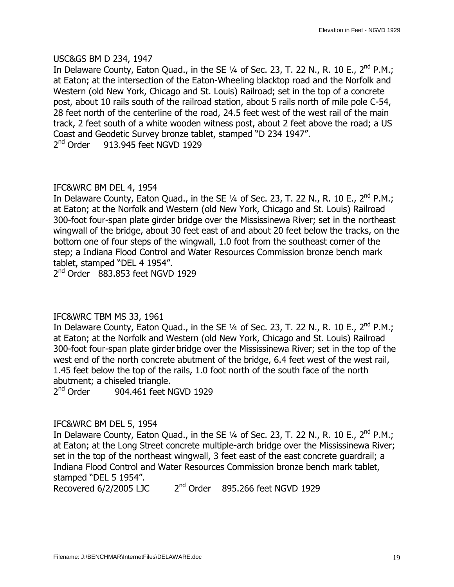#### USC&GS BM D 234, 1947

In Delaware County, Eaton Quad., in the SE  $\frac{1}{4}$  of Sec. 23, T. 22 N., R. 10 E., 2<sup>nd</sup> P.M.; at Eaton; at the intersection of the Eaton-Wheeling blacktop road and the Norfolk and Western (old New York, Chicago and St. Louis) Railroad; set in the top of a concrete post, about 10 rails south of the railroad station, about 5 rails north of mile pole C-54, 28 feet north of the centerline of the road, 24.5 feet west of the west rail of the main track, 2 feet south of a white wooden witness post, about 2 feet above the road; a US Coast and Geodetic Survey bronze tablet, stamped "D 234 1947".  $2<sup>nd</sup>$  Order 913.945 feet NGVD 1929

## IFC&WRC BM DEL 4, 1954

In Delaware County, Eaton Quad., in the SE  $\frac{1}{4}$  of Sec. 23, T. 22 N., R. 10 E., 2<sup>nd</sup> P.M.; at Eaton; at the Norfolk and Western (old New York, Chicago and St. Louis) Railroad 300-foot four-span plate girder bridge over the Mississinewa River; set in the northeast wingwall of the bridge, about 30 feet east of and about 20 feet below the tracks, on the bottom one of four steps of the wingwall, 1.0 foot from the southeast corner of the step; a Indiana Flood Control and Water Resources Commission bronze bench mark tablet, stamped "DEL 4 1954".

2<sup>nd</sup> Order 883.853 feet NGVD 1929

## IFC&WRC TBM MS 33, 1961

In Delaware County, Eaton Quad., in the SE  $\frac{1}{4}$  of Sec. 23, T. 22 N., R. 10 E., 2<sup>nd</sup> P.M.; at Eaton; at the Norfolk and Western (old New York, Chicago and St. Louis) Railroad 300-foot four-span plate girder bridge over the Mississinewa River; set in the top of the west end of the north concrete abutment of the bridge, 6.4 feet west of the west rail, 1.45 feet below the top of the rails, 1.0 foot north of the south face of the north abutment; a chiseled triangle.

 $2<sup>nd</sup>$  Order 904.461 feet NGVD 1929

#### IFC&WRC BM DEL 5, 1954

In Delaware County, Eaton Quad., in the SE  $\frac{1}{4}$  of Sec. 23, T. 22 N., R. 10 E., 2<sup>nd</sup> P.M.; at Eaton; at the Long Street concrete multiple-arch bridge over the Mississinewa River; set in the top of the northeast wingwall, 3 feet east of the east concrete guardrail; a Indiana Flood Control and Water Resources Commission bronze bench mark tablet, stamped "DEL 5 1954".

Recovered  $6/2/2005$  LJC  $2<sup>nd</sup>$  Order 895.266 feet NGVD 1929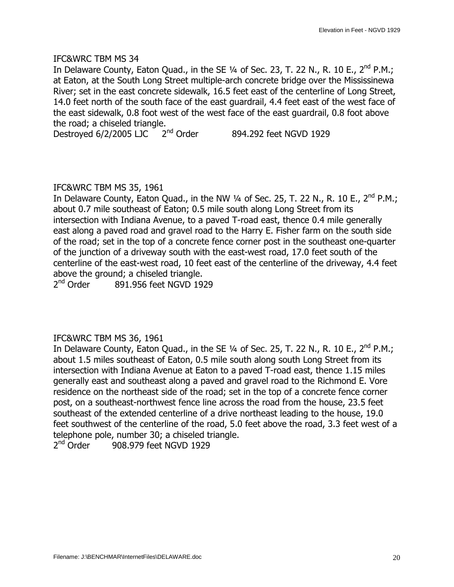In Delaware County, Eaton Quad., in the SE  $\frac{1}{4}$  of Sec. 23, T. 22 N., R. 10 E., 2<sup>nd</sup> P.M.; at Eaton, at the South Long Street multiple-arch concrete bridge over the Mississinewa River; set in the east concrete sidewalk, 16.5 feet east of the centerline of Long Street, 14.0 feet north of the south face of the east guardrail, 4.4 feet east of the west face of the east sidewalk, 0.8 foot west of the west face of the east guardrail, 0.8 foot above the road; a chiseled triangle.

Destroyed  $6/2/2005$  LJC  $2^{nd}$  Order 894.292 feet NGVD 1929

## IFC&WRC TBM MS 35, 1961

In Delaware County, Eaton Quad., in the NW  $\frac{1}{4}$  of Sec. 25, T. 22 N., R. 10 E., 2<sup>nd</sup> P.M.; about 0.7 mile southeast of Eaton; 0.5 mile south along Long Street from its intersection with Indiana Avenue, to a paved T-road east, thence 0.4 mile generally east along a paved road and gravel road to the Harry E. Fisher farm on the south side of the road; set in the top of a concrete fence corner post in the southeast one-quarter of the junction of a driveway south with the east-west road, 17.0 feet south of the centerline of the east-west road, 10 feet east of the centerline of the driveway, 4.4 feet above the ground; a chiseled triangle.<br> $2<sup>nd</sup> Order 891.956 feet NGVD 19$ 

891.956 feet NGVD 1929

#### IFC&WRC TBM MS 36, 1961

In Delaware County, Eaton Quad., in the SE  $\frac{1}{4}$  of Sec. 25, T. 22 N., R. 10 E., 2<sup>nd</sup> P.M.; about 1.5 miles southeast of Eaton, 0.5 mile south along south Long Street from its intersection with Indiana Avenue at Eaton to a paved T-road east, thence 1.15 miles generally east and southeast along a paved and gravel road to the Richmond E. Vore residence on the northeast side of the road; set in the top of a concrete fence corner post, on a southeast-northwest fence line across the road from the house, 23.5 feet southeast of the extended centerline of a drive northeast leading to the house, 19.0 feet southwest of the centerline of the road, 5.0 feet above the road, 3.3 feet west of a telephone pole, number 30; a chiseled triangle.

 $2<sup>nd</sup>$  Order 908.979 feet NGVD 1929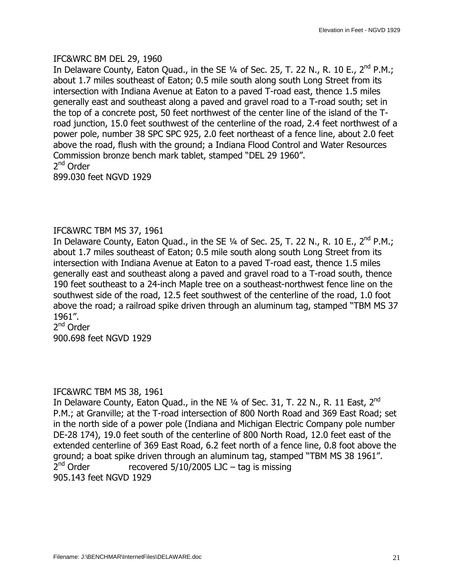#### IFC&WRC BM DEL 29, 1960

In Delaware County, Eaton Quad., in the SE  $\frac{1}{4}$  of Sec. 25, T. 22 N., R. 10 E., 2<sup>nd</sup> P.M.; about 1.7 miles southeast of Eaton; 0.5 mile south along south Long Street from its intersection with Indiana Avenue at Eaton to a paved T-road east, thence 1.5 miles generally east and southeast along a paved and gravel road to a T-road south; set in the top of a concrete post, 50 feet northwest of the center line of the island of the Troad junction, 15.0 feet southwest of the centerline of the road, 2.4 feet northwest of a power pole, number 38 SPC SPC 925, 2.0 feet northeast of a fence line, about 2.0 feet above the road, flush with the ground; a Indiana Flood Control and Water Resources Commission bronze bench mark tablet, stamped "DEL 29 1960". 2<sup>nd</sup> Order 899.030 feet NGVD 1929

## IFC&WRC TBM MS 37, 1961

In Delaware County, Eaton Quad., in the SE  $\frac{1}{4}$  of Sec. 25, T. 22 N., R. 10 E., 2<sup>nd</sup> P.M.; about 1.7 miles southeast of Eaton; 0.5 mile south along south Long Street from its intersection with Indiana Avenue at Eaton to a paved T-road east, thence 1.5 miles generally east and southeast along a paved and gravel road to a T-road south, thence 190 feet southeast to a 24-inch Maple tree on a southeast-northwest fence line on the southwest side of the road, 12.5 feet southwest of the centerline of the road, 1.0 foot above the road; a railroad spike driven through an aluminum tag, stamped "TBM MS 37 1961".

2<sup>nd</sup> Order 900.698 feet NGVD 1929

#### IFC&WRC TBM MS 38, 1961

In Delaware County, Eaton Quad., in the NE 1/4 of Sec. 31, T. 22 N., R. 11 East, 2<sup>nd</sup> P.M.; at Granville; at the T-road intersection of 800 North Road and 369 East Road; set in the north side of a power pole (Indiana and Michigan Electric Company pole number DE-28 174), 19.0 feet south of the centerline of 800 North Road, 12.0 feet east of the extended centerline of 369 East Road, 6.2 feet north of a fence line, 0.8 foot above the ground; a boat spike driven through an aluminum tag, stamped "TBM MS 38 1961".  $2^{nd}$  Order recovered 5/10/2005 LJC – tag is missing 905.143 feet NGVD 1929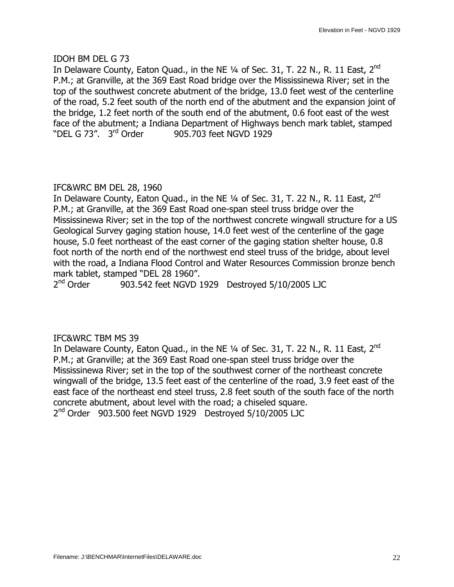#### IDOH BM DEL G 73

In Delaware County, Eaton Quad., in the NE  $\frac{1}{4}$  of Sec. 31, T. 22 N., R. 11 East, 2<sup>nd</sup> P.M.; at Granville, at the 369 East Road bridge over the Mississinewa River; set in the top of the southwest concrete abutment of the bridge, 13.0 feet west of the centerline of the road, 5.2 feet south of the north end of the abutment and the expansion joint of the bridge, 1.2 feet north of the south end of the abutment, 0.6 foot east of the west face of the abutment; a Indiana Department of Highways bench mark tablet, stamped "DEL G 73". 3<sup>rd</sup> Order 905.703 feet NGVD 1929

## IFC&WRC BM DEL 28, 1960

In Delaware County, Eaton Quad., in the NE  $\frac{1}{4}$  of Sec. 31, T. 22 N., R. 11 East, 2<sup>nd</sup> P.M.; at Granville, at the 369 East Road one-span steel truss bridge over the Mississinewa River; set in the top of the northwest concrete wingwall structure for a US Geological Survey gaging station house, 14.0 feet west of the centerline of the gage house, 5.0 feet northeast of the east corner of the gaging station shelter house, 0.8 foot north of the north end of the northwest end steel truss of the bridge, about level with the road, a Indiana Flood Control and Water Resources Commission bronze bench mark tablet, stamped "DEL 28 1960".

 $2<sup>nd</sup>$  Order 903.542 feet NGVD 1929 Destroyed 5/10/2005 LJC

#### IFC&WRC TBM MS 39

In Delaware County, Eaton Quad., in the NE  $1/4$  of Sec. 31, T. 22 N., R. 11 East, 2<sup>nd</sup> P.M.; at Granville; at the 369 East Road one-span steel truss bridge over the Mississinewa River; set in the top of the southwest corner of the northeast concrete wingwall of the bridge, 13.5 feet east of the centerline of the road, 3.9 feet east of the east face of the northeast end steel truss, 2.8 feet south of the south face of the north concrete abutment, about level with the road; a chiseled square. 2<sup>nd</sup> Order 903.500 feet NGVD 1929 Destroyed 5/10/2005 LJC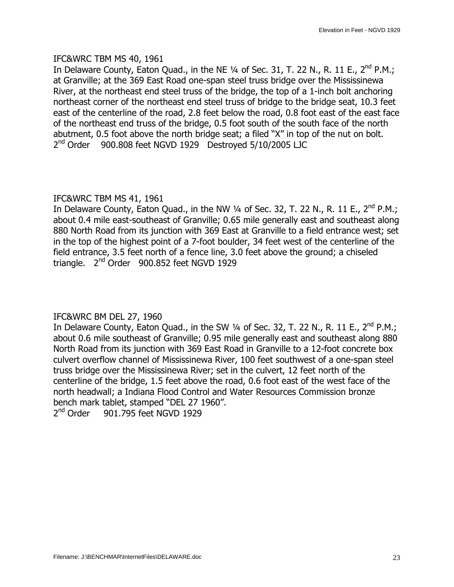#### IFC&WRC TBM MS 40, 1961

In Delaware County, Eaton Quad., in the NE  $\frac{1}{4}$  of Sec. 31, T. 22 N., R. 11 E., 2<sup>nd</sup> P.M.; at Granville; at the 369 East Road one-span steel truss bridge over the Mississinewa River, at the northeast end steel truss of the bridge, the top of a 1-inch bolt anchoring northeast corner of the northeast end steel truss of bridge to the bridge seat, 10.3 feet east of the centerline of the road, 2.8 feet below the road, 0.8 foot east of the east face of the northeast end truss of the bridge, 0.5 foot south of the south face of the north abutment, 0.5 foot above the north bridge seat; a filed "X" in top of the nut on bolt. 2<sup>nd</sup> Order 900.808 feet NGVD 1929 Destroyed 5/10/2005 LJC

## IFC&WRC TBM MS 41, 1961

In Delaware County, Eaton Quad., in the NW  $\frac{1}{4}$  of Sec. 32, T. 22 N., R. 11 E., 2<sup>nd</sup> P.M.; about 0.4 mile east-southeast of Granville; 0.65 mile generally east and southeast along 880 North Road from its junction with 369 East at Granville to a field entrance west; set in the top of the highest point of a 7-foot boulder, 34 feet west of the centerline of the field entrance, 3.5 feet north of a fence line, 3.0 feet above the ground; a chiseled triangle. 2<sup>nd</sup> Order 900.852 feet NGVD 1929

## IFC&WRC BM DEL 27, 1960

In Delaware County, Eaton Quad., in the SW  $\frac{1}{4}$  of Sec. 32, T. 22 N., R. 11 E., 2<sup>nd</sup> P.M.; about 0.6 mile southeast of Granville; 0.95 mile generally east and southeast along 880 North Road from its junction with 369 East Road in Granville to a 12-foot concrete box culvert overflow channel of Mississinewa River, 100 feet southwest of a one-span steel truss bridge over the Mississinewa River; set in the culvert, 12 feet north of the centerline of the bridge, 1.5 feet above the road, 0.6 foot east of the west face of the north headwall; a Indiana Flood Control and Water Resources Commission bronze bench mark tablet, stamped "DEL 27 1960". 2<sup>nd</sup> Order 901.795 feet NGVD 1929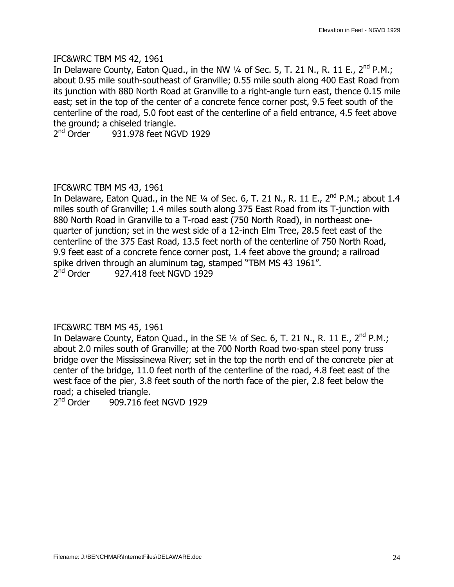#### IFC&WRC TBM MS 42, 1961

In Delaware County, Eaton Quad., in the NW  $\frac{1}{4}$  of Sec. 5, T. 21 N., R. 11 E., 2<sup>nd</sup> P.M.; about 0.95 mile south-southeast of Granville; 0.55 mile south along 400 East Road from its junction with 880 North Road at Granville to a right-angle turn east, thence 0.15 mile east; set in the top of the center of a concrete fence corner post, 9.5 feet south of the centerline of the road, 5.0 foot east of the centerline of a field entrance, 4.5 feet above the ground; a chiseled triangle.

2<sup>nd</sup> Order 931.978 feet NGVD 1929

## IFC&WRC TBM MS 43, 1961

In Delaware, Eaton Quad., in the NE  $\frac{1}{4}$  of Sec. 6, T. 21 N., R. 11 E., 2<sup>nd</sup> P.M.; about 1.4 miles south of Granville; 1.4 miles south along 375 East Road from its T-junction with 880 North Road in Granville to a T-road east (750 North Road), in northeast onequarter of junction; set in the west side of a 12-inch Elm Tree, 28.5 feet east of the centerline of the 375 East Road, 13.5 feet north of the centerline of 750 North Road, 9.9 feet east of a concrete fence corner post, 1.4 feet above the ground; a railroad spike driven through an aluminum tag, stamped "TBM MS 43 1961".  $2<sup>nd</sup>$  Order 927.418 feet NGVD 1929

IFC&WRC TBM MS 45, 1961

In Delaware County, Eaton Quad., in the SE  $\frac{1}{4}$  of Sec. 6, T. 21 N., R. 11 E., 2<sup>nd</sup> P.M.; about 2.0 miles south of Granville; at the 700 North Road two-span steel pony truss bridge over the Mississinewa River; set in the top the north end of the concrete pier at center of the bridge, 11.0 feet north of the centerline of the road, 4.8 feet east of the west face of the pier, 3.8 feet south of the north face of the pier, 2.8 feet below the road; a chiseled triangle.

 $2<sup>nd</sup>$  Order 909.716 feet NGVD 1929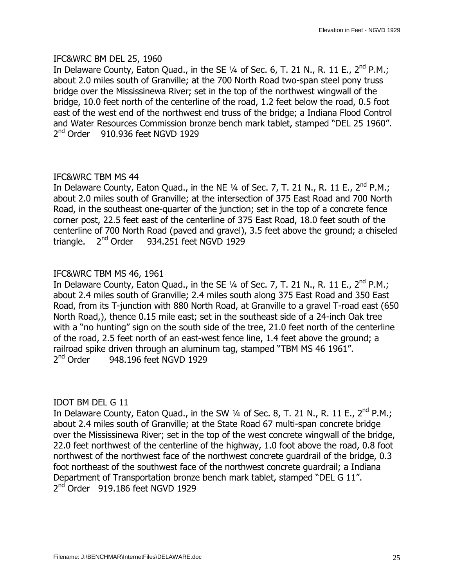#### IFC&WRC BM DEL 25, 1960

In Delaware County, Eaton Quad., in the SE  $\frac{1}{4}$  of Sec. 6, T. 21 N., R. 11 E., 2<sup>nd</sup> P.M.; about 2.0 miles south of Granville; at the 700 North Road two-span steel pony truss bridge over the Mississinewa River; set in the top of the northwest wingwall of the bridge, 10.0 feet north of the centerline of the road, 1.2 feet below the road, 0.5 foot east of the west end of the northwest end truss of the bridge; a Indiana Flood Control and Water Resources Commission bronze bench mark tablet, stamped "DEL 25 1960".  $2<sup>nd</sup>$  Order 910.936 feet NGVD 1929

## IFC&WRC TBM MS 44

In Delaware County, Eaton Quad., in the NE  $\frac{1}{4}$  of Sec. 7, T. 21 N., R. 11 E., 2<sup>nd</sup> P.M.; about 2.0 miles south of Granville; at the intersection of 375 East Road and 700 North Road, in the southeast one-quarter of the junction; set in the top of a concrete fence corner post, 22.5 feet east of the centerline of 375 East Road, 18.0 feet south of the centerline of 700 North Road (paved and gravel), 3.5 feet above the ground; a chiseled triangle.  $2<sup>nd</sup>$  Order 934.251 feet NGVD 1929

## IFC&WRC TBM MS 46, 1961

In Delaware County, Eaton Quad., in the SE  $\frac{1}{4}$  of Sec. 7, T. 21 N., R. 11 E., 2<sup>nd</sup> P.M.; about 2.4 miles south of Granville; 2.4 miles south along 375 East Road and 350 East Road, from its T-junction with 880 North Road, at Granville to a gravel T-road east (650 North Road,), thence 0.15 mile east; set in the southeast side of a 24-inch Oak tree with a "no hunting" sign on the south side of the tree, 21.0 feet north of the centerline of the road, 2.5 feet north of an east-west fence line, 1.4 feet above the ground; a railroad spike driven through an aluminum tag, stamped "TBM MS 46 1961".  $2<sup>nd</sup>$  Order 948.196 feet NGVD 1929

IDOT BM DEL G 11

In Delaware County, Eaton Quad., in the SW  $\frac{1}{4}$  of Sec. 8, T. 21 N., R. 11 E., 2<sup>nd</sup> P.M.; about 2.4 miles south of Granville; at the State Road 67 multi-span concrete bridge over the Mississinewa River; set in the top of the west concrete wingwall of the bridge, 22.0 feet northwest of the centerline of the highway, 1.0 foot above the road, 0.8 foot northwest of the northwest face of the northwest concrete guardrail of the bridge, 0.3 foot northeast of the southwest face of the northwest concrete guardrail; a Indiana Department of Transportation bronze bench mark tablet, stamped "DEL G 11".  $2<sup>nd</sup>$  Order 919.186 feet NGVD 1929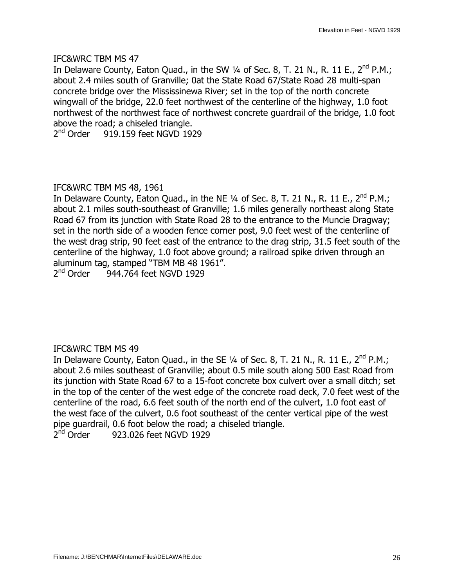In Delaware County, Eaton Quad., in the SW  $\frac{1}{4}$  of Sec. 8, T. 21 N., R. 11 E., 2<sup>nd</sup> P.M.; about 2.4 miles south of Granville; 0at the State Road 67/State Road 28 multi-span concrete bridge over the Mississinewa River; set in the top of the north concrete wingwall of the bridge, 22.0 feet northwest of the centerline of the highway, 1.0 foot northwest of the northwest face of northwest concrete guardrail of the bridge, 1.0 foot above the road; a chiseled triangle.

 $2<sup>nd</sup>$  Order 919.159 feet NGVD 1929

## IFC&WRC TBM MS 48, 1961

In Delaware County, Eaton Quad., in the NE  $\frac{1}{4}$  of Sec. 8, T. 21 N., R. 11 E., 2<sup>nd</sup> P.M.; about 2.1 miles south-southeast of Granville; 1.6 miles generally northeast along State Road 67 from its junction with State Road 28 to the entrance to the Muncie Dragway; set in the north side of a wooden fence corner post, 9.0 feet west of the centerline of the west drag strip, 90 feet east of the entrance to the drag strip, 31.5 feet south of the centerline of the highway, 1.0 foot above ground; a railroad spike driven through an aluminum tag, stamped "TBM MB 48 1961".

 $2<sup>nd</sup>$  Order 944.764 feet NGVD 1929

## IFC&WRC TBM MS 49

In Delaware County, Eaton Quad., in the SE  $\frac{1}{4}$  of Sec. 8, T. 21 N., R. 11 E., 2<sup>nd</sup> P.M.; about 2.6 miles southeast of Granville; about 0.5 mile south along 500 East Road from its junction with State Road 67 to a 15-foot concrete box culvert over a small ditch; set in the top of the center of the west edge of the concrete road deck, 7.0 feet west of the centerline of the road, 6.6 feet south of the north end of the culvert, 1.0 foot east of the west face of the culvert, 0.6 foot southeast of the center vertical pipe of the west pipe guardrail, 0.6 foot below the road; a chiseled triangle.

 $2<sup>nd</sup>$  Order 923.026 feet NGVD 1929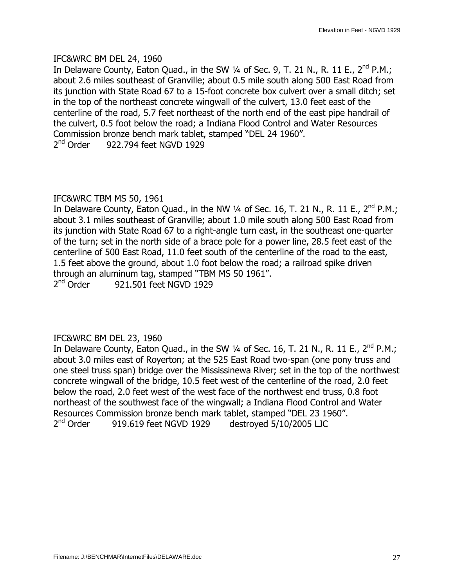#### IFC&WRC BM DEL 24, 1960

In Delaware County, Eaton Quad., in the SW  $\frac{1}{4}$  of Sec. 9, T. 21 N., R. 11 E., 2<sup>nd</sup> P.M.; about 2.6 miles southeast of Granville; about 0.5 mile south along 500 East Road from its junction with State Road 67 to a 15-foot concrete box culvert over a small ditch; set in the top of the northeast concrete wingwall of the culvert, 13.0 feet east of the centerline of the road, 5.7 feet northeast of the north end of the east pipe handrail of the culvert, 0.5 foot below the road; a Indiana Flood Control and Water Resources Commission bronze bench mark tablet, stamped "DEL 24 1960".  $2<sup>nd</sup>$  Order 922.794 feet NGVD 1929

## IFC&WRC TBM MS 50, 1961

In Delaware County, Eaton Quad., in the NW  $\frac{1}{4}$  of Sec. 16, T. 21 N., R. 11 E., 2<sup>nd</sup> P.M.; about 3.1 miles southeast of Granville; about 1.0 mile south along 500 East Road from its junction with State Road 67 to a right-angle turn east, in the southeast one-quarter of the turn; set in the north side of a brace pole for a power line, 28.5 feet east of the centerline of 500 East Road, 11.0 feet south of the centerline of the road to the east, 1.5 feet above the ground, about 1.0 foot below the road; a railroad spike driven through an aluminum tag, stamped "TBM MS 50 1961".<br> $2<sup>nd</sup> Order 921.501 feet NGVD 1929$ 921.501 feet NGVD 1929

## IFC&WRC BM DEL 23, 1960

In Delaware County, Eaton Quad., in the SW  $\frac{1}{4}$  of Sec. 16, T. 21 N., R. 11 E., 2<sup>nd</sup> P.M.; about 3.0 miles east of Royerton; at the 525 East Road two-span (one pony truss and one steel truss span) bridge over the Mississinewa River; set in the top of the northwest concrete wingwall of the bridge, 10.5 feet west of the centerline of the road, 2.0 feet below the road, 2.0 feet west of the west face of the northwest end truss, 0.8 foot northeast of the southwest face of the wingwall; a Indiana Flood Control and Water Resources Commission bronze bench mark tablet, stamped "DEL 23 1960".  $2<sup>nd</sup>$  Order 919.619 feet NGVD 1929 destroyed 5/10/2005 LJC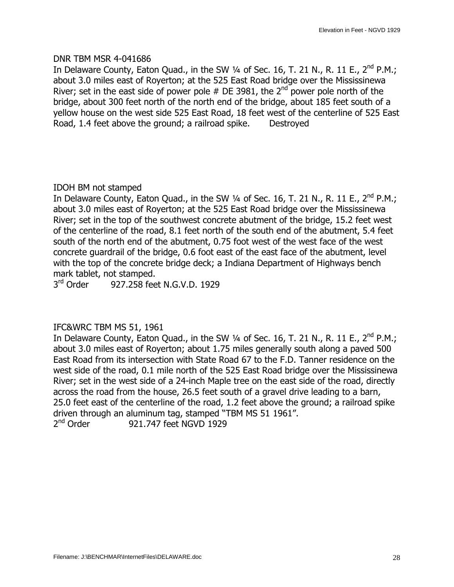#### DNR TBM MSR 4-041686

In Delaware County, Eaton Quad., in the SW  $\frac{1}{4}$  of Sec. 16, T. 21 N., R. 11 E., 2<sup>nd</sup> P.M.; about 3.0 miles east of Royerton; at the 525 East Road bridge over the Mississinewa River; set in the east side of power pole  $#$  DE 3981, the 2<sup>nd</sup> power pole north of the bridge, about 300 feet north of the north end of the bridge, about 185 feet south of a yellow house on the west side 525 East Road, 18 feet west of the centerline of 525 East Road, 1.4 feet above the ground; a railroad spike. Destroyed

## IDOH BM not stamped

In Delaware County, Eaton Quad., in the SW  $\frac{1}{4}$  of Sec. 16, T. 21 N., R. 11 E., 2<sup>nd</sup> P.M.; about 3.0 miles east of Royerton; at the 525 East Road bridge over the Mississinewa River; set in the top of the southwest concrete abutment of the bridge, 15.2 feet west of the centerline of the road, 8.1 feet north of the south end of the abutment, 5.4 feet south of the north end of the abutment, 0.75 foot west of the west face of the west concrete guardrail of the bridge, 0.6 foot east of the east face of the abutment, level with the top of the concrete bridge deck; a Indiana Department of Highways bench mark tablet, not stamped.

3<sup>rd</sup> Order 927.258 feet N.G.V.D. 1929

## IFC&WRC TBM MS 51, 1961

In Delaware County, Eaton Quad., in the SW  $\frac{1}{4}$  of Sec. 16, T. 21 N., R. 11 E., 2<sup>nd</sup> P.M.; about 3.0 miles east of Royerton; about 1.75 miles generally south along a paved 500 East Road from its intersection with State Road 67 to the F.D. Tanner residence on the west side of the road, 0.1 mile north of the 525 East Road bridge over the Mississinewa River; set in the west side of a 24-inch Maple tree on the east side of the road, directly across the road from the house, 26.5 feet south of a gravel drive leading to a barn, 25.0 feet east of the centerline of the road, 1.2 feet above the ground; a railroad spike driven through an aluminum tag, stamped "TBM MS 51 1961". 2<sup>nd</sup> Order 921.747 feet NGVD 1929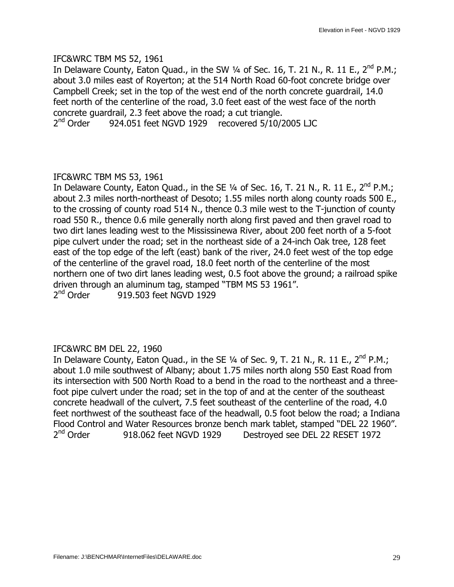#### IFC&WRC TBM MS 52, 1961

In Delaware County, Eaton Quad., in the SW  $\frac{1}{4}$  of Sec. 16, T. 21 N., R. 11 E., 2<sup>nd</sup> P.M.; about 3.0 miles east of Royerton; at the 514 North Road 60-foot concrete bridge over Campbell Creek; set in the top of the west end of the north concrete guardrail, 14.0 feet north of the centerline of the road, 3.0 feet east of the west face of the north concrete guardrail, 2.3 feet above the road; a cut triangle.

2<sup>nd</sup> Order 924.051 feet NGVD 1929 recovered 5/10/2005 LJC

## IFC&WRC TBM MS 53, 1961

In Delaware County, Eaton Quad., in the SE  $\frac{1}{4}$  of Sec. 16, T. 21 N., R. 11 E., 2<sup>nd</sup> P.M.; about 2.3 miles north-northeast of Desoto; 1.55 miles north along county roads 500 E., to the crossing of county road 514 N., thence 0.3 mile west to the T-junction of county road 550 R., thence 0.6 mile generally north along first paved and then gravel road to two dirt lanes leading west to the Mississinewa River, about 200 feet north of a 5-foot pipe culvert under the road; set in the northeast side of a 24-inch Oak tree, 128 feet east of the top edge of the left (east) bank of the river, 24.0 feet west of the top edge of the centerline of the gravel road, 18.0 feet north of the centerline of the most northern one of two dirt lanes leading west, 0.5 foot above the ground; a railroad spike driven through an aluminum tag, stamped "TBM MS 53 1961".  $2<sup>nd</sup>$  Order 919.503 feet NGVD 1929

# IFC&WRC BM DEL 22, 1960

In Delaware County, Eaton Quad., in the SE  $\frac{1}{4}$  of Sec. 9, T. 21 N., R. 11 E., 2<sup>nd</sup> P.M.; about 1.0 mile southwest of Albany; about 1.75 miles north along 550 East Road from its intersection with 500 North Road to a bend in the road to the northeast and a threefoot pipe culvert under the road; set in the top of and at the center of the southeast concrete headwall of the culvert, 7.5 feet southeast of the centerline of the road, 4.0 feet northwest of the southeast face of the headwall, 0.5 foot below the road; a Indiana Flood Control and Water Resources bronze bench mark tablet, stamped "DEL 22 1960". 2<sup>nd</sup> Order 918.062 feet NGVD 1929 Destroyed see DEL 22 RESET 1972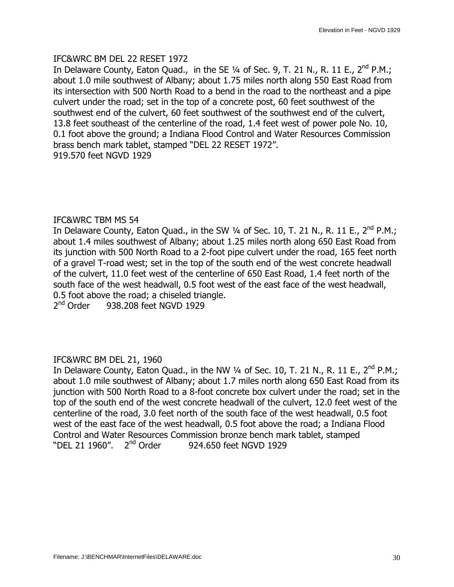## IFC&WRC BM DEL 22 RESET 1972

In Delaware County, Eaton Quad., in the SE  $\frac{1}{4}$  of Sec. 9, T. 21 N., R. 11 E., 2<sup>nd</sup> P.M.; about 1.0 mile southwest of Albany; about 1.75 miles north along 550 East Road from its intersection with 500 North Road to a bend in the road to the northeast and a pipe culvert under the road; set in the top of a concrete post, 60 feet southwest of the southwest end of the culvert, 60 feet southwest of the southwest end of the culvert, 13.8 feet southeast of the centerline of the road, 1.4 feet west of power pole No. 10, 0.1 foot above the ground; a Indiana Flood Control and Water Resources Commission brass bench mark tablet, stamped "DEL 22 RESET 1972". 919.570 feet NGVD 1929

## IFC&WRC TBM MS 54

In Delaware County, Eaton Quad., in the SW 1/4 of Sec. 10, T. 21 N., R. 11 E., 2<sup>nd</sup> P.M.; about 1.4 miles southwest of Albany; about 1.25 miles north along 650 East Road from its junction with 500 North Road to a 2-foot pipe culvert under the road, 165 feet north of a gravel T-road west; set in the top of the south end of the west concrete headwall of the culvert, 11.0 feet west of the centerline of 650 East Road, 1.4 feet north of the south face of the west headwall, 0.5 foot west of the east face of the west headwall, 0.5 foot above the road; a chiseled triangle.

2<sup>nd</sup> Order 938.208 feet NGVD 1929

## IFC&WRC BM DEL 21, 1960

In Delaware County, Eaton Quad., in the NW 1/4 of Sec. 10, T. 21 N., R. 11 E., 2<sup>nd</sup> P.M.; about 1.0 mile southwest of Albany; about 1.7 miles north along 650 East Road from its junction with 500 North Road to a 8-foot concrete box culvert under the road; set in the top of the south end of the west concrete headwall of the culvert, 12.0 feet west of the centerline of the road, 3.0 feet north of the south face of the west headwall, 0.5 foot west of the east face of the west headwall, 0.5 foot above the road; a Indiana Flood Control and Water Resources Commission bronze bench mark tablet, stamped "DEL 21 1960". 2<sup>nd</sup> Order 924.650 feet NGVD 1929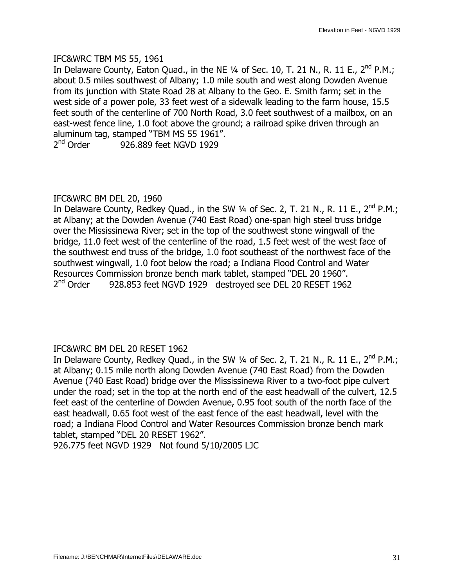#### IFC&WRC TBM MS 55, 1961

In Delaware County, Eaton Quad., in the NE  $\frac{1}{4}$  of Sec. 10, T. 21 N., R. 11 E., 2<sup>nd</sup> P.M.; about 0.5 miles southwest of Albany; 1.0 mile south and west along Dowden Avenue from its junction with State Road 28 at Albany to the Geo. E. Smith farm; set in the west side of a power pole, 33 feet west of a sidewalk leading to the farm house, 15.5 feet south of the centerline of 700 North Road, 3.0 feet southwest of a mailbox, on an east-west fence line, 1.0 foot above the ground; a railroad spike driven through an aluminum tag, stamped "TBM MS 55 1961".

2nd Order 926.889 feet NGVD 1929

## IFC&WRC BM DEL 20, 1960

In Delaware County, Redkey Quad., in the SW  $\frac{1}{4}$  of Sec. 2, T. 21 N., R. 11 E., 2<sup>nd</sup> P.M.; at Albany; at the Dowden Avenue (740 East Road) one-span high steel truss bridge over the Mississinewa River; set in the top of the southwest stone wingwall of the bridge, 11.0 feet west of the centerline of the road, 1.5 feet west of the west face of the southwest end truss of the bridge, 1.0 foot southeast of the northwest face of the southwest wingwall, 1.0 foot below the road; a Indiana Flood Control and Water Resources Commission bronze bench mark tablet, stamped "DEL 20 1960". 2<sup>nd</sup> Order 928.853 feet NGVD 1929 destroyed see DEL 20 RESET 1962

## IFC&WRC BM DEL 20 RESET 1962

In Delaware County, Redkey Quad., in the SW  $1/4$  of Sec. 2, T. 21 N., R. 11 E., 2<sup>nd</sup> P.M.; at Albany; 0.15 mile north along Dowden Avenue (740 East Road) from the Dowden Avenue (740 East Road) bridge over the Mississinewa River to a two-foot pipe culvert under the road; set in the top at the north end of the east headwall of the culvert, 12.5 feet east of the centerline of Dowden Avenue, 0.95 foot south of the north face of the east headwall, 0.65 foot west of the east fence of the east headwall, level with the road; a Indiana Flood Control and Water Resources Commission bronze bench mark tablet, stamped "DEL 20 RESET 1962".

926.775 feet NGVD 1929 Not found 5/10/2005 LJC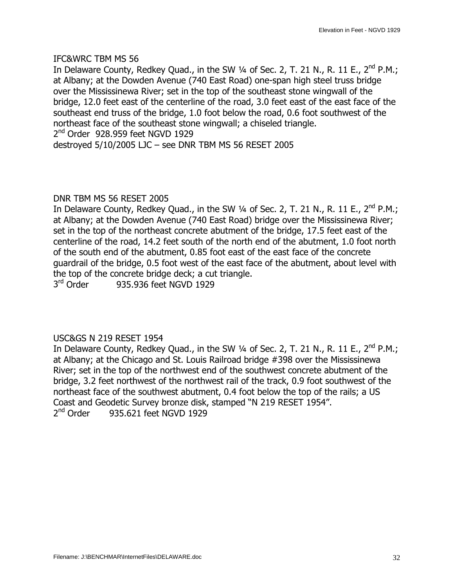In Delaware County, Redkey Quad., in the SW  $\frac{1}{4}$  of Sec. 2, T. 21 N., R. 11 E., 2<sup>nd</sup> P.M.; at Albany; at the Dowden Avenue (740 East Road) one-span high steel truss bridge over the Mississinewa River; set in the top of the southeast stone wingwall of the bridge, 12.0 feet east of the centerline of the road, 3.0 feet east of the east face of the southeast end truss of the bridge, 1.0 foot below the road, 0.6 foot southwest of the northeast face of the southeast stone wingwall; a chiseled triangle.

 $2<sup>nd</sup>$  Order 928.959 feet NGVD 1929

destroyed  $5/10/2005$  LJC - see DNR TBM MS 56 RESET 2005

#### DNR TBM MS 56 RESET 2005

In Delaware County, Redkey Quad., in the SW 1/4 of Sec. 2, T. 21 N., R. 11 E., 2<sup>nd</sup> P.M.; at Albany; at the Dowden Avenue (740 East Road) bridge over the Mississinewa River; set in the top of the northeast concrete abutment of the bridge, 17.5 feet east of the centerline of the road, 14.2 feet south of the north end of the abutment, 1.0 foot north of the south end of the abutment, 0.85 foot east of the east face of the concrete guardrail of the bridge, 0.5 foot west of the east face of the abutment, about level with the top of the concrete bridge deck; a cut triangle.

3<sup>rd</sup> Order 935.936 feet NGVD 1929

## USC&GS N 219 RESET 1954

In Delaware County, Redkey Quad., in the SW 1/4 of Sec. 2, T. 21 N., R. 11 E., 2<sup>nd</sup> P.M.; at Albany; at the Chicago and St. Louis Railroad bridge #398 over the Mississinewa River; set in the top of the northwest end of the southwest concrete abutment of the bridge, 3.2 feet northwest of the northwest rail of the track, 0.9 foot southwest of the northeast face of the southwest abutment, 0.4 foot below the top of the rails; a US Coast and Geodetic Survey bronze disk, stamped "N 219 RESET 1954". 2<sup>nd</sup> Order 935.621 feet NGVD 1929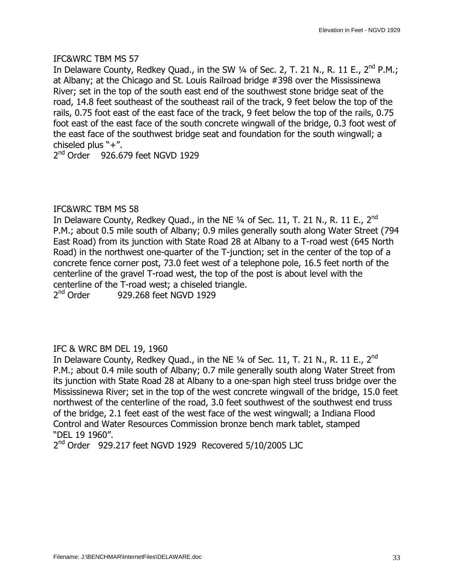In Delaware County, Redkey Quad., in the SW  $\frac{1}{4}$  of Sec. 2, T. 21 N., R. 11 E., 2<sup>nd</sup> P.M.; at Albany; at the Chicago and St. Louis Railroad bridge #398 over the Mississinewa River; set in the top of the south east end of the southwest stone bridge seat of the road, 14.8 feet southeast of the southeast rail of the track, 9 feet below the top of the rails, 0.75 foot east of the east face of the track, 9 feet below the top of the rails, 0.75 foot east of the east face of the south concrete wingwall of the bridge, 0.3 foot west of the east face of the southwest bridge seat and foundation for the south wingwall; a chiseled plus  $"+''.$ 

 $2<sup>nd</sup>$  Order 926.679 feet NGVD 1929

## IFC&WRC TBM MS 58

In Delaware County, Redkey Quad., in the NE  $\frac{1}{4}$  of Sec. 11, T. 21 N., R. 11 E., 2<sup>nd</sup> P.M.; about 0.5 mile south of Albany; 0.9 miles generally south along Water Street (794 East Road) from its junction with State Road 28 at Albany to a T-road west (645 North Road) in the northwest one-quarter of the T-junction; set in the center of the top of a concrete fence corner post, 73.0 feet west of a telephone pole, 16.5 feet north of the centerline of the gravel T-road west, the top of the post is about level with the centerline of the T-road west; a chiseled triangle.<br> $2<sup>nd</sup> Order$  929.268 feet NGVD 1929

929.268 feet NGVD 1929

## IFC & WRC BM DEL 19, 1960

In Delaware County, Redkey Quad., in the NE  $\frac{1}{4}$  of Sec. 11, T. 21 N., R. 11 E., 2<sup>nd</sup> P.M.; about 0.4 mile south of Albany; 0.7 mile generally south along Water Street from its junction with State Road 28 at Albany to a one-span high steel truss bridge over the Mississinewa River; set in the top of the west concrete wingwall of the bridge, 15.0 feet northwest of the centerline of the road, 3.0 feet southwest of the southwest end truss of the bridge, 2.1 feet east of the west face of the west wingwall; a Indiana Flood Control and Water Resources Commission bronze bench mark tablet, stamped —DEL 19 1960".

2<sup>nd</sup> Order 929.217 feet NGVD 1929 Recovered 5/10/2005 LJC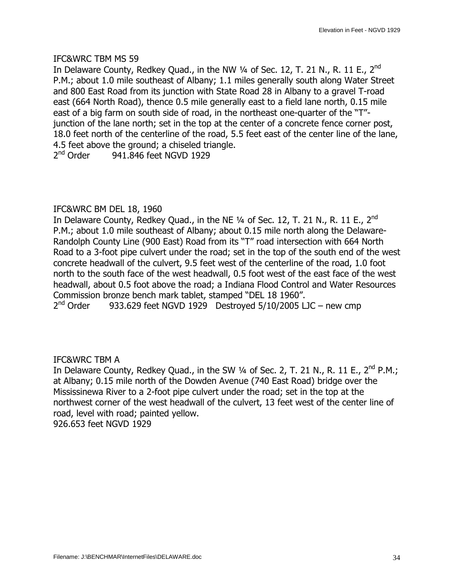In Delaware County, Redkey Quad., in the NW  $\frac{1}{4}$  of Sec. 12, T. 21 N., R. 11 E., 2<sup>nd</sup> P.M.; about 1.0 mile southeast of Albany; 1.1 miles generally south along Water Street and 800 East Road from its junction with State Road 28 in Albany to a gravel T-road east (664 North Road), thence 0.5 mile generally east to a field lane north, 0.15 mile east of a big farm on south side of road, in the northeast one-quarter of the "T"junction of the lane north; set in the top at the center of a concrete fence corner post, 18.0 feet north of the centerline of the road, 5.5 feet east of the center line of the lane, 4.5 feet above the ground; a chiseled triangle.  $2<sup>nd</sup>$  Order 941.846 feet NGVD 1929

## IFC&WRC BM DEL 18, 1960

In Delaware County, Redkey Quad., in the NE  $\frac{1}{4}$  of Sec. 12, T. 21 N., R. 11 E., 2<sup>nd</sup> P.M.; about 1.0 mile southeast of Albany; about 0.15 mile north along the Delaware-Randolph County Line (900 East) Road from its "T" road intersection with 664 North Road to a 3-foot pipe culvert under the road; set in the top of the south end of the west concrete headwall of the culvert, 9.5 feet west of the centerline of the road, 1.0 foot north to the south face of the west headwall, 0.5 foot west of the east face of the west headwall, about 0.5 foot above the road; a Indiana Flood Control and Water Resources Commission bronze bench mark tablet, stamped "DEL 18 1960".  $2<sup>nd</sup>$  Order 933.629 feet NGVD 1929 Destroyed 5/10/2005 LJC – new cmp

#### IFC&WRC TBM A

In Delaware County, Redkey Quad., in the SW  $\frac{1}{4}$  of Sec. 2, T. 21 N., R. 11 E., 2<sup>nd</sup> P.M.; at Albany; 0.15 mile north of the Dowden Avenue (740 East Road) bridge over the Mississinewa River to a 2-foot pipe culvert under the road; set in the top at the northwest corner of the west headwall of the culvert, 13 feet west of the center line of road, level with road; painted yellow. 926.653 feet NGVD 1929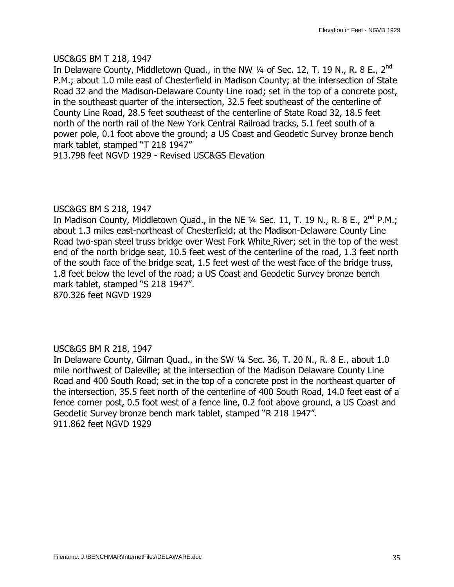#### USC&GS BM T 218, 1947

In Delaware County, Middletown Quad., in the NW  $\frac{1}{4}$  of Sec. 12, T. 19 N., R. 8 E., 2<sup>nd</sup> P.M.; about 1.0 mile east of Chesterfield in Madison County; at the intersection of State Road 32 and the Madison-Delaware County Line road; set in the top of a concrete post, in the southeast quarter of the intersection, 32.5 feet southeast of the centerline of County Line Road, 28.5 feet southeast of the centerline of State Road 32, 18.5 feet north of the north rail of the New York Central Railroad tracks, 5.1 feet south of a power pole, 0.1 foot above the ground; a US Coast and Geodetic Survey bronze bench mark tablet, stamped "T 218 1947"

913.798 feet NGVD 1929 - Revised USC&GS Elevation

## USC&GS BM S 218, 1947

In Madison County, Middletown Quad., in the NE  $\frac{1}{4}$  Sec. 11, T. 19 N., R. 8 E., 2<sup>nd</sup> P.M.; about 1.3 miles east-northeast of Chesterfield; at the Madison-Delaware County Line Road two-span steel truss bridge over West Fork White River; set in the top of the west end of the north bridge seat, 10.5 feet west of the centerline of the road, 1.3 feet north of the south face of the bridge seat, 1.5 feet west of the west face of the bridge truss, 1.8 feet below the level of the road; a US Coast and Geodetic Survey bronze bench mark tablet, stamped "S 218 1947".

870.326 feet NGVD 1929

## USC&GS BM R 218, 1947

In Delaware County, Gilman Quad., in the SW 1/4 Sec. 36, T. 20 N., R. 8 E., about 1.0 mile northwest of Daleville; at the intersection of the Madison Delaware County Line Road and 400 South Road; set in the top of a concrete post in the northeast quarter of the intersection, 35.5 feet north of the centerline of 400 South Road, 14.0 feet east of a fence corner post, 0.5 foot west of a fence line, 0.2 foot above ground, a US Coast and Geodetic Survey bronze bench mark tablet, stamped "R 218 1947". 911.862 feet NGVD 1929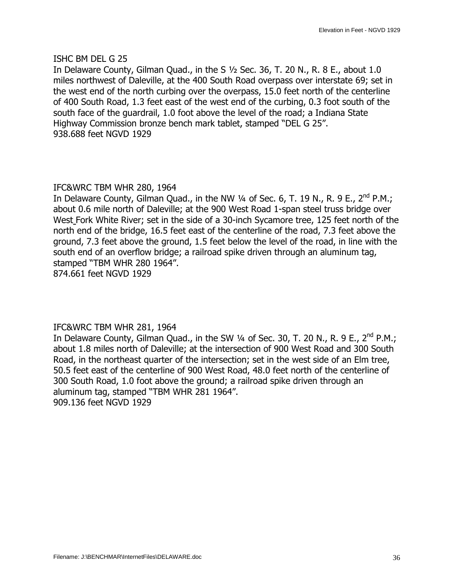#### ISHC BM DEL G 25

In Delaware County, Gilman Quad., in the S  $1/2$  Sec. 36, T. 20 N., R. 8 E., about 1.0 miles northwest of Daleville, at the 400 South Road overpass over interstate 69; set in the west end of the north curbing over the overpass, 15.0 feet north of the centerline of 400 South Road, 1.3 feet east of the west end of the curbing, 0.3 foot south of the south face of the guardrail, 1.0 foot above the level of the road; a Indiana State Highway Commission bronze bench mark tablet, stamped "DEL G 25". 938.688 feet NGVD 1929

#### IFC&WRC TBM WHR 280, 1964

In Delaware County, Gilman Quad., in the NW  $\frac{1}{4}$  of Sec. 6, T. 19 N., R. 9 E., 2<sup>nd</sup> P.M.; about 0.6 mile north of Daleville; at the 900 West Road 1-span steel truss bridge over West Fork White River; set in the side of a 30-inch Sycamore tree, 125 feet north of the north end of the bridge, 16.5 feet east of the centerline of the road, 7.3 feet above the ground, 7.3 feet above the ground, 1.5 feet below the level of the road, in line with the south end of an overflow bridge; a railroad spike driven through an aluminum tag, stamped "TBM WHR 280 1964". 874.661 feet NGVD 1929

#### IFC&WRC TBM WHR 281, 1964

In Delaware County, Gilman Quad., in the SW  $\frac{1}{4}$  of Sec. 30, T. 20 N., R. 9 E., 2<sup>nd</sup> P.M.; about 1.8 miles north of Daleville; at the intersection of 900 West Road and 300 South Road, in the northeast quarter of the intersection; set in the west side of an Elm tree, 50.5 feet east of the centerline of 900 West Road, 48.0 feet north of the centerline of 300 South Road, 1.0 foot above the ground; a railroad spike driven through an aluminum tag, stamped "TBM WHR 281 1964". 909.136 feet NGVD 1929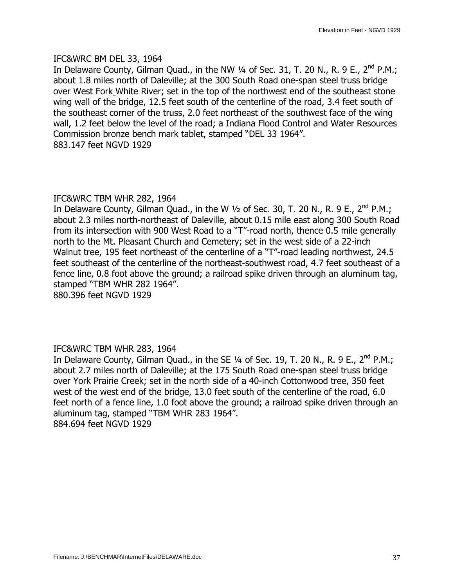### IFC&WRC BM DEL 33, 1964

In Delaware County, Gilman Quad., in the NW  $\frac{1}{4}$  of Sec. 31, T. 20 N., R. 9 E., 2<sup>nd</sup> P.M.; about 1.8 miles north of Daleville; at the 300 South Road one-span steel truss bridge over West Fork White River; set in the top of the northwest end of the southeast stone wing wall of the bridge, 12.5 feet south of the centerline of the road, 3.4 feet south of the southeast corner of the truss, 2.0 feet northeast of the southwest face of the wing wall, 1.2 feet below the level of the road; a Indiana Flood Control and Water Resources Commission bronze bench mark tablet, stamped "DEL 33 1964". 883.147 feet NGVD 1929

### IFC&WRC TBM WHR 282, 1964

In Delaware County, Gilman Quad., in the W  $1/2$  of Sec. 30, T. 20 N., R. 9 E., 2<sup>nd</sup> P.M.; about 2.3 miles north-northeast of Daleville, about 0.15 mile east along 300 South Road from its intersection with 900 West Road to a "T"-road north, thence 0.5 mile generally north to the Mt. Pleasant Church and Cemetery; set in the west side of a 22-inch Walnut tree, 195 feet northeast of the centerline of a "T"-road leading northwest, 24.5 feet southeast of the centerline of the northeast-southwest road, 4.7 feet southeast of a fence line, 0.8 foot above the ground; a railroad spike driven through an aluminum tag, stamped "TBM WHR 282 1964".

880.396 feet NGVD 1929

### IFC&WRC TBM WHR 283, 1964

In Delaware County, Gilman Quad., in the SE  $\frac{1}{4}$  of Sec. 19, T. 20 N., R. 9 E., 2<sup>nd</sup> P.M.; about 2.7 miles north of Daleville; at the 175 South Road one-span steel truss bridge over York Prairie Creek; set in the north side of a 40-inch Cottonwood tree, 350 feet west of the west end of the bridge, 13.0 feet south of the centerline of the road, 6.0 feet north of a fence line, 1.0 foot above the ground; a railroad spike driven through an aluminum tag, stamped "TBM WHR 283 1964". 884.694 feet NGVD 1929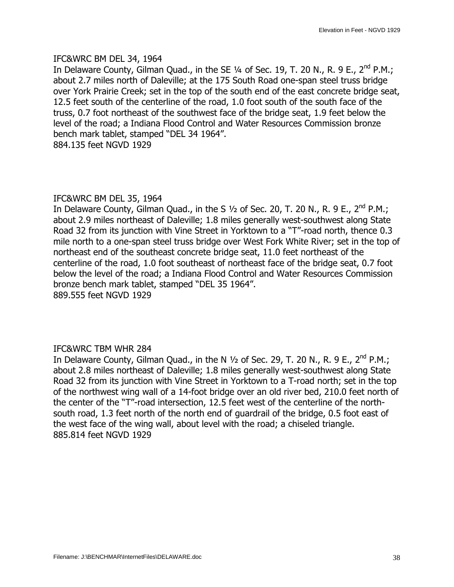### IFC&WRC BM DEL 34, 1964

In Delaware County, Gilman Quad., in the SE  $\frac{1}{4}$  of Sec. 19, T. 20 N., R. 9 E., 2<sup>nd</sup> P.M.; about 2.7 miles north of Daleville; at the 175 South Road one-span steel truss bridge over York Prairie Creek; set in the top of the south end of the east concrete bridge seat, 12.5 feet south of the centerline of the road, 1.0 foot south of the south face of the truss, 0.7 foot northeast of the southwest face of the bridge seat, 1.9 feet below the level of the road; a Indiana Flood Control and Water Resources Commission bronze bench mark tablet, stamped "DEL 34 1964". 884.135 feet NGVD 1929

### IFC&WRC BM DEL 35, 1964

In Delaware County, Gilman Quad., in the S  $1/2$  of Sec. 20, T. 20 N., R. 9 E., 2<sup>nd</sup> P.M.; about 2.9 miles northeast of Daleville; 1.8 miles generally west-southwest along State Road 32 from its junction with Vine Street in Yorktown to a "T"-road north, thence 0.3 mile north to a one-span steel truss bridge over West Fork White River; set in the top of northeast end of the southeast concrete bridge seat, 11.0 feet northeast of the centerline of the road, 1.0 foot southeast of northeast face of the bridge seat, 0.7 foot below the level of the road; a Indiana Flood Control and Water Resources Commission bronze bench mark tablet, stamped "DEL 35 1964". 889.555 feet NGVD 1929

### IFC&WRC TBM WHR 284

In Delaware County, Gilman Quad., in the N  $1/2$  of Sec. 29, T. 20 N., R. 9 E., 2<sup>nd</sup> P.M.; about 2.8 miles northeast of Daleville; 1.8 miles generally west-southwest along State Road 32 from its junction with Vine Street in Yorktown to a T-road north; set in the top of the northwest wing wall of a 14-foot bridge over an old river bed, 210.0 feet north of the center of the "T"-road intersection, 12.5 feet west of the centerline of the northsouth road, 1.3 feet north of the north end of guardrail of the bridge, 0.5 foot east of the west face of the wing wall, about level with the road; a chiseled triangle. 885.814 feet NGVD 1929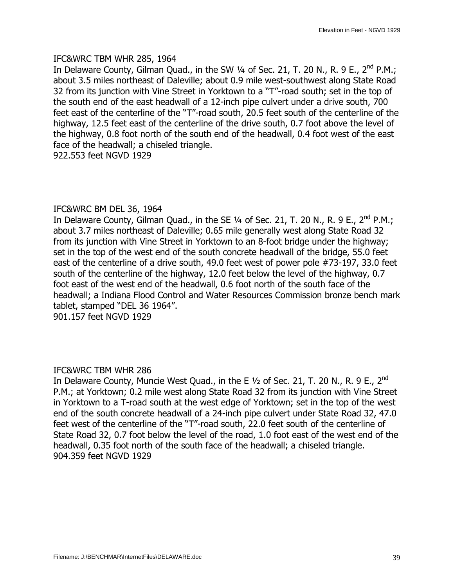#### IFC&WRC TBM WHR 285, 1964

In Delaware County, Gilman Ouad., in the SW  $\frac{1}{4}$  of Sec. 21, T. 20 N., R. 9 E., 2<sup>nd</sup> P.M.; about 3.5 miles northeast of Daleville; about 0.9 mile west-southwest along State Road 32 from its junction with Vine Street in Yorktown to a "T"-road south; set in the top of the south end of the east headwall of a 12-inch pipe culvert under a drive south, 700 feet east of the centerline of the "T"-road south, 20.5 feet south of the centerline of the highway, 12.5 feet east of the centerline of the drive south, 0.7 foot above the level of the highway, 0.8 foot north of the south end of the headwall, 0.4 foot west of the east face of the headwall; a chiseled triangle.

922.553 feet NGVD 1929

### IFC&WRC BM DEL 36, 1964

In Delaware County, Gilman Quad., in the SE  $\frac{1}{4}$  of Sec. 21, T. 20 N., R. 9 E., 2<sup>nd</sup> P.M.; about 3.7 miles northeast of Daleville; 0.65 mile generally west along State Road 32 from its junction with Vine Street in Yorktown to an 8-foot bridge under the highway; set in the top of the west end of the south concrete headwall of the bridge, 55.0 feet east of the centerline of a drive south, 49.0 feet west of power pole #73-197, 33.0 feet south of the centerline of the highway, 12.0 feet below the level of the highway, 0.7 foot east of the west end of the headwall, 0.6 foot north of the south face of the headwall; a Indiana Flood Control and Water Resources Commission bronze bench mark tablet, stamped "DEL 36 1964".

901.157 feet NGVD 1929

### IFC&WRC TBM WHR 286

In Delaware County, Muncie West Quad., in the E  $1/2$  of Sec. 21, T. 20 N., R. 9 E., 2<sup>nd</sup> P.M.; at Yorktown; 0.2 mile west along State Road 32 from its junction with Vine Street in Yorktown to a T-road south at the west edge of Yorktown; set in the top of the west end of the south concrete headwall of a 24-inch pipe culvert under State Road 32, 47.0 feet west of the centerline of the "T"-road south, 22.0 feet south of the centerline of State Road 32, 0.7 foot below the level of the road, 1.0 foot east of the west end of the headwall, 0.35 foot north of the south face of the headwall; a chiseled triangle. 904.359 feet NGVD 1929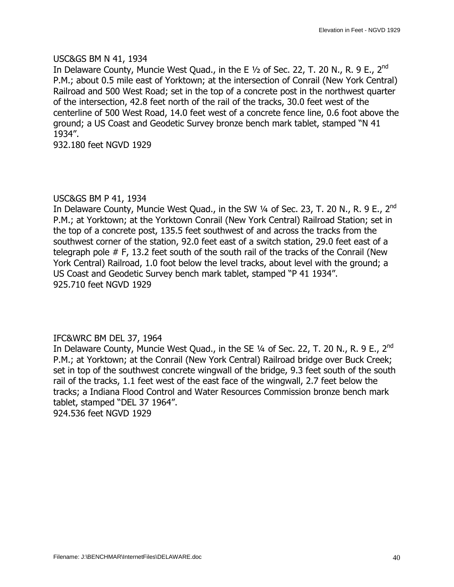### USC&GS BM N 41, 1934

In Delaware County, Muncie West Quad., in the E 1/2 of Sec. 22, T. 20 N., R. 9 E., 2<sup>nd</sup> P.M.; about 0.5 mile east of Yorktown; at the intersection of Conrail (New York Central) Railroad and 500 West Road; set in the top of a concrete post in the northwest quarter of the intersection, 42.8 feet north of the rail of the tracks, 30.0 feet west of the centerline of 500 West Road, 14.0 feet west of a concrete fence line, 0.6 foot above the ground; a US Coast and Geodetic Survey bronze bench mark tablet, stamped "N 41 1934".

932.180 feet NGVD 1929

### USC&GS BM P 41, 1934

In Delaware County, Muncie West Quad., in the SW  $\frac{1}{4}$  of Sec. 23, T. 20 N., R. 9 E., 2<sup>nd</sup> P.M.; at Yorktown; at the Yorktown Conrail (New York Central) Railroad Station; set in the top of a concrete post, 135.5 feet southwest of and across the tracks from the southwest corner of the station, 92.0 feet east of a switch station, 29.0 feet east of a telegraph pole # F, 13.2 feet south of the south rail of the tracks of the Conrail (New York Central) Railroad, 1.0 foot below the level tracks, about level with the ground; a US Coast and Geodetic Survey bench mark tablet, stamped "P 41 1934". 925.710 feet NGVD 1929

### IFC&WRC BM DEL 37, 1964

In Delaware County, Muncie West Quad., in the SE  $\frac{1}{4}$  of Sec. 22, T. 20 N., R. 9 E., 2<sup>nd</sup> P.M.; at Yorktown; at the Conrail (New York Central) Railroad bridge over Buck Creek; set in top of the southwest concrete wingwall of the bridge, 9.3 feet south of the south rail of the tracks, 1.1 feet west of the east face of the wingwall, 2.7 feet below the tracks; a Indiana Flood Control and Water Resources Commission bronze bench mark tablet, stamped "DEL 37 1964". 924.536 feet NGVD 1929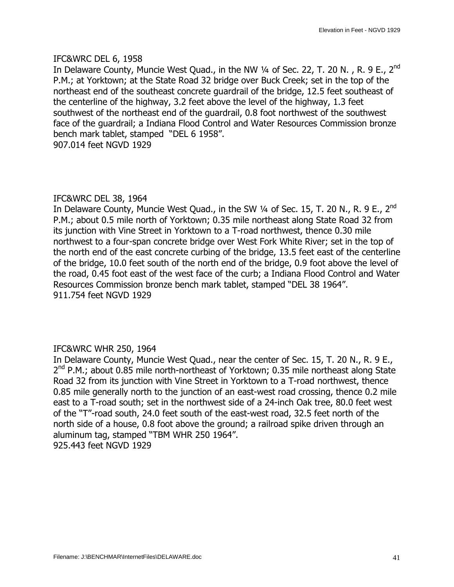### IFC&WRC DEL 6, 1958

In Delaware County, Muncie West Quad., in the NW 1/4 of Sec. 22, T. 20 N., R. 9 E., 2<sup>nd</sup> P.M.; at Yorktown; at the State Road 32 bridge over Buck Creek; set in the top of the northeast end of the southeast concrete guardrail of the bridge, 12.5 feet southeast of the centerline of the highway, 3.2 feet above the level of the highway, 1.3 feet southwest of the northeast end of the guardrail, 0.8 foot northwest of the southwest face of the guardrail; a Indiana Flood Control and Water Resources Commission bronze bench mark tablet, stamped "DEL 6 1958". 907.014 feet NGVD 1929

### IFC&WRC DEL 38, 1964

In Delaware County, Muncie West Quad., in the SW 1/4 of Sec. 15, T. 20 N., R. 9 E., 2<sup>nd</sup> P.M.; about 0.5 mile north of Yorktown; 0.35 mile northeast along State Road 32 from its junction with Vine Street in Yorktown to a T-road northwest, thence 0.30 mile northwest to a four-span concrete bridge over West Fork White River; set in the top of the north end of the east concrete curbing of the bridge, 13.5 feet east of the centerline of the bridge, 10.0 feet south of the north end of the bridge, 0.9 foot above the level of the road, 0.45 foot east of the west face of the curb; a Indiana Flood Control and Water Resources Commission bronze bench mark tablet, stamped "DEL 38 1964". 911.754 feet NGVD 1929

### IFC&WRC WHR 250, 1964

In Delaware County, Muncie West Quad., near the center of Sec. 15, T. 20 N., R. 9 E.,  $2^{nd}$  P.M.; about 0.85 mile north-northeast of Yorktown; 0.35 mile northeast along State Road 32 from its junction with Vine Street in Yorktown to a T-road northwest, thence 0.85 mile generally north to the junction of an east-west road crossing, thence 0.2 mile east to a T-road south; set in the northwest side of a 24-inch Oak tree, 80.0 feet west of the "T"-road south, 24.0 feet south of the east-west road, 32.5 feet north of the north side of a house, 0.8 foot above the ground; a railroad spike driven through an aluminum tag, stamped "TBM WHR 250 1964". 925.443 feet NGVD 1929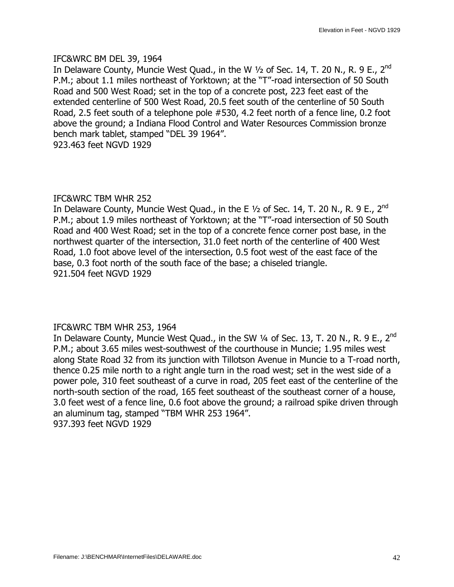#### IFC&WRC BM DEL 39, 1964

In Delaware County, Muncie West Quad., in the W  $1/2$  of Sec. 14, T. 20 N., R. 9 E., 2<sup>nd</sup> P.M.; about 1.1 miles northeast of Yorktown; at the "T"-road intersection of 50 South Road and 500 West Road; set in the top of a concrete post, 223 feet east of the extended centerline of 500 West Road, 20.5 feet south of the centerline of 50 South Road, 2.5 feet south of a telephone pole #530, 4.2 feet north of a fence line, 0.2 foot above the ground; a Indiana Flood Control and Water Resources Commission bronze bench mark tablet, stamped "DEL 39 1964". 923.463 feet NGVD 1929

### IFC&WRC TBM WHR 252

In Delaware County, Muncie West Quad., in the E  $1/2$  of Sec. 14, T. 20 N., R. 9 E., 2<sup>nd</sup> P.M.; about 1.9 miles northeast of Yorktown; at the "T"-road intersection of 50 South Road and 400 West Road; set in the top of a concrete fence corner post base, in the northwest quarter of the intersection, 31.0 feet north of the centerline of 400 West Road, 1.0 foot above level of the intersection, 0.5 foot west of the east face of the base, 0.3 foot north of the south face of the base; a chiseled triangle. 921.504 feet NGVD 1929

### IFC&WRC TBM WHR 253, 1964

In Delaware County, Muncie West Quad., in the SW  $\frac{1}{4}$  of Sec. 13, T. 20 N., R. 9 E., 2<sup>nd</sup> P.M.; about 3.65 miles west-southwest of the courthouse in Muncie; 1.95 miles west along State Road 32 from its junction with Tillotson Avenue in Muncie to a T-road north, thence 0.25 mile north to a right angle turn in the road west; set in the west side of a power pole, 310 feet southeast of a curve in road, 205 feet east of the centerline of the north-south section of the road, 165 feet southeast of the southeast corner of a house, 3.0 feet west of a fence line, 0.6 foot above the ground; a railroad spike driven through an aluminum tag, stamped "TBM WHR 253 1964". 937.393 feet NGVD 1929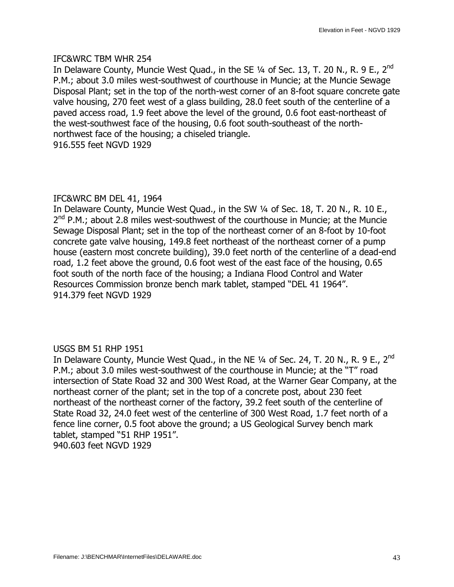### IFC&WRC TBM WHR 254

In Delaware County, Muncie West Quad., in the SE  $\frac{1}{4}$  of Sec. 13, T. 20 N., R. 9 E., 2<sup>nd</sup> P.M.; about 3.0 miles west-southwest of courthouse in Muncie; at the Muncie Sewage Disposal Plant; set in the top of the north-west corner of an 8-foot square concrete gate valve housing, 270 feet west of a glass building, 28.0 feet south of the centerline of a paved access road, 1.9 feet above the level of the ground, 0.6 foot east-northeast of the west-southwest face of the housing, 0.6 foot south-southeast of the northnorthwest face of the housing; a chiseled triangle. 916.555 feet NGVD 1929

# IFC&WRC BM DEL 41, 1964

In Delaware County, Muncie West Quad., in the SW 1/4 of Sec. 18, T. 20 N., R. 10 E.,  $2^{nd}$  P.M.; about 2.8 miles west-southwest of the courthouse in Muncie; at the Muncie Sewage Disposal Plant; set in the top of the northeast corner of an 8-foot by 10-foot concrete gate valve housing, 149.8 feet northeast of the northeast corner of a pump house (eastern most concrete building), 39.0 feet north of the centerline of a dead-end road, 1.2 feet above the ground, 0.6 foot west of the east face of the housing, 0.65 foot south of the north face of the housing; a Indiana Flood Control and Water Resources Commission bronze bench mark tablet, stamped "DEL 41 1964". 914.379 feet NGVD 1929

### USGS BM 51 RHP 1951

In Delaware County, Muncie West Quad., in the NE 1/4 of Sec. 24, T. 20 N., R. 9 E., 2<sup>nd</sup> P.M.; about 3.0 miles west-southwest of the courthouse in Muncie; at the "T" road intersection of State Road 32 and 300 West Road, at the Warner Gear Company, at the northeast corner of the plant; set in the top of a concrete post, about 230 feet northeast of the northeast corner of the factory, 39.2 feet south of the centerline of State Road 32, 24.0 feet west of the centerline of 300 West Road, 1.7 feet north of a fence line corner, 0.5 foot above the ground; a US Geological Survey bench mark tablet, stamped "51 RHP 1951". 940.603 feet NGVD 1929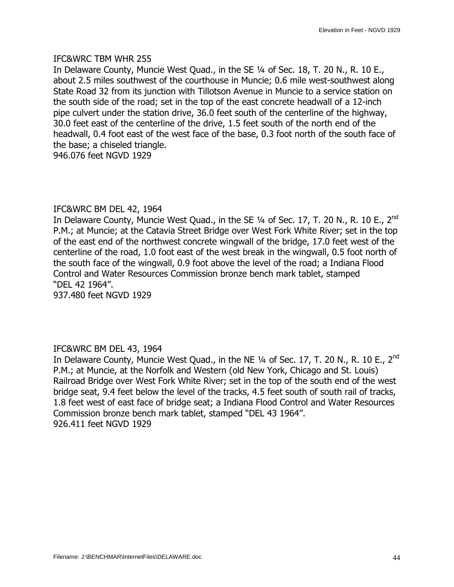#### IFC&WRC TBM WHR 255

In Delaware County, Muncie West Ouad., in the SE 1/4 of Sec. 18, T. 20 N., R. 10 E., about 2.5 miles southwest of the courthouse in Muncie; 0.6 mile west-southwest along State Road 32 from its junction with Tillotson Avenue in Muncie to a service station on the south side of the road; set in the top of the east concrete headwall of a 12-inch pipe culvert under the station drive, 36.0 feet south of the centerline of the highway, 30.0 feet east of the centerline of the drive, 1.5 feet south of the north end of the headwall, 0.4 foot east of the west face of the base, 0.3 foot north of the south face of the base; a chiseled triangle.

946.076 feet NGVD 1929

### IFC&WRC BM DEL 42, 1964

In Delaware County, Muncie West Quad., in the SE  $\frac{1}{4}$  of Sec. 17, T. 20 N., R. 10 E., 2<sup>nd</sup> P.M.; at Muncie; at the Catavia Street Bridge over West Fork White River; set in the top of the east end of the northwest concrete wingwall of the bridge, 17.0 feet west of the centerline of the road, 1.0 foot east of the west break in the wingwall, 0.5 foot north of the south face of the wingwall, 0.9 foot above the level of the road; a Indiana Flood Control and Water Resources Commission bronze bench mark tablet, stamped —DEL 42 1964".

937.480 feet NGVD 1929

### IFC&WRC BM DEL 43, 1964

In Delaware County, Muncie West Quad., in the NE  $1/4$  of Sec. 17, T. 20 N., R. 10 E., 2<sup>nd</sup> P.M.; at Muncie, at the Norfolk and Western (old New York, Chicago and St. Louis) Railroad Bridge over West Fork White River; set in the top of the south end of the west bridge seat, 9.4 feet below the level of the tracks, 4.5 feet south of south rail of tracks, 1.8 feet west of east face of bridge seat; a Indiana Flood Control and Water Resources Commission bronze bench mark tablet, stamped "DEL 43 1964". 926.411 feet NGVD 1929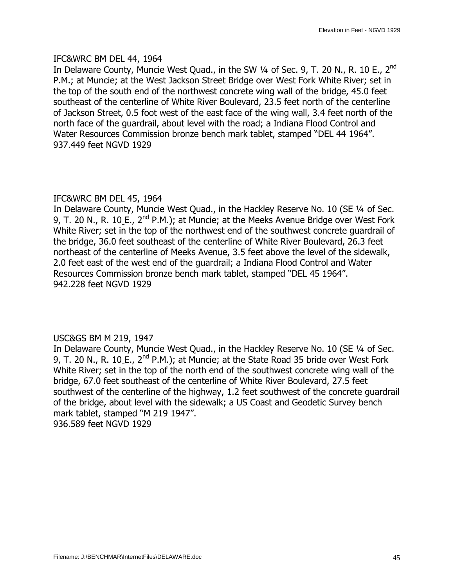### IFC&WRC BM DEL 44, 1964

In Delaware County, Muncie West Quad., in the SW 1/4 of Sec. 9, T. 20 N., R. 10 E., 2nd P.M.; at Muncie; at the West Jackson Street Bridge over West Fork White River; set in the top of the south end of the northwest concrete wing wall of the bridge, 45.0 feet southeast of the centerline of White River Boulevard, 23.5 feet north of the centerline of Jackson Street, 0.5 foot west of the east face of the wing wall, 3.4 feet north of the north face of the guardrail, about level with the road; a Indiana Flood Control and Water Resources Commission bronze bench mark tablet, stamped "DEL 44 1964". 937.449 feet NGVD 1929

### IFC&WRC BM DEL 45, 1964

In Delaware County, Muncie West Quad., in the Hackley Reserve No. 10 (SE 1/4 of Sec. 9, T. 20 N., R. 10 E.,  $2^{nd}$  P.M.); at Muncie; at the Meeks Avenue Bridge over West Fork White River; set in the top of the northwest end of the southwest concrete quardrail of the bridge, 36.0 feet southeast of the centerline of White River Boulevard, 26.3 feet northeast of the centerline of Meeks Avenue, 3.5 feet above the level of the sidewalk, 2.0 feet east of the west end of the guardrail; a Indiana Flood Control and Water Resources Commission bronze bench mark tablet, stamped "DEL 45 1964". 942.228 feet NGVD 1929

### USC&GS BM M 219, 1947

In Delaware County, Muncie West Quad., in the Hackley Reserve No. 10 (SE 1/4 of Sec. 9, T. 20 N., R. 10 E.,  $2^{nd}$  P.M.); at Muncie; at the State Road 35 bride over West Fork White River; set in the top of the north end of the southwest concrete wing wall of the bridge, 67.0 feet southeast of the centerline of White River Boulevard, 27.5 feet southwest of the centerline of the highway, 1.2 feet southwest of the concrete guardrail of the bridge, about level with the sidewalk; a US Coast and Geodetic Survey bench mark tablet, stamped "M 219 1947". 936.589 feet NGVD 1929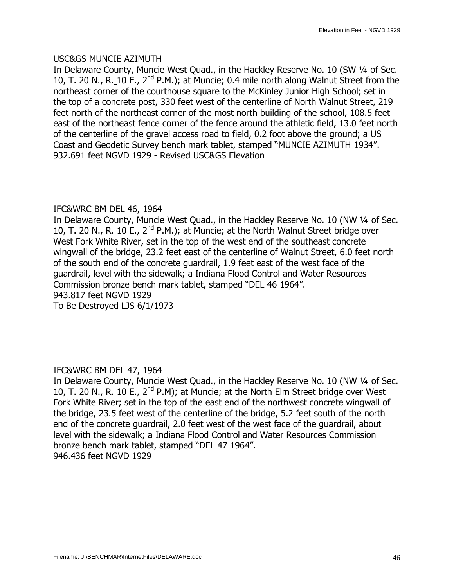### USC&GS MUNCIE AZIMUTH

In Delaware County, Muncie West Quad., in the Hackley Reserve No. 10 (SW 1/4 of Sec. 10, T. 20 N., R. 10 E.,  $2^{nd}$  P.M.); at Muncie; 0.4 mile north along Walnut Street from the northeast corner of the courthouse square to the McKinley Junior High School; set in the top of a concrete post, 330 feet west of the centerline of North Walnut Street, 219 feet north of the northeast corner of the most north building of the school, 108.5 feet east of the northeast fence corner of the fence around the athletic field, 13.0 feet north of the centerline of the gravel access road to field, 0.2 foot above the ground; a US Coast and Geodetic Survey bench mark tablet, stamped "MUNCIE AZIMUTH 1934". 932.691 feet NGVD 1929 - Revised USC&GS Elevation

### IFC&WRC BM DEL 46, 1964

In Delaware County, Muncie West Quad., in the Hackley Reserve No. 10 (NW 1/4 of Sec. 10, T. 20 N., R. 10 E.,  $2^{nd}$  P.M.); at Muncie; at the North Walnut Street bridge over West Fork White River, set in the top of the west end of the southeast concrete wingwall of the bridge, 23.2 feet east of the centerline of Walnut Street, 6.0 feet north of the south end of the concrete guardrail, 1.9 feet east of the west face of the guardrail, level with the sidewalk; a Indiana Flood Control and Water Resources Commission bronze bench mark tablet, stamped "DEL 46 1964". 943.817 feet NGVD 1929 To Be Destroyed LJS 6/1/1973

### IFC&WRC BM DEL 47, 1964

In Delaware County, Muncie West Quad., in the Hackley Reserve No. 10 (NW 1/4 of Sec. 10, T. 20 N., R. 10 E.,  $2^{nd}$  P.M); at Muncie; at the North Elm Street bridge over West Fork White River; set in the top of the east end of the northwest concrete wingwall of the bridge, 23.5 feet west of the centerline of the bridge, 5.2 feet south of the north end of the concrete guardrail, 2.0 feet west of the west face of the guardrail, about level with the sidewalk; a Indiana Flood Control and Water Resources Commission bronze bench mark tablet, stamped "DEL 47 1964". 946.436 feet NGVD 1929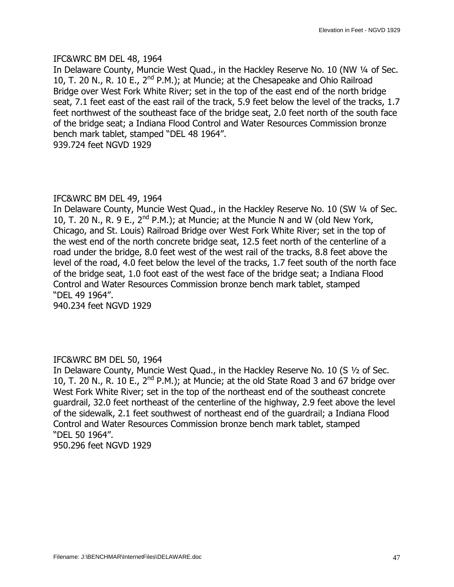### IFC&WRC BM DEL 48, 1964

In Delaware County, Muncie West Quad., in the Hackley Reserve No. 10 (NW 1/4 of Sec. 10, T. 20 N., R. 10 E.,  $2^{nd}$  P.M.); at Muncie; at the Chesapeake and Ohio Railroad Bridge over West Fork White River; set in the top of the east end of the north bridge seat, 7.1 feet east of the east rail of the track, 5.9 feet below the level of the tracks, 1.7 feet northwest of the southeast face of the bridge seat, 2.0 feet north of the south face of the bridge seat; a Indiana Flood Control and Water Resources Commission bronze bench mark tablet, stamped "DEL 48 1964". 939.724 feet NGVD 1929

### IFC&WRC BM DEL 49, 1964

In Delaware County, Muncie West Quad., in the Hackley Reserve No. 10 (SW 1/4 of Sec. 10, T. 20 N., R. 9 E.,  $2^{nd}$  P.M.); at Muncie; at the Muncie N and W (old New York, Chicago, and St. Louis) Railroad Bridge over West Fork White River; set in the top of the west end of the north concrete bridge seat, 12.5 feet north of the centerline of a road under the bridge, 8.0 feet west of the west rail of the tracks, 8.8 feet above the level of the road, 4.0 feet below the level of the tracks, 1.7 feet south of the north face of the bridge seat, 1.0 foot east of the west face of the bridge seat; a Indiana Flood Control and Water Resources Commission bronze bench mark tablet, stamped —DEL 49 1964". 940.234 feet NGVD 1929

### IFC&WRC BM DEL 50, 1964

In Delaware County, Muncie West Quad., in the Hackley Reserve No. 10 (S 1/2 of Sec. 10, T. 20 N., R. 10 E.,  $2^{nd}$  P.M.); at Muncie; at the old State Road 3 and 67 bridge over West Fork White River; set in the top of the northeast end of the southeast concrete guardrail, 32.0 feet northeast of the centerline of the highway, 2.9 feet above the level of the sidewalk, 2.1 feet southwest of northeast end of the guardrail; a Indiana Flood Control and Water Resources Commission bronze bench mark tablet, stamped —DEL 50 1964". 950.296 feet NGVD 1929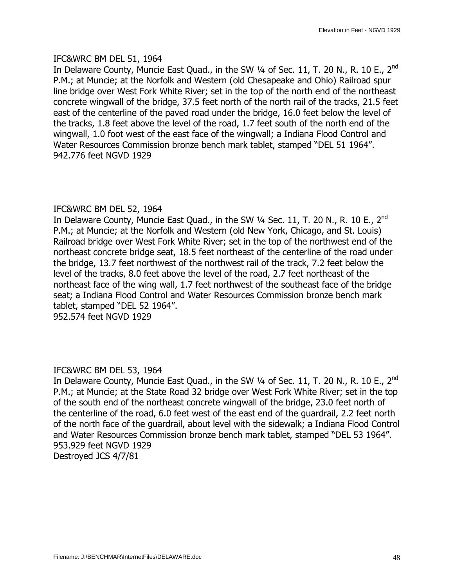### IFC&WRC BM DEL 51, 1964

In Delaware County, Muncie East Quad., in the SW  $\frac{1}{4}$  of Sec. 11, T. 20 N., R. 10 E., 2<sup>nd</sup> P.M.; at Muncie; at the Norfolk and Western (old Chesapeake and Ohio) Railroad spur line bridge over West Fork White River; set in the top of the north end of the northeast concrete wingwall of the bridge, 37.5 feet north of the north rail of the tracks, 21.5 feet east of the centerline of the paved road under the bridge, 16.0 feet below the level of the tracks, 1.8 feet above the level of the road, 1.7 feet south of the north end of the wingwall, 1.0 foot west of the east face of the wingwall; a Indiana Flood Control and Water Resources Commission bronze bench mark tablet, stamped "DEL 51 1964". 942.776 feet NGVD 1929

### IFC&WRC BM DEL 52, 1964

In Delaware County, Muncie East Quad., in the SW  $\frac{1}{4}$  Sec. 11, T. 20 N., R. 10 E., 2<sup>nd</sup> P.M.; at Muncie; at the Norfolk and Western (old New York, Chicago, and St. Louis) Railroad bridge over West Fork White River; set in the top of the northwest end of the northeast concrete bridge seat, 18.5 feet northeast of the centerline of the road under the bridge, 13.7 feet northwest of the northwest rail of the track, 7.2 feet below the level of the tracks, 8.0 feet above the level of the road, 2.7 feet northeast of the northeast face of the wing wall, 1.7 feet northwest of the southeast face of the bridge seat; a Indiana Flood Control and Water Resources Commission bronze bench mark tablet, stamped "DEL 52 1964".

# 952.574 feet NGVD 1929

### IFC&WRC BM DEL 53, 1964

In Delaware County, Muncie East Quad., in the SW  $\frac{1}{4}$  of Sec. 11, T. 20 N., R. 10 E., 2<sup>nd</sup> P.M.; at Muncie; at the State Road 32 bridge over West Fork White River; set in the top of the south end of the northeast concrete wingwall of the bridge, 23.0 feet north of the centerline of the road, 6.0 feet west of the east end of the guardrail, 2.2 feet north of the north face of the guardrail, about level with the sidewalk; a Indiana Flood Control and Water Resources Commission bronze bench mark tablet, stamped "DEL 53 1964". 953.929 feet NGVD 1929 Destroyed JCS 4/7/81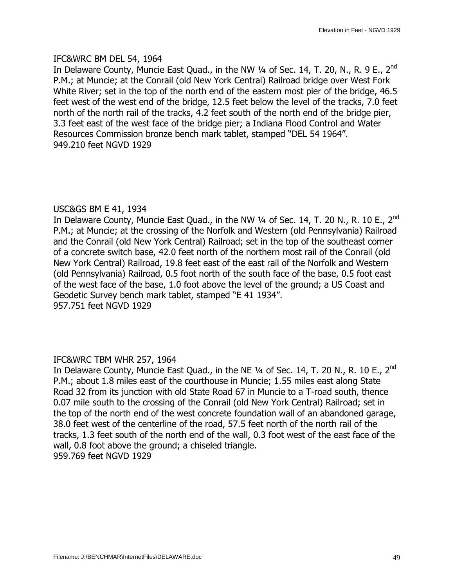### IFC&WRC BM DEL 54, 1964

In Delaware County, Muncie East Quad., in the NW  $\frac{1}{4}$  of Sec. 14, T. 20, N., R. 9 E., 2<sup>nd</sup> P.M.; at Muncie; at the Conrail (old New York Central) Railroad bridge over West Fork White River; set in the top of the north end of the eastern most pier of the bridge, 46.5 feet west of the west end of the bridge, 12.5 feet below the level of the tracks, 7.0 feet north of the north rail of the tracks, 4.2 feet south of the north end of the bridge pier, 3.3 feet east of the west face of the bridge pier; a Indiana Flood Control and Water Resources Commission bronze bench mark tablet, stamped "DEL 54 1964". 949.210 feet NGVD 1929

### USC&GS BM E 41, 1934

In Delaware County, Muncie East Quad., in the NW  $\frac{1}{4}$  of Sec. 14, T. 20 N., R. 10 E., 2<sup>nd</sup> P.M.; at Muncie; at the crossing of the Norfolk and Western (old Pennsylvania) Railroad and the Conrail (old New York Central) Railroad; set in the top of the southeast corner of a concrete switch base, 42.0 feet north of the northern most rail of the Conrail (old New York Central) Railroad, 19.8 feet east of the east rail of the Norfolk and Western (old Pennsylvania) Railroad, 0.5 foot north of the south face of the base, 0.5 foot east of the west face of the base, 1.0 foot above the level of the ground; a US Coast and Geodetic Survey bench mark tablet, stamped "E 41 1934". 957.751 feet NGVD 1929

### IFC&WRC TBM WHR 257, 1964

In Delaware County, Muncie East Quad., in the NE 1/4 of Sec. 14, T. 20 N., R. 10 E., 2<sup>nd</sup> P.M.; about 1.8 miles east of the courthouse in Muncie; 1.55 miles east along State Road 32 from its junction with old State Road 67 in Muncie to a T-road south, thence 0.07 mile south to the crossing of the Conrail (old New York Central) Railroad; set in the top of the north end of the west concrete foundation wall of an abandoned garage, 38.0 feet west of the centerline of the road, 57.5 feet north of the north rail of the tracks, 1.3 feet south of the north end of the wall, 0.3 foot west of the east face of the wall, 0.8 foot above the ground; a chiseled triangle. 959.769 feet NGVD 1929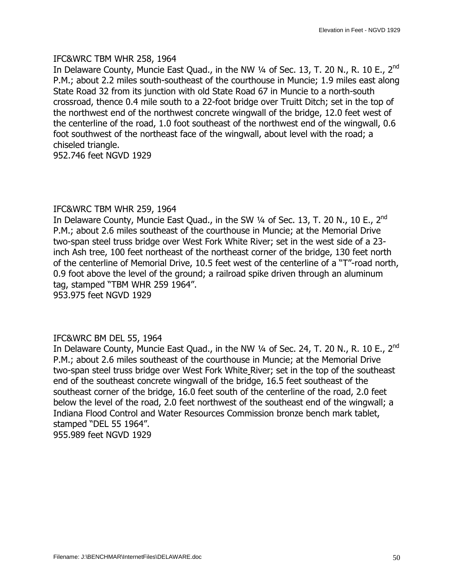#### IFC&WRC TBM WHR 258, 1964

In Delaware County, Muncie East Ouad., in the NW  $\frac{1}{4}$  of Sec. 13, T. 20 N., R. 10 E., 2<sup>nd</sup> P.M.; about 2.2 miles south-southeast of the courthouse in Muncie; 1.9 miles east along State Road 32 from its junction with old State Road 67 in Muncie to a north-south crossroad, thence 0.4 mile south to a 22-foot bridge over Truitt Ditch; set in the top of the northwest end of the northwest concrete wingwall of the bridge, 12.0 feet west of the centerline of the road, 1.0 foot southeast of the northwest end of the wingwall, 0.6 foot southwest of the northeast face of the wingwall, about level with the road; a chiseled triangle.

952.746 feet NGVD 1929

### IFC&WRC TBM WHR 259, 1964

In Delaware County, Muncie East Quad., in the SW  $\frac{1}{4}$  of Sec. 13, T. 20 N., 10 E., 2<sup>nd</sup> P.M.; about 2.6 miles southeast of the courthouse in Muncie; at the Memorial Drive two-span steel truss bridge over West Fork White River; set in the west side of a 23 inch Ash tree, 100 feet northeast of the northeast corner of the bridge, 130 feet north of the centerline of Memorial Drive, 10.5 feet west of the centerline of a "T"-road north, 0.9 foot above the level of the ground; a railroad spike driven through an aluminum tag, stamped "TBM WHR 259 1964".

953.975 feet NGVD 1929

### IFC&WRC BM DEL 55, 1964

In Delaware County, Muncie East Quad., in the NW  $\frac{1}{4}$  of Sec. 24, T. 20 N., R. 10 E., 2<sup>nd</sup> P.M.; about 2.6 miles southeast of the courthouse in Muncie; at the Memorial Drive two-span steel truss bridge over West Fork White River; set in the top of the southeast end of the southeast concrete wingwall of the bridge, 16.5 feet southeast of the southeast corner of the bridge, 16.0 feet south of the centerline of the road, 2.0 feet below the level of the road, 2.0 feet northwest of the southeast end of the wingwall; a Indiana Flood Control and Water Resources Commission bronze bench mark tablet, stamped "DEL 55 1964". 955.989 feet NGVD 1929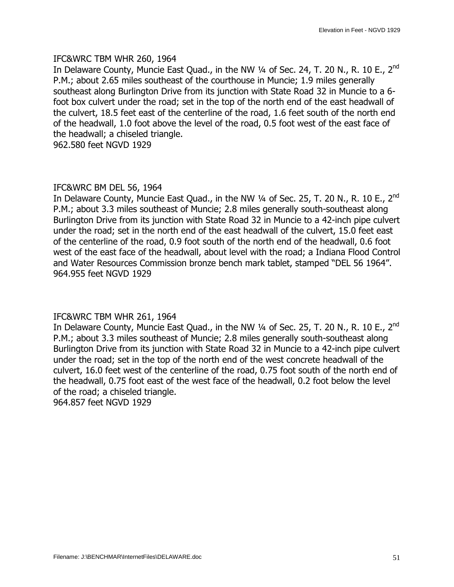#### IFC&WRC TBM WHR 260, 1964

In Delaware County, Muncie East Quad., in the NW  $\frac{1}{4}$  of Sec. 24, T. 20 N., R. 10 E., 2<sup>nd</sup> P.M.; about 2.65 miles southeast of the courthouse in Muncie; 1.9 miles generally southeast along Burlington Drive from its junction with State Road 32 in Muncie to a 6 foot box culvert under the road; set in the top of the north end of the east headwall of the culvert, 18.5 feet east of the centerline of the road, 1.6 feet south of the north end of the headwall, 1.0 foot above the level of the road, 0.5 foot west of the east face of the headwall; a chiseled triangle.

962.580 feet NGVD 1929

### IFC&WRC BM DEL 56, 1964

In Delaware County, Muncie East Quad., in the NW  $\frac{1}{4}$  of Sec. 25, T. 20 N., R. 10 E., 2<sup>nd</sup> P.M.; about 3.3 miles southeast of Muncie; 2.8 miles generally south-southeast along Burlington Drive from its junction with State Road 32 in Muncie to a 42-inch pipe culvert under the road; set in the north end of the east headwall of the culvert, 15.0 feet east of the centerline of the road, 0.9 foot south of the north end of the headwall, 0.6 foot west of the east face of the headwall, about level with the road; a Indiana Flood Control and Water Resources Commission bronze bench mark tablet, stamped "DEL 56 1964". 964.955 feet NGVD 1929

### IFC&WRC TBM WHR 261, 1964

In Delaware County, Muncie East Quad., in the NW 1/4 of Sec. 25, T. 20 N., R. 10 E., 2<sup>nd</sup> P.M.; about 3.3 miles southeast of Muncie; 2.8 miles generally south-southeast along Burlington Drive from its junction with State Road 32 in Muncie to a 42-inch pipe culvert under the road; set in the top of the north end of the west concrete headwall of the culvert, 16.0 feet west of the centerline of the road, 0.75 foot south of the north end of the headwall, 0.75 foot east of the west face of the headwall, 0.2 foot below the level of the road; a chiseled triangle.

964.857 feet NGVD 1929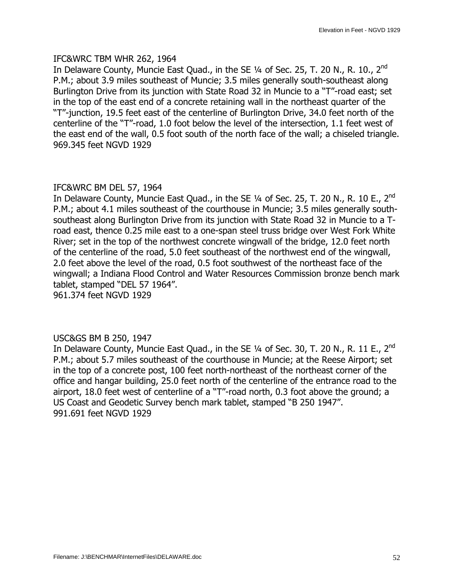### IFC&WRC TBM WHR 262, 1964

In Delaware County, Muncie East Quad., in the SE  $\frac{1}{4}$  of Sec. 25, T. 20 N., R. 10., 2<sup>nd</sup> P.M.; about 3.9 miles southeast of Muncie; 3.5 miles generally south-southeast along Burlington Drive from its junction with State Road 32 in Muncie to a "T"-road east; set in the top of the east end of a concrete retaining wall in the northeast quarter of the —T"-junction, 19.5 feet east of the centerline of Burlington Drive, 34.0 feet north of the centerline of the "T"-road, 1.0 foot below the level of the intersection, 1.1 feet west of the east end of the wall, 0.5 foot south of the north face of the wall; a chiseled triangle. 969.345 feet NGVD 1929

### IFC&WRC BM DEL 57, 1964

In Delaware County, Muncie East Quad., in the SE  $\frac{1}{4}$  of Sec. 25, T. 20 N., R. 10 E., 2<sup>nd</sup> P.M.; about 4.1 miles southeast of the courthouse in Muncie; 3.5 miles generally southsoutheast along Burlington Drive from its junction with State Road 32 in Muncie to a Troad east, thence 0.25 mile east to a one-span steel truss bridge over West Fork White River; set in the top of the northwest concrete wingwall of the bridge, 12.0 feet north of the centerline of the road, 5.0 feet southeast of the northwest end of the wingwall, 2.0 feet above the level of the road, 0.5 foot southwest of the northeast face of the wingwall; a Indiana Flood Control and Water Resources Commission bronze bench mark tablet, stamped "DEL 57 1964".

961.374 feet NGVD 1929

### USC&GS BM B 250, 1947

In Delaware County, Muncie East Quad., in the SE  $\frac{1}{4}$  of Sec. 30, T. 20 N., R. 11 E., 2<sup>nd</sup> P.M.; about 5.7 miles southeast of the courthouse in Muncie; at the Reese Airport; set in the top of a concrete post, 100 feet north-northeast of the northeast corner of the office and hangar building, 25.0 feet north of the centerline of the entrance road to the airport, 18.0 feet west of centerline of a "T"-road north, 0.3 foot above the ground; a US Coast and Geodetic Survey bench mark tablet, stamped "B 250 1947". 991.691 feet NGVD 1929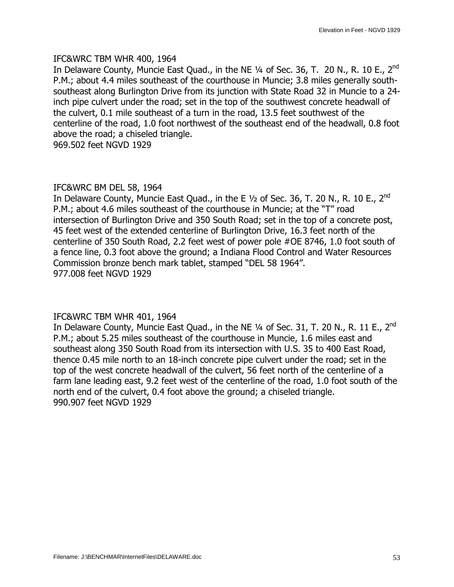### IFC&WRC TBM WHR 400, 1964

In Delaware County, Muncie East Quad., in the NE  $\frac{1}{4}$  of Sec. 36, T. 20 N., R. 10 E., 2<sup>nd</sup> P.M.; about 4.4 miles southeast of the courthouse in Muncie; 3.8 miles generally southsoutheast along Burlington Drive from its junction with State Road 32 in Muncie to a 24 inch pipe culvert under the road; set in the top of the southwest concrete headwall of the culvert, 0.1 mile southeast of a turn in the road, 13.5 feet southwest of the centerline of the road, 1.0 foot northwest of the southeast end of the headwall, 0.8 foot above the road; a chiseled triangle.

969.502 feet NGVD 1929

### IFC&WRC BM DEL 58, 1964

In Delaware County, Muncie East Quad., in the E  $1/2$  of Sec. 36, T. 20 N., R. 10 E., 2<sup>nd</sup> P.M.; about 4.6 miles southeast of the courthouse in Muncie; at the "T" road intersection of Burlington Drive and 350 South Road; set in the top of a concrete post, 45 feet west of the extended centerline of Burlington Drive, 16.3 feet north of the centerline of 350 South Road, 2.2 feet west of power pole #OE 8746, 1.0 foot south of a fence line, 0.3 foot above the ground; a Indiana Flood Control and Water Resources Commission bronze bench mark tablet, stamped "DEL 58 1964". 977.008 feet NGVD 1929

### IFC&WRC TBM WHR 401, 1964

In Delaware County, Muncie East Quad., in the NE 1/4 of Sec. 31, T. 20 N., R. 11 E., 2<sup>nd</sup> P.M.; about 5.25 miles southeast of the courthouse in Muncie, 1.6 miles east and southeast along 350 South Road from its intersection with U.S. 35 to 400 East Road, thence 0.45 mile north to an 18-inch concrete pipe culvert under the road; set in the top of the west concrete headwall of the culvert, 56 feet north of the centerline of a farm lane leading east, 9.2 feet west of the centerline of the road, 1.0 foot south of the north end of the culvert, 0.4 foot above the ground; a chiseled triangle. 990.907 feet NGVD 1929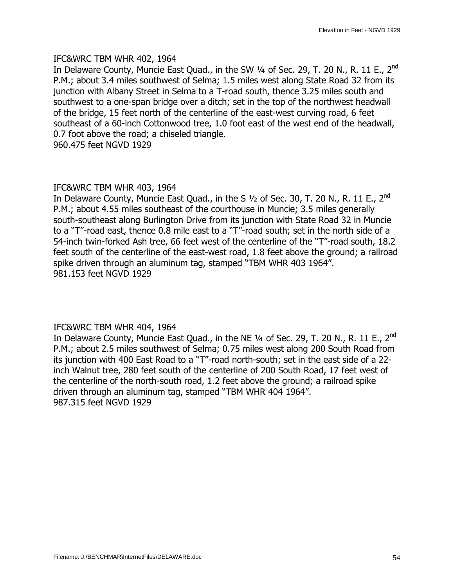#### IFC&WRC TBM WHR 402, 1964

In Delaware County, Muncie East Quad., in the SW  $\frac{1}{4}$  of Sec. 29, T. 20 N., R. 11 E., 2<sup>nd</sup> P.M.; about 3.4 miles southwest of Selma; 1.5 miles west along State Road 32 from its junction with Albany Street in Selma to a T-road south, thence 3.25 miles south and southwest to a one-span bridge over a ditch; set in the top of the northwest headwall of the bridge, 15 feet north of the centerline of the east-west curving road, 6 feet southeast of a 60-inch Cottonwood tree, 1.0 foot east of the west end of the headwall, 0.7 foot above the road; a chiseled triangle.

960.475 feet NGVD 1929

### IFC&WRC TBM WHR 403, 1964

In Delaware County, Muncie East Quad., in the S  $1/2$  of Sec. 30, T. 20 N., R. 11 E., 2<sup>nd</sup> P.M.; about 4.55 miles southeast of the courthouse in Muncie; 3.5 miles generally south-southeast along Burlington Drive from its junction with State Road 32 in Muncie to a "T"-road east, thence 0.8 mile east to a "T"-road south; set in the north side of a 54-inch twin-forked Ash tree, 66 feet west of the centerline of the "T"-road south, 18.2 feet south of the centerline of the east-west road, 1.8 feet above the ground; a railroad spike driven through an aluminum tag, stamped "TBM WHR 403 1964". 981.153 feet NGVD 1929

### IFC&WRC TBM WHR 404, 1964

In Delaware County, Muncie East Quad., in the NE  $\frac{1}{4}$  of Sec. 29, T. 20 N., R. 11 E., 2<sup>nd</sup> P.M.; about 2.5 miles southwest of Selma; 0.75 miles west along 200 South Road from its junction with 400 East Road to a "T"-road north-south; set in the east side of a 22inch Walnut tree, 280 feet south of the centerline of 200 South Road, 17 feet west of the centerline of the north-south road, 1.2 feet above the ground; a railroad spike driven through an aluminum tag, stamped "TBM WHR 404 1964". 987.315 feet NGVD 1929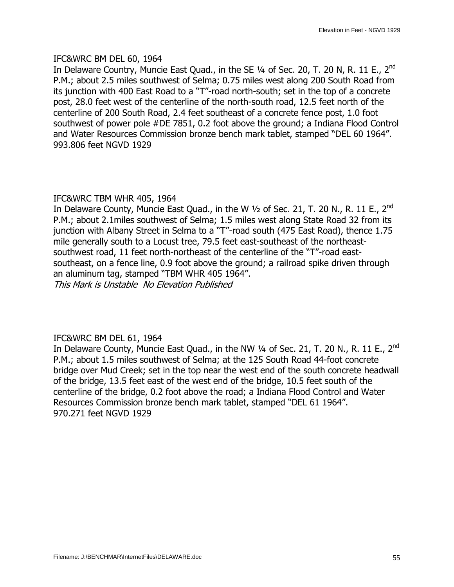### IFC&WRC BM DEL 60, 1964

In Delaware Country, Muncie East Quad., in the SE  $\frac{1}{4}$  of Sec. 20, T. 20 N, R. 11 E., 2<sup>nd</sup> P.M.; about 2.5 miles southwest of Selma; 0.75 miles west along 200 South Road from its junction with 400 East Road to a "T"-road north-south; set in the top of a concrete post, 28.0 feet west of the centerline of the north-south road, 12.5 feet north of the centerline of 200 South Road, 2.4 feet southeast of a concrete fence post, 1.0 foot southwest of power pole #DE 7851, 0.2 foot above the ground; a Indiana Flood Control and Water Resources Commission bronze bench mark tablet, stamped "DEL 60 1964". 993.806 feet NGVD 1929

### IFC&WRC TBM WHR 405, 1964

In Delaware County, Muncie East Quad., in the W 1/2 of Sec. 21, T. 20 N., R. 11 E., 2<sup>nd</sup> P.M.; about 2.1miles southwest of Selma; 1.5 miles west along State Road 32 from its junction with Albany Street in Selma to a "T"-road south (475 East Road), thence 1.75 mile generally south to a Locust tree, 79.5 feet east-southeast of the northeastsouthwest road, 11 feet north-northeast of the centerline of the "T"-road eastsoutheast, on a fence line, 0.9 foot above the ground; a railroad spike driven through an aluminum tag, stamped "TBM WHR 405 1964". This Mark is Unstable No Elevation Published

### IFC&WRC BM DEL 61, 1964

In Delaware County, Muncie East Quad., in the NW  $\frac{1}{4}$  of Sec. 21, T. 20 N., R. 11 E., 2<sup>nd</sup> P.M.; about 1.5 miles southwest of Selma; at the 125 South Road 44-foot concrete bridge over Mud Creek; set in the top near the west end of the south concrete headwall of the bridge, 13.5 feet east of the west end of the bridge, 10.5 feet south of the centerline of the bridge, 0.2 foot above the road; a Indiana Flood Control and Water Resources Commission bronze bench mark tablet, stamped "DEL 61 1964". 970.271 feet NGVD 1929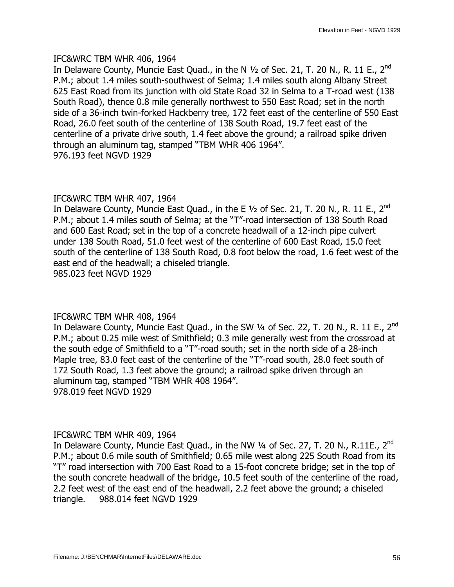### IFC&WRC TBM WHR 406, 1964

In Delaware County, Muncie East Quad., in the N  $\frac{1}{2}$  of Sec. 21, T. 20 N., R. 11 E., 2<sup>nd</sup> P.M.; about 1.4 miles south-southwest of Selma; 1.4 miles south along Albany Street 625 East Road from its junction with old State Road 32 in Selma to a T-road west (138 South Road), thence 0.8 mile generally northwest to 550 East Road; set in the north side of a 36-inch twin-forked Hackberry tree, 172 feet east of the centerline of 550 East Road, 26.0 feet south of the centerline of 138 South Road, 19.7 feet east of the centerline of a private drive south, 1.4 feet above the ground; a railroad spike driven through an aluminum tag, stamped "TBM WHR 406 1964". 976.193 feet NGVD 1929

### IFC&WRC TBM WHR 407, 1964

In Delaware County, Muncie East Quad., in the E  $1/2$  of Sec. 21, T. 20 N., R. 11 E., 2<sup>nd</sup> P.M.; about 1.4 miles south of Selma; at the "T"-road intersection of 138 South Road and 600 East Road; set in the top of a concrete headwall of a 12-inch pipe culvert under 138 South Road, 51.0 feet west of the centerline of 600 East Road, 15.0 feet south of the centerline of 138 South Road, 0.8 foot below the road, 1.6 feet west of the east end of the headwall; a chiseled triangle. 985.023 feet NGVD 1929

### IFC&WRC TBM WHR 408, 1964

In Delaware County, Muncie East Quad., in the SW 1/4 of Sec. 22, T. 20 N., R. 11 E., 2<sup>nd</sup> P.M.; about 0.25 mile west of Smithfield; 0.3 mile generally west from the crossroad at the south edge of Smithfield to a "T"-road south; set in the north side of a 28-inch Maple tree, 83.0 feet east of the centerline of the "T"-road south, 28.0 feet south of 172 South Road, 1.3 feet above the ground; a railroad spike driven through an aluminum tag, stamped "TBM WHR 408 1964". 978.019 feet NGVD 1929

### IFC&WRC TBM WHR 409, 1964

In Delaware County, Muncie East Quad., in the NW  $\frac{1}{4}$  of Sec. 27, T. 20 N., R.11E., 2<sup>nd</sup> P.M.; about 0.6 mile south of Smithfield; 0.65 mile west along 225 South Road from its "T" road intersection with 700 East Road to a 15-foot concrete bridge; set in the top of the south concrete headwall of the bridge, 10.5 feet south of the centerline of the road, 2.2 feet west of the east end of the headwall, 2.2 feet above the ground; a chiseled triangle. 988.014 feet NGVD 1929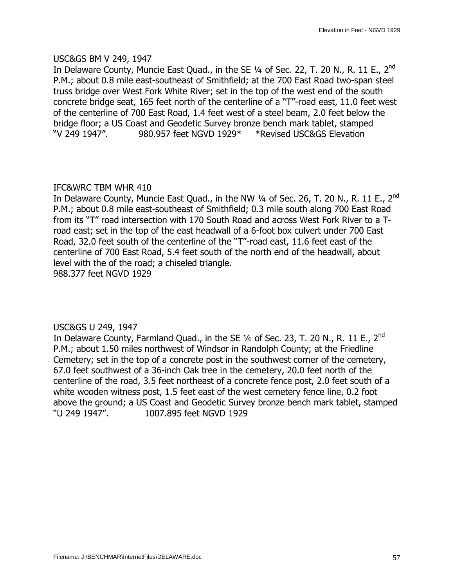### USC&GS BM V 249, 1947

In Delaware County, Muncie East Ouad., in the SE  $\frac{1}{4}$  of Sec. 22, T. 20 N., R. 11 E., 2<sup>nd</sup> P.M.; about 0.8 mile east-southeast of Smithfield; at the 700 East Road two-span steel truss bridge over West Fork White River; set in the top of the west end of the south concrete bridge seat, 165 feet north of the centerline of a "T"-road east, 11.0 feet west of the centerline of 700 East Road, 1.4 feet west of a steel beam, 2.0 feet below the bridge floor; a US Coast and Geodetic Survey bronze bench mark tablet, stamped —V 249 1947". 980.957 feet NGVD 1929\* \*Revised USC&GS Elevation

### IFC&WRC TBM WHR 410

In Delaware County, Muncie East Quad., in the NW  $\frac{1}{4}$  of Sec. 26, T. 20 N., R. 11 E., 2<sup>nd</sup> P.M.; about 0.8 mile east-southeast of Smithfield; 0.3 mile south along 700 East Road from its "T" road intersection with 170 South Road and across West Fork River to a Troad east; set in the top of the east headwall of a 6-foot box culvert under 700 East Road, 32.0 feet south of the centerline of the "T"-road east, 11.6 feet east of the centerline of 700 East Road, 5.4 feet south of the north end of the headwall, about level with the of the road; a chiseled triangle. 988.377 feet NGVD 1929

### USC&GS U 249, 1947

In Delaware County, Farmland Quad., in the SE  $\frac{1}{4}$  of Sec. 23, T. 20 N., R. 11 E., 2<sup>nd</sup> P.M.; about 1.50 miles northwest of Windsor in Randolph County; at the Friedline Cemetery; set in the top of a concrete post in the southwest corner of the cemetery, 67.0 feet southwest of a 36-inch Oak tree in the cemetery, 20.0 feet north of the centerline of the road, 3.5 feet northeast of a concrete fence post, 2.0 feet south of a white wooden witness post, 1.5 feet east of the west cemetery fence line, 0.2 foot above the ground; a US Coast and Geodetic Survey bronze bench mark tablet, stamped —U 249 1947". 1007.895 feet NGVD 1929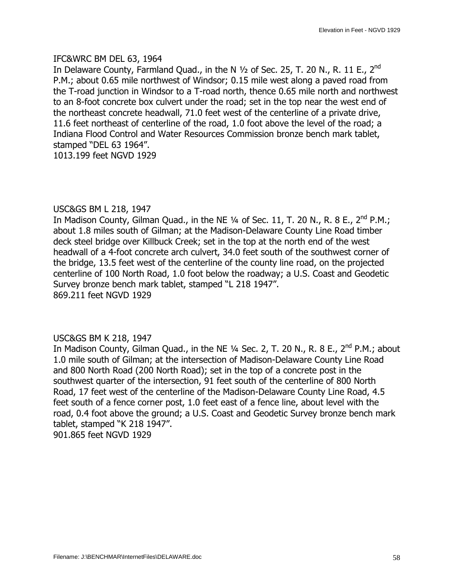### IFC&WRC BM DEL 63, 1964

In Delaware County, Farmland Quad., in the N  $\frac{1}{2}$  of Sec. 25, T. 20 N., R. 11 E., 2<sup>nd</sup> P.M.; about 0.65 mile northwest of Windsor; 0.15 mile west along a paved road from the T-road junction in Windsor to a T-road north, thence 0.65 mile north and northwest to an 8-foot concrete box culvert under the road; set in the top near the west end of the northeast concrete headwall, 71.0 feet west of the centerline of a private drive, 11.6 feet northeast of centerline of the road, 1.0 foot above the level of the road; a Indiana Flood Control and Water Resources Commission bronze bench mark tablet, stamped "DEL 63 1964". 1013.199 feet NGVD 1929

### USC&GS BM L 218, 1947

In Madison County, Gilman Quad., in the NE  $\frac{1}{4}$  of Sec. 11, T. 20 N., R. 8 E., 2<sup>nd</sup> P.M.; about 1.8 miles south of Gilman; at the Madison-Delaware County Line Road timber deck steel bridge over Killbuck Creek; set in the top at the north end of the west headwall of a 4-foot concrete arch culvert, 34.0 feet south of the southwest corner of the bridge, 13.5 feet west of the centerline of the county line road, on the projected centerline of 100 North Road, 1.0 foot below the roadway; a U.S. Coast and Geodetic Survey bronze bench mark tablet, stamped "L 218 1947". 869.211 feet NGVD 1929

### USC&GS BM K 218, 1947

In Madison County, Gilman Quad., in the NE  $\frac{1}{4}$  Sec. 2, T. 20 N., R. 8 E., 2<sup>nd</sup> P.M.; about 1.0 mile south of Gilman; at the intersection of Madison-Delaware County Line Road and 800 North Road (200 North Road); set in the top of a concrete post in the southwest quarter of the intersection, 91 feet south of the centerline of 800 North Road, 17 feet west of the centerline of the Madison-Delaware County Line Road, 4.5 feet south of a fence corner post, 1.0 feet east of a fence line, about level with the road, 0.4 foot above the ground; a U.S. Coast and Geodetic Survey bronze bench mark tablet, stamped "K 218 1947". 901.865 feet NGVD 1929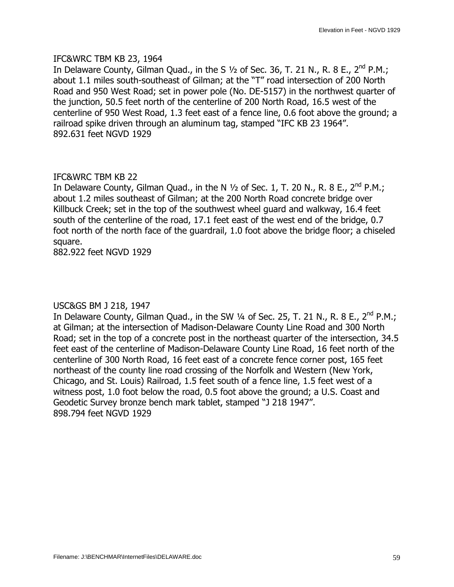#### IFC&WRC TBM KB 23, 1964

In Delaware County, Gilman Quad., in the S  $1/2$  of Sec. 36, T. 21 N., R. 8 E., 2<sup>nd</sup> P.M.; about 1.1 miles south-southeast of Gilman; at the "T" road intersection of 200 North Road and 950 West Road; set in power pole (No. DE-5157) in the northwest quarter of the junction, 50.5 feet north of the centerline of 200 North Road, 16.5 west of the centerline of 950 West Road, 1.3 feet east of a fence line, 0.6 foot above the ground; a railroad spike driven through an aluminum tag, stamped "IFC KB 23 1964". 892.631 feet NGVD 1929

### IFC&WRC TBM KB 22

In Delaware County, Gilman Quad., in the N  $1/2$  of Sec. 1, T. 20 N., R. 8 E., 2<sup>nd</sup> P.M.; about 1.2 miles southeast of Gilman; at the 200 North Road concrete bridge over Killbuck Creek; set in the top of the southwest wheel guard and walkway, 16.4 feet south of the centerline of the road, 17.1 feet east of the west end of the bridge, 0.7 foot north of the north face of the guardrail, 1.0 foot above the bridge floor; a chiseled square.

882.922 feet NGVD 1929

### USC&GS BM J 218, 1947

In Delaware County, Gilman Quad., in the SW  $\frac{1}{4}$  of Sec. 25, T. 21 N., R. 8 E., 2<sup>nd</sup> P.M.; at Gilman; at the intersection of Madison-Delaware County Line Road and 300 North Road; set in the top of a concrete post in the northeast quarter of the intersection, 34.5 feet east of the centerline of Madison-Delaware County Line Road, 16 feet north of the centerline of 300 North Road, 16 feet east of a concrete fence corner post, 165 feet northeast of the county line road crossing of the Norfolk and Western (New York, Chicago, and St. Louis) Railroad, 1.5 feet south of a fence line, 1.5 feet west of a witness post, 1.0 foot below the road, 0.5 foot above the ground; a U.S. Coast and Geodetic Survey bronze bench mark tablet, stamped "J 218 1947". 898.794 feet NGVD 1929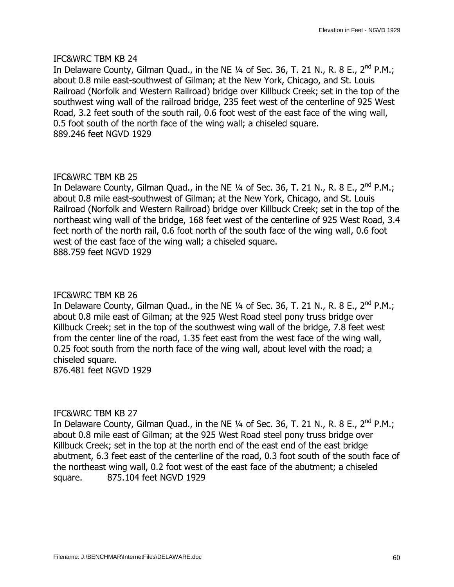In Delaware County, Gilman Quad., in the NE  $\frac{1}{4}$  of Sec. 36, T. 21 N., R. 8 E., 2<sup>nd</sup> P.M.; about 0.8 mile east-southwest of Gilman; at the New York, Chicago, and St. Louis Railroad (Norfolk and Western Railroad) bridge over Killbuck Creek; set in the top of the southwest wing wall of the railroad bridge, 235 feet west of the centerline of 925 West Road, 3.2 feet south of the south rail, 0.6 foot west of the east face of the wing wall, 0.5 foot south of the north face of the wing wall; a chiseled square. 889.246 feet NGVD 1929

### IFC&WRC TBM KB 25

In Delaware County, Gilman Quad., in the NE  $\frac{1}{4}$  of Sec. 36, T. 21 N., R. 8 E., 2<sup>nd</sup> P.M.; about 0.8 mile east-southwest of Gilman; at the New York, Chicago, and St. Louis Railroad (Norfolk and Western Railroad) bridge over Killbuck Creek; set in the top of the northeast wing wall of the bridge, 168 feet west of the centerline of 925 West Road, 3.4 feet north of the north rail, 0.6 foot north of the south face of the wing wall, 0.6 foot west of the east face of the wing wall; a chiseled square. 888.759 feet NGVD 1929

### IFC&WRC TBM KB 26

In Delaware County, Gilman Quad., in the NE  $\frac{1}{4}$  of Sec. 36, T. 21 N., R. 8 E., 2<sup>nd</sup> P.M.; about 0.8 mile east of Gilman; at the 925 West Road steel pony truss bridge over Killbuck Creek; set in the top of the southwest wing wall of the bridge, 7.8 feet west from the center line of the road, 1.35 feet east from the west face of the wing wall, 0.25 foot south from the north face of the wing wall, about level with the road; a chiseled square.

876.481 feet NGVD 1929

### IFC&WRC TBM KB 27

In Delaware County, Gilman Quad., in the NE  $\frac{1}{4}$  of Sec. 36, T. 21 N., R. 8 E., 2<sup>nd</sup> P.M.; about 0.8 mile east of Gilman; at the 925 West Road steel pony truss bridge over Killbuck Creek; set in the top at the north end of the east end of the east bridge abutment, 6.3 feet east of the centerline of the road, 0.3 foot south of the south face of the northeast wing wall, 0.2 foot west of the east face of the abutment; a chiseled square. 875.104 feet NGVD 1929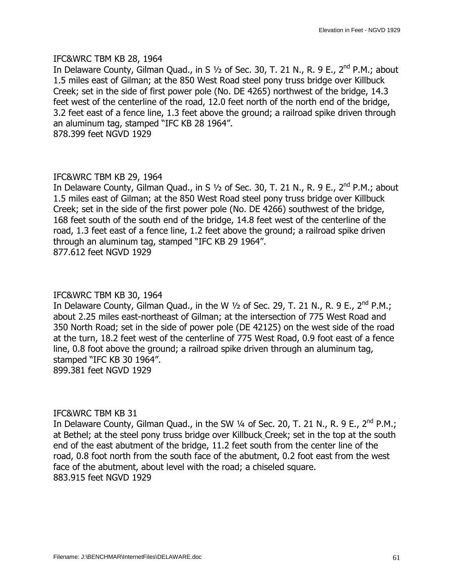#### IFC&WRC TBM KB 28, 1964

In Delaware County, Gilman Ouad., in S  $1/2$  of Sec. 30, T. 21 N., R. 9 E., 2<sup>nd</sup> P.M.; about 1.5 miles east of Gilman; at the 850 West Road steel pony truss bridge over Killbuck Creek; set in the side of first power pole (No. DE 4265) northwest of the bridge, 14.3 feet west of the centerline of the road, 12.0 feet north of the north end of the bridge, 3.2 feet east of a fence line, 1.3 feet above the ground; a railroad spike driven through an aluminum tag, stamped "IFC KB 28 1964". 878.399 feet NGVD 1929

#### IFC&WRC TBM KB 29, 1964

In Delaware County, Gilman Quad., in S  $1/2$  of Sec. 30, T. 21 N., R. 9 E., 2<sup>nd</sup> P.M.; about 1.5 miles east of Gilman; at the 850 West Road steel pony truss bridge over Killbuck Creek; set in the side of the first power pole (No. DE 4266) southwest of the bridge, 168 feet south of the south end of the bridge, 14.8 feet west of the centerline of the road, 1.3 feet east of a fence line, 1.2 feet above the ground; a railroad spike driven through an aluminum tag, stamped "IFC KB 29 1964". 877.612 feet NGVD 1929

#### IFC&WRC TBM KB 30, 1964

In Delaware County, Gilman Quad., in the W  $1/2$  of Sec. 29, T. 21 N., R. 9 E., 2<sup>nd</sup> P.M.; about 2.25 miles east-northeast of Gilman; at the intersection of 775 West Road and 350 North Road; set in the side of power pole (DE 42125) on the west side of the road at the turn, 18.2 feet west of the centerline of 775 West Road, 0.9 foot east of a fence line, 0.8 foot above the ground; a railroad spike driven through an aluminum tag, stamped "IFC KB 30 1964". 899.381 feet NGVD 1929

#### IFC&WRC TBM KB 31

In Delaware County, Gilman Quad., in the SW  $\frac{1}{4}$  of Sec. 20, T. 21 N., R. 9 E., 2<sup>nd</sup> P.M.; at Bethel; at the steel pony truss bridge over Killbuck Creek; set in the top at the south end of the east abutment of the bridge, 11.2 feet south from the center line of the road, 0.8 foot north from the south face of the abutment, 0.2 foot east from the west face of the abutment, about level with the road; a chiseled square. 883.915 feet NGVD 1929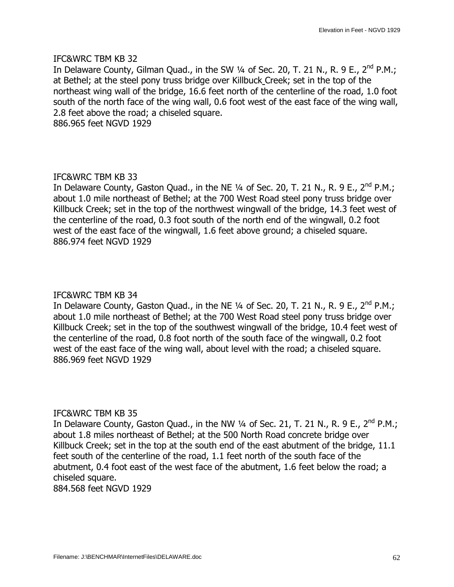In Delaware County, Gilman Quad., in the SW  $\frac{1}{4}$  of Sec. 20, T. 21 N., R. 9 E., 2<sup>nd</sup> P.M.; at Bethel; at the steel pony truss bridge over Killbuck Creek; set in the top of the northeast wing wall of the bridge, 16.6 feet north of the centerline of the road, 1.0 foot south of the north face of the wing wall, 0.6 foot west of the east face of the wing wall, 2.8 feet above the road; a chiseled square. 886.965 feet NGVD 1929

### IFC&WRC TBM KB 33

In Delaware County, Gaston Quad., in the NE  $1/4$  of Sec. 20, T. 21 N., R. 9 E., 2<sup>nd</sup> P.M.; about 1.0 mile northeast of Bethel; at the 700 West Road steel pony truss bridge over Killbuck Creek; set in the top of the northwest wingwall of the bridge, 14.3 feet west of the centerline of the road, 0.3 foot south of the north end of the wingwall, 0.2 foot west of the east face of the wingwall, 1.6 feet above ground; a chiseled square. 886.974 feet NGVD 1929

### IFC&WRC TBM KB 34

In Delaware County, Gaston Quad., in the NE  $\frac{1}{4}$  of Sec. 20, T. 21 N., R. 9 E., 2<sup>nd</sup> P.M.; about 1.0 mile northeast of Bethel; at the 700 West Road steel pony truss bridge over Killbuck Creek; set in the top of the southwest wingwall of the bridge, 10.4 feet west of the centerline of the road, 0.8 foot north of the south face of the wingwall, 0.2 foot west of the east face of the wing wall, about level with the road; a chiseled square. 886.969 feet NGVD 1929

### IFC&WRC TBM KB 35

In Delaware County, Gaston Quad., in the NW  $\frac{1}{4}$  of Sec. 21, T. 21 N., R. 9 E., 2<sup>nd</sup> P.M.; about 1.8 miles northeast of Bethel; at the 500 North Road concrete bridge over Killbuck Creek; set in the top at the south end of the east abutment of the bridge, 11.1 feet south of the centerline of the road, 1.1 feet north of the south face of the abutment, 0.4 foot east of the west face of the abutment, 1.6 feet below the road; a chiseled square.

884.568 feet NGVD 1929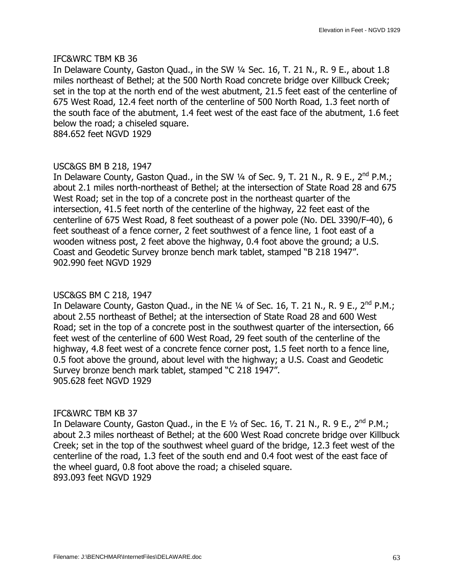In Delaware County, Gaston Quad., in the SW 1/4 Sec. 16, T. 21 N., R. 9 E., about 1.8 miles northeast of Bethel; at the 500 North Road concrete bridge over Killbuck Creek; set in the top at the north end of the west abutment, 21.5 feet east of the centerline of 675 West Road, 12.4 feet north of the centerline of 500 North Road, 1.3 feet north of the south face of the abutment, 1.4 feet west of the east face of the abutment, 1.6 feet below the road; a chiseled square.

884.652 feet NGVD 1929

### USC&GS BM B 218, 1947

In Delaware County, Gaston Quad., in the SW  $\frac{1}{4}$  of Sec. 9, T. 21 N., R. 9 E., 2<sup>nd</sup> P.M.; about 2.1 miles north-northeast of Bethel; at the intersection of State Road 28 and 675 West Road; set in the top of a concrete post in the northeast quarter of the intersection, 41.5 feet north of the centerline of the highway, 22 feet east of the centerline of 675 West Road, 8 feet southeast of a power pole (No. DEL 3390/F-40), 6 feet southeast of a fence corner, 2 feet southwest of a fence line, 1 foot east of a wooden witness post, 2 feet above the highway, 0.4 foot above the ground; a U.S. Coast and Geodetic Survey bronze bench mark tablet, stamped "B 218 1947". 902.990 feet NGVD 1929

### USC&GS BM C 218, 1947

In Delaware County, Gaston Quad., in the NE  $1/4$  of Sec. 16, T. 21 N., R. 9 E., 2<sup>nd</sup> P.M.; about 2.55 northeast of Bethel; at the intersection of State Road 28 and 600 West Road; set in the top of a concrete post in the southwest quarter of the intersection, 66 feet west of the centerline of 600 West Road, 29 feet south of the centerline of the highway, 4.8 feet west of a concrete fence corner post, 1.5 feet north to a fence line, 0.5 foot above the ground, about level with the highway; a U.S. Coast and Geodetic Survey bronze bench mark tablet, stamped "C 218 1947". 905.628 feet NGVD 1929

### IFC&WRC TBM KB 37

In Delaware County, Gaston Quad., in the E  $\frac{1}{2}$  of Sec. 16, T. 21 N., R. 9 E., 2<sup>nd</sup> P.M.; about 2.3 miles northeast of Bethel; at the 600 West Road concrete bridge over Killbuck Creek; set in the top of the southwest wheel guard of the bridge, 12.3 feet west of the centerline of the road, 1.3 feet of the south end and 0.4 foot west of the east face of the wheel guard, 0.8 foot above the road; a chiseled square. 893.093 feet NGVD 1929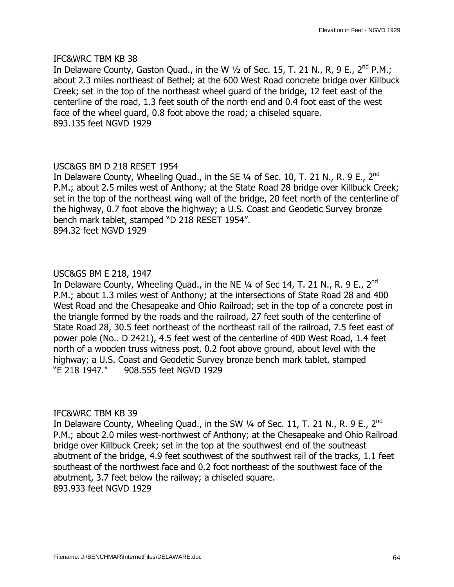In Delaware County, Gaston Quad., in the W  $1/2$  of Sec. 15, T. 21 N., R, 9 E., 2<sup>nd</sup> P.M.; about 2.3 miles northeast of Bethel; at the 600 West Road concrete bridge over Killbuck Creek; set in the top of the northeast wheel guard of the bridge, 12 feet east of the centerline of the road, 1.3 feet south of the north end and 0.4 foot east of the west face of the wheel guard, 0.8 foot above the road; a chiseled square. 893.135 feet NGVD 1929

### USC&GS BM D 218 RESET 1954

In Delaware County, Wheeling Quad., in the SE  $\frac{1}{4}$  of Sec. 10, T. 21 N., R. 9 E., 2<sup>nd</sup> P.M.; about 2.5 miles west of Anthony; at the State Road 28 bridge over Killbuck Creek; set in the top of the northeast wing wall of the bridge, 20 feet north of the centerline of the highway, 0.7 foot above the highway; a U.S. Coast and Geodetic Survey bronze bench mark tablet, stamped "D 218 RESET 1954". 894.32 feet NGVD 1929

### USC&GS BM E 218, 1947

In Delaware County, Wheeling Quad., in the NE  $\frac{1}{4}$  of Sec 14, T. 21 N., R. 9 E., 2<sup>nd</sup> P.M.; about 1.3 miles west of Anthony; at the intersections of State Road 28 and 400 West Road and the Chesapeake and Ohio Railroad; set in the top of a concrete post in the triangle formed by the roads and the railroad, 27 feet south of the centerline of State Road 28, 30.5 feet northeast of the northeast rail of the railroad, 7.5 feet east of power pole (No.. D 2421), 4.5 feet west of the centerline of 400 West Road, 1.4 feet north of a wooden truss witness post, 0.2 foot above ground, about level with the highway; a U.S. Coast and Geodetic Survey bronze bench mark tablet, stamped —E 218 1947." 908.555 feet NGVD 1929

### IFC&WRC TBM KB 39

In Delaware County, Wheeling Quad., in the SW  $\frac{1}{4}$  of Sec. 11, T. 21 N., R. 9 E., 2<sup>nd</sup> P.M.; about 2.0 miles west-northwest of Anthony; at the Chesapeake and Ohio Railroad bridge over Killbuck Creek; set in the top at the southwest end of the southeast abutment of the bridge, 4.9 feet southwest of the southwest rail of the tracks, 1.1 feet southeast of the northwest face and 0.2 foot northeast of the southwest face of the abutment, 3.7 feet below the railway; a chiseled square. 893.933 feet NGVD 1929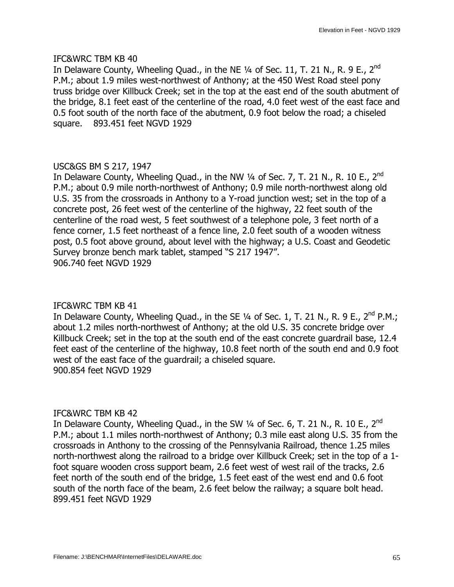In Delaware County, Wheeling Quad., in the NE  $\frac{1}{4}$  of Sec. 11, T. 21 N., R. 9 E., 2<sup>nd</sup> P.M.; about 1.9 miles west-northwest of Anthony; at the 450 West Road steel pony truss bridge over Killbuck Creek; set in the top at the east end of the south abutment of the bridge, 8.1 feet east of the centerline of the road, 4.0 feet west of the east face and 0.5 foot south of the north face of the abutment, 0.9 foot below the road; a chiseled square. 893.451 feet NGVD 1929

# USC&GS BM S 217, 1947

In Delaware County, Wheeling Quad., in the NW  $\frac{1}{4}$  of Sec. 7, T. 21 N., R. 10 E., 2<sup>nd</sup> P.M.; about 0.9 mile north-northwest of Anthony; 0.9 mile north-northwest along old U.S. 35 from the crossroads in Anthony to a Y-road junction west; set in the top of a concrete post, 26 feet west of the centerline of the highway, 22 feet south of the centerline of the road west, 5 feet southwest of a telephone pole, 3 feet north of a fence corner, 1.5 feet northeast of a fence line, 2.0 feet south of a wooden witness post, 0.5 foot above ground, about level with the highway; a U.S. Coast and Geodetic Survey bronze bench mark tablet, stamped "S 217 1947". 906.740 feet NGVD 1929

### IFC&WRC TBM KB 41

In Delaware County, Wheeling Quad., in the SE  $\frac{1}{4}$  of Sec. 1, T. 21 N., R. 9 E., 2<sup>nd</sup> P.M.; about 1.2 miles north-northwest of Anthony; at the old U.S. 35 concrete bridge over Killbuck Creek; set in the top at the south end of the east concrete guardrail base, 12.4 feet east of the centerline of the highway, 10.8 feet north of the south end and 0.9 foot west of the east face of the guardrail; a chiseled square. 900.854 feet NGVD 1929

### IFC&WRC TBM KB 42

In Delaware County, Wheeling Quad., in the SW  $1/4$  of Sec. 6, T. 21 N., R. 10 E., 2<sup>nd</sup> P.M.; about 1.1 miles north-northwest of Anthony; 0.3 mile east along U.S. 35 from the crossroads in Anthony to the crossing of the Pennsylvania Railroad, thence 1.25 miles north-northwest along the railroad to a bridge over Killbuck Creek; set in the top of a 1 foot square wooden cross support beam, 2.6 feet west of west rail of the tracks, 2.6 feet north of the south end of the bridge, 1.5 feet east of the west end and 0.6 foot south of the north face of the beam, 2.6 feet below the railway; a square bolt head. 899.451 feet NGVD 1929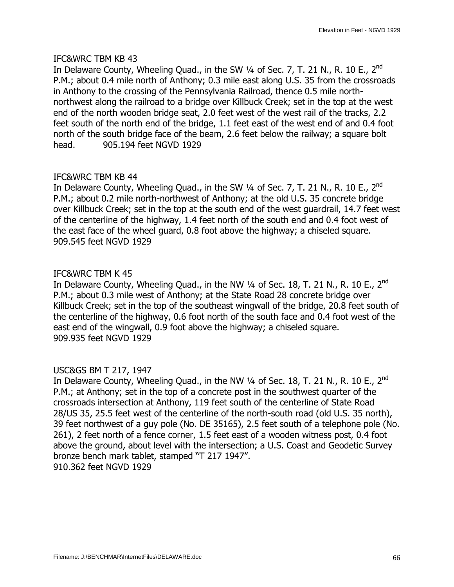In Delaware County, Wheeling Quad., in the SW  $\frac{1}{4}$  of Sec. 7, T. 21 N., R. 10 E., 2<sup>nd</sup> P.M.; about 0.4 mile north of Anthony; 0.3 mile east along U.S. 35 from the crossroads in Anthony to the crossing of the Pennsylvania Railroad, thence 0.5 mile northnorthwest along the railroad to a bridge over Killbuck Creek; set in the top at the west end of the north wooden bridge seat, 2.0 feet west of the west rail of the tracks, 2.2 feet south of the north end of the bridge, 1.1 feet east of the west end of and 0.4 foot north of the south bridge face of the beam, 2.6 feet below the railway; a square bolt head. 905.194 feet NGVD 1929

### IFC&WRC TBM KB 44

In Delaware County, Wheeling Quad., in the SW  $\frac{1}{4}$  of Sec. 7, T. 21 N., R. 10 E., 2<sup>nd</sup> P.M.; about 0.2 mile north-northwest of Anthony; at the old U.S. 35 concrete bridge over Killbuck Creek; set in the top at the south end of the west guardrail, 14.7 feet west of the centerline of the highway, 1.4 feet north of the south end and 0.4 foot west of the east face of the wheel guard, 0.8 foot above the highway; a chiseled square. 909.545 feet NGVD 1929

# IFC&WRC TBM K 45

In Delaware County, Wheeling Quad., in the NW  $\frac{1}{4}$  of Sec. 18, T. 21 N., R. 10 E., 2<sup>nd</sup> P.M.; about 0.3 mile west of Anthony; at the State Road 28 concrete bridge over Killbuck Creek; set in the top of the southeast wingwall of the bridge, 20.8 feet south of the centerline of the highway, 0.6 foot north of the south face and 0.4 foot west of the east end of the wingwall, 0.9 foot above the highway; a chiseled square. 909.935 feet NGVD 1929

# USC&GS BM T 217, 1947

In Delaware County, Wheeling Quad., in the NW  $\frac{1}{4}$  of Sec. 18, T. 21 N., R. 10 E., 2<sup>nd</sup> P.M.; at Anthony; set in the top of a concrete post in the southwest quarter of the crossroads intersection at Anthony, 119 feet south of the centerline of State Road 28/US 35, 25.5 feet west of the centerline of the north-south road (old U.S. 35 north), 39 feet northwest of a guy pole (No. DE 35165), 2.5 feet south of a telephone pole (No. 261), 2 feet north of a fence corner, 1.5 feet east of a wooden witness post, 0.4 foot above the ground, about level with the intersection; a U.S. Coast and Geodetic Survey bronze bench mark tablet, stamped "T 217 1947". 910.362 feet NGVD 1929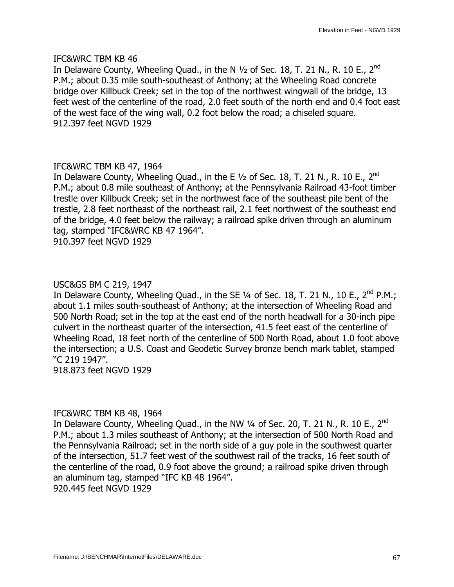In Delaware County, Wheeling Quad., in the N  $\frac{1}{2}$  of Sec. 18, T. 21 N., R. 10 E., 2<sup>nd</sup> P.M.; about 0.35 mile south-southeast of Anthony; at the Wheeling Road concrete bridge over Killbuck Creek; set in the top of the northwest wingwall of the bridge, 13 feet west of the centerline of the road, 2.0 feet south of the north end and 0.4 foot east of the west face of the wing wall, 0.2 foot below the road; a chiseled square. 912.397 feet NGVD 1929

### IFC&WRC TBM KB 47, 1964

In Delaware County, Wheeling Quad., in the E  $1/2$  of Sec. 18, T. 21 N., R. 10 E., 2<sup>nd</sup> P.M.; about 0.8 mile southeast of Anthony; at the Pennsylvania Railroad 43-foot timber trestle over Killbuck Creek; set in the northwest face of the southeast pile bent of the trestle, 2.8 feet northeast of the northeast rail, 2.1 feet northwest of the southeast end of the bridge, 4.0 feet below the railway; a railroad spike driven through an aluminum tag, stamped "IFC&WRC KB 47 1964". 910.397 feet NGVD 1929

# USC&GS BM C 219, 1947

In Delaware County, Wheeling Quad., in the SE 1/4 of Sec. 18, T. 21 N., 10 E., 2<sup>nd</sup> P.M.; about 1.1 miles south-southeast of Anthony; at the intersection of Wheeling Road and 500 North Road; set in the top at the east end of the north headwall for a 30-inch pipe culvert in the northeast quarter of the intersection, 41.5 feet east of the centerline of Wheeling Road, 18 feet north of the centerline of 500 North Road, about 1.0 foot above the intersection; a U.S. Coast and Geodetic Survey bronze bench mark tablet, stamped —C 219 1947".

918.873 feet NGVD 1929

### IFC&WRC TBM KB 48, 1964

In Delaware County, Wheeling Quad., in the NW  $\frac{1}{4}$  of Sec. 20, T. 21 N., R. 10 E., 2<sup>nd</sup> P.M.; about 1.3 miles southeast of Anthony; at the intersection of 500 North Road and the Pennsylvania Railroad; set in the north side of a guy pole in the southwest quarter of the intersection, 51.7 feet west of the southwest rail of the tracks, 16 feet south of the centerline of the road, 0.9 foot above the ground; a railroad spike driven through an aluminum tag, stamped "IFC KB 48 1964". 920.445 feet NGVD 1929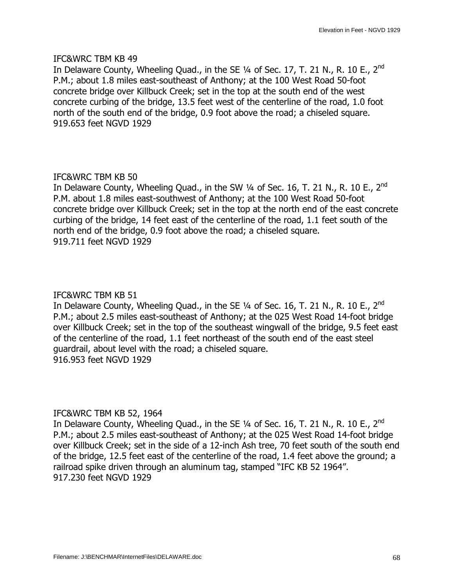In Delaware County, Wheeling Quad., in the SE  $\frac{1}{4}$  of Sec. 17, T. 21 N., R. 10 E., 2<sup>nd</sup> P.M.; about 1.8 miles east-southeast of Anthony; at the 100 West Road 50-foot concrete bridge over Killbuck Creek; set in the top at the south end of the west concrete curbing of the bridge, 13.5 feet west of the centerline of the road, 1.0 foot north of the south end of the bridge, 0.9 foot above the road; a chiseled square. 919.653 feet NGVD 1929

### IFC&WRC TBM KB 50

In Delaware County, Wheeling Quad., in the SW  $\frac{1}{4}$  of Sec. 16, T. 21 N., R. 10 E., 2<sup>nd</sup> P.M. about 1.8 miles east-southwest of Anthony; at the 100 West Road 50-foot concrete bridge over Killbuck Creek; set in the top at the north end of the east concrete curbing of the bridge, 14 feet east of the centerline of the road, 1.1 feet south of the north end of the bridge, 0.9 foot above the road; a chiseled square. 919.711 feet NGVD 1929

### IFC&WRC TBM KB 51

In Delaware County, Wheeling Quad., in the SE  $\frac{1}{4}$  of Sec. 16, T. 21 N., R. 10 E., 2<sup>nd</sup> P.M.; about 2.5 miles east-southeast of Anthony; at the 025 West Road 14-foot bridge over Killbuck Creek; set in the top of the southeast wingwall of the bridge, 9.5 feet east of the centerline of the road, 1.1 feet northeast of the south end of the east steel guardrail, about level with the road; a chiseled square. 916.953 feet NGVD 1929

### IFC&WRC TBM KB 52, 1964

In Delaware County, Wheeling Quad., in the SE  $\frac{1}{4}$  of Sec. 16, T. 21 N., R. 10 E., 2<sup>nd</sup> P.M.; about 2.5 miles east-southeast of Anthony; at the 025 West Road 14-foot bridge over Killbuck Creek; set in the side of a 12-inch Ash tree, 70 feet south of the south end of the bridge, 12.5 feet east of the centerline of the road, 1.4 feet above the ground; a railroad spike driven through an aluminum tag, stamped "IFC KB 52 1964". 917.230 feet NGVD 1929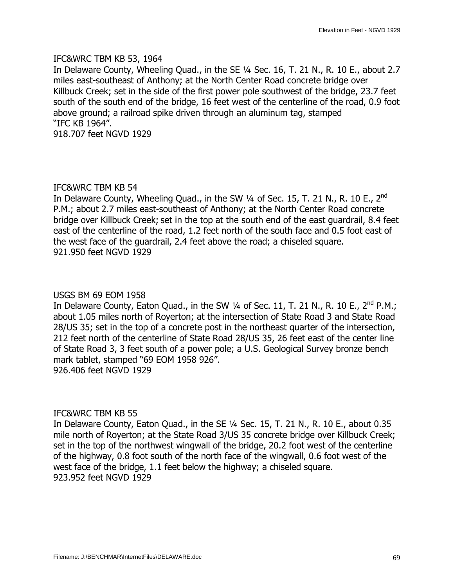#### IFC&WRC TBM KB 53, 1964

In Delaware County, Wheeling Quad., in the SE 1/4 Sec. 16, T. 21 N., R. 10 E., about 2.7 miles east-southeast of Anthony; at the North Center Road concrete bridge over Killbuck Creek; set in the side of the first power pole southwest of the bridge, 23.7 feet south of the south end of the bridge, 16 feet west of the centerline of the road, 0.9 foot above ground; a railroad spike driven through an aluminum tag, stamped "IFC KB 1964". 918.707 feet NGVD 1929

### IFC&WRC TBM KB 54

In Delaware County, Wheeling Quad., in the SW  $\frac{1}{4}$  of Sec. 15, T. 21 N., R. 10 E., 2<sup>nd</sup> P.M.; about 2.7 miles east-southeast of Anthony; at the North Center Road concrete bridge over Killbuck Creek; set in the top at the south end of the east guardrail, 8.4 feet east of the centerline of the road, 1.2 feet north of the south face and 0.5 foot east of the west face of the guardrail, 2.4 feet above the road; a chiseled square. 921.950 feet NGVD 1929

### USGS BM 69 EOM 1958

In Delaware County, Eaton Quad., in the SW  $1/4$  of Sec. 11, T. 21 N., R. 10 E., 2<sup>nd</sup> P.M.; about 1.05 miles north of Royerton; at the intersection of State Road 3 and State Road 28/US 35; set in the top of a concrete post in the northeast quarter of the intersection, 212 feet north of the centerline of State Road 28/US 35, 26 feet east of the center line of State Road 3, 3 feet south of a power pole; a U.S. Geological Survey bronze bench mark tablet, stamped "69 EOM 1958 926". 926.406 feet NGVD 1929

### IFC&WRC TBM KB 55

In Delaware County, Eaton Quad., in the SE  $\frac{1}{4}$  Sec. 15, T. 21 N., R. 10 E., about 0.35 mile north of Royerton; at the State Road 3/US 35 concrete bridge over Killbuck Creek; set in the top of the northwest wingwall of the bridge, 20.2 foot west of the centerline of the highway, 0.8 foot south of the north face of the wingwall, 0.6 foot west of the west face of the bridge, 1.1 feet below the highway; a chiseled square. 923.952 feet NGVD 1929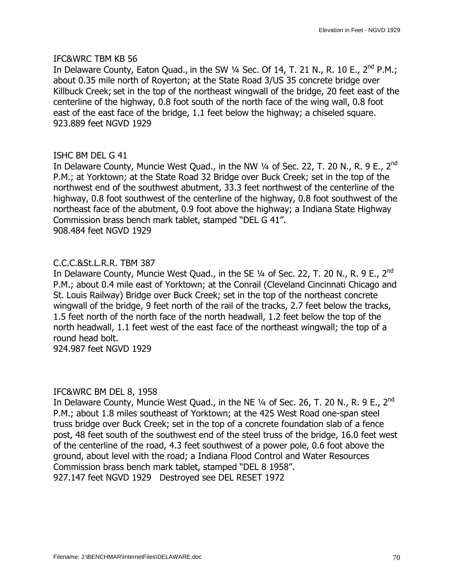In Delaware County, Eaton Quad., in the SW  $\frac{1}{4}$  Sec. Of 14, T. 21 N., R. 10 E., 2<sup>nd</sup> P.M.; about 0.35 mile north of Royerton; at the State Road 3/US 35 concrete bridge over Killbuck Creek; set in the top of the northeast wingwall of the bridge, 20 feet east of the centerline of the highway, 0.8 foot south of the north face of the wing wall, 0.8 foot east of the east face of the bridge, 1.1 feet below the highway; a chiseled square. 923.889 feet NGVD 1929

### ISHC BM DEL G 41

In Delaware County, Muncie West Quad., in the NW  $\frac{1}{4}$  of Sec. 22, T. 20 N., R. 9 E., 2<sup>nd</sup> P.M.; at Yorktown; at the State Road 32 Bridge over Buck Creek; set in the top of the northwest end of the southwest abutment, 33.3 feet northwest of the centerline of the highway, 0.8 foot southwest of the centerline of the highway, 0.8 foot southwest of the northeast face of the abutment, 0.9 foot above the highway; a Indiana State Highway Commission brass bench mark tablet, stamped "DEL G 41". 908.484 feet NGVD 1929

### C.C.C.&St.L.R.R. TBM 387

In Delaware County, Muncie West Quad., in the SE 1/4 of Sec. 22, T. 20 N., R. 9 E., 2<sup>nd</sup> P.M.; about 0.4 mile east of Yorktown; at the Conrail (Cleveland Cincinnati Chicago and St. Louis Railway) Bridge over Buck Creek; set in the top of the northeast concrete wingwall of the bridge, 9 feet north of the rail of the tracks, 2.7 feet below the tracks, 1.5 feet north of the north face of the north headwall, 1.2 feet below the top of the north headwall, 1.1 feet west of the east face of the northeast wingwall; the top of a round head bolt.

924.987 feet NGVD 1929

### IFC&WRC BM DEL 8, 1958

In Delaware County, Muncie West Quad., in the NE  $\frac{1}{4}$  of Sec. 26, T. 20 N., R. 9 E., 2<sup>nd</sup> P.M.; about 1.8 miles southeast of Yorktown; at the 425 West Road one-span steel truss bridge over Buck Creek; set in the top of a concrete foundation slab of a fence post, 48 feet south of the southwest end of the steel truss of the bridge, 16.0 feet west of the centerline of the road, 4.3 feet southwest of a power pole, 0.6 foot above the ground, about level with the road; a Indiana Flood Control and Water Resources Commission brass bench mark tablet, stamped "DEL 8 1958". 927.147 feet NGVD 1929 Destroyed see DEL RESET 1972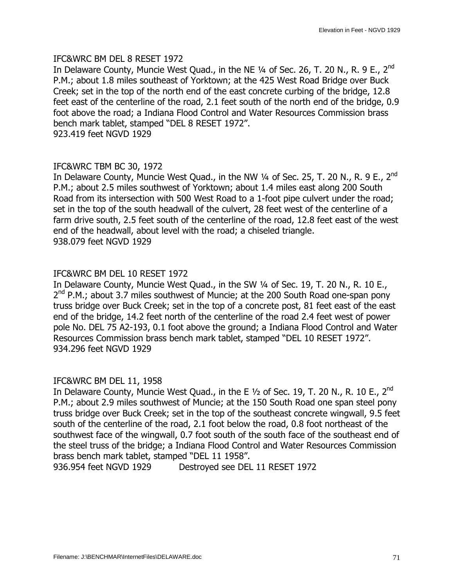### IFC&WRC BM DEL 8 RESET 1972

In Delaware County, Muncie West Quad., in the NE 1/4 of Sec. 26, T. 20 N., R. 9 E., 2<sup>nd</sup> P.M.; about 1.8 miles southeast of Yorktown; at the 425 West Road Bridge over Buck Creek; set in the top of the north end of the east concrete curbing of the bridge, 12.8 feet east of the centerline of the road, 2.1 feet south of the north end of the bridge, 0.9 foot above the road; a Indiana Flood Control and Water Resources Commission brass bench mark tablet, stamped "DEL 8 RESET 1972". 923.419 feet NGVD 1929

### IFC&WRC TBM BC 30, 1972

In Delaware County, Muncie West Quad., in the NW  $\frac{1}{4}$  of Sec. 25, T. 20 N., R. 9 E., 2<sup>nd</sup> P.M.; about 2.5 miles southwest of Yorktown; about 1.4 miles east along 200 South Road from its intersection with 500 West Road to a 1-foot pipe culvert under the road; set in the top of the south headwall of the culvert, 28 feet west of the centerline of a farm drive south, 2.5 feet south of the centerline of the road, 12.8 feet east of the west end of the headwall, about level with the road; a chiseled triangle. 938.079 feet NGVD 1929

### IFC&WRC BM DEL 10 RESET 1972

In Delaware County, Muncie West Quad., in the SW 1/4 of Sec. 19, T. 20 N., R. 10 E.,  $2<sup>nd</sup>$  P.M.; about 3.7 miles southwest of Muncie; at the 200 South Road one-span pony truss bridge over Buck Creek; set in the top of a concrete post, 81 feet east of the east end of the bridge, 14.2 feet north of the centerline of the road 2.4 feet west of power pole No. DEL 75 A2-193, 0.1 foot above the ground; a Indiana Flood Control and Water Resources Commission brass bench mark tablet, stamped "DEL 10 RESET 1972". 934.296 feet NGVD 1929

### IFC&WRC BM DEL 11, 1958

In Delaware County, Muncie West Quad., in the E  $1/2$  of Sec. 19, T. 20 N., R. 10 E., 2<sup>nd</sup> P.M.; about 2.9 miles southwest of Muncie; at the 150 South Road one span steel pony truss bridge over Buck Creek; set in the top of the southeast concrete wingwall, 9.5 feet south of the centerline of the road, 2.1 foot below the road, 0.8 foot northeast of the southwest face of the wingwall, 0.7 foot south of the south face of the southeast end of the steel truss of the bridge; a Indiana Flood Control and Water Resources Commission brass bench mark tablet, stamped "DEL 11 1958".

936.954 feet NGVD 1929 Destroyed see DEL 11 RESET 1972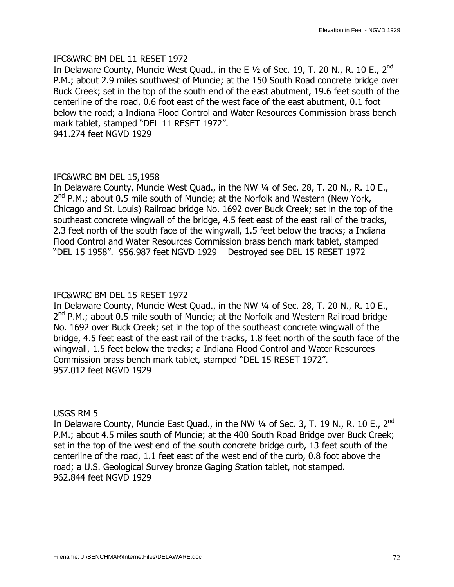### IFC&WRC BM DEL 11 RESET 1972

In Delaware County, Muncie West Quad., in the E  $1/2$  of Sec. 19, T. 20 N., R. 10 E., 2<sup>nd</sup> P.M.; about 2.9 miles southwest of Muncie; at the 150 South Road concrete bridge over Buck Creek; set in the top of the south end of the east abutment, 19.6 feet south of the centerline of the road, 0.6 foot east of the west face of the east abutment, 0.1 foot below the road; a Indiana Flood Control and Water Resources Commission brass bench mark tablet, stamped "DEL 11 RESET 1972". 941.274 feet NGVD 1929

### IFC&WRC BM DEL 15,1958

In Delaware County, Muncie West Quad., in the NW 1/4 of Sec. 28, T. 20 N., R. 10 E.,  $2^{nd}$  P.M.; about 0.5 mile south of Muncie; at the Norfolk and Western (New York, Chicago and St. Louis) Railroad bridge No. 1692 over Buck Creek; set in the top of the southeast concrete wingwall of the bridge, 4.5 feet east of the east rail of the tracks, 2.3 feet north of the south face of the wingwall, 1.5 feet below the tracks; a Indiana Flood Control and Water Resources Commission brass bench mark tablet, stamped —DEL 15 1958". 956.987 feet NGVD 1929 Destroyed see DEL 15 RESET 1972

## IFC&WRC BM DEL 15 RESET 1972

In Delaware County, Muncie West Quad., in the NW 1/4 of Sec. 28, T. 20 N., R. 10 E.,  $2^{nd}$  P.M.; about 0.5 mile south of Muncie; at the Norfolk and Western Railroad bridge No. 1692 over Buck Creek; set in the top of the southeast concrete wingwall of the bridge, 4.5 feet east of the east rail of the tracks, 1.8 feet north of the south face of the wingwall, 1.5 feet below the tracks; a Indiana Flood Control and Water Resources Commission brass bench mark tablet, stamped "DEL 15 RESET 1972". 957.012 feet NGVD 1929

### USGS RM 5

In Delaware County, Muncie East Quad., in the NW  $\frac{1}{4}$  of Sec. 3, T. 19 N., R. 10 E., 2<sup>nd</sup> P.M.; about 4.5 miles south of Muncie; at the 400 South Road Bridge over Buck Creek; set in the top of the west end of the south concrete bridge curb, 13 feet south of the centerline of the road, 1.1 feet east of the west end of the curb, 0.8 foot above the road; a U.S. Geological Survey bronze Gaging Station tablet, not stamped. 962.844 feet NGVD 1929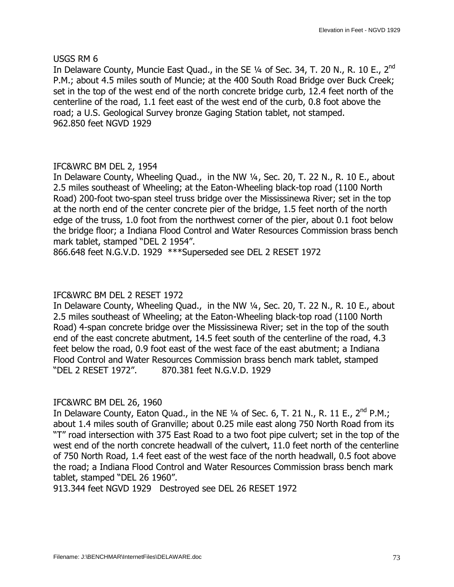USGS RM 6

In Delaware County, Muncie East Quad., in the SE 1/4 of Sec. 34, T. 20 N., R. 10 E., 2<sup>nd</sup> P.M.; about 4.5 miles south of Muncie; at the 400 South Road Bridge over Buck Creek; set in the top of the west end of the north concrete bridge curb, 12.4 feet north of the centerline of the road, 1.1 feet east of the west end of the curb, 0.8 foot above the road; a U.S. Geological Survey bronze Gaging Station tablet, not stamped. 962.850 feet NGVD 1929

# IFC&WRC BM DEL 2, 1954

In Delaware County, Wheeling Quad., in the NW 1/4, Sec. 20, T. 22 N., R. 10 E., about 2.5 miles southeast of Wheeling; at the Eaton-Wheeling black-top road (1100 North Road) 200-foot two-span steel truss bridge over the Mississinewa River; set in the top at the north end of the center concrete pier of the bridge, 1.5 feet north of the north edge of the truss, 1.0 foot from the northwest corner of the pier, about 0.1 foot below the bridge floor; a Indiana Flood Control and Water Resources Commission brass bench mark tablet, stamped "DEL 2 1954".

866.648 feet N.G.V.D. 1929 \*\*\*Superseded see DEL 2 RESET 1972

# IFC&WRC BM DEL 2 RESET 1972

In Delaware County, Wheeling Quad., in the NW 1/4, Sec. 20, T. 22 N., R. 10 E., about 2.5 miles southeast of Wheeling; at the Eaton-Wheeling black-top road (1100 North Road) 4-span concrete bridge over the Mississinewa River; set in the top of the south end of the east concrete abutment, 14.5 feet south of the centerline of the road, 4.3 feet below the road, 0.9 foot east of the west face of the east abutment; a Indiana Flood Control and Water Resources Commission brass bench mark tablet, stamped —DEL 2 RESET 1972". 870.381 feet N.G.V.D. 1929

# IFC&WRC BM DEL 26, 1960

In Delaware County, Eaton Quad., in the NE  $\frac{1}{4}$  of Sec. 6, T. 21 N., R. 11 E., 2<sup>nd</sup> P.M.; about 1.4 miles south of Granville; about 0.25 mile east along 750 North Road from its "T" road intersection with 375 East Road to a two foot pipe culvert; set in the top of the west end of the north concrete headwall of the culvert, 11.0 feet north of the centerline of 750 North Road, 1.4 feet east of the west face of the north headwall, 0.5 foot above the road; a Indiana Flood Control and Water Resources Commission brass bench mark tablet, stamped "DEL 26 1960".

913.344 feet NGVD 1929 Destroyed see DEL 26 RESET 1972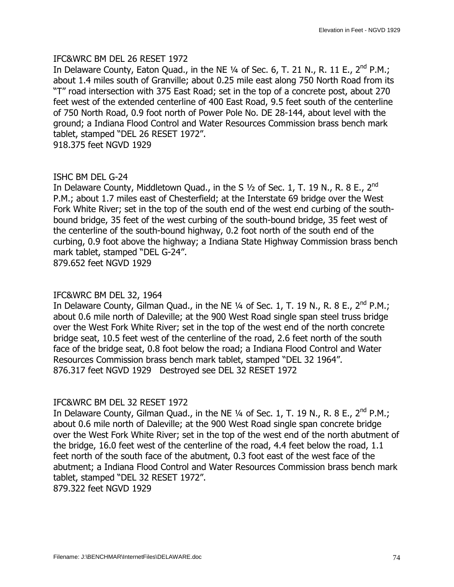#### IFC&WRC BM DEL 26 RESET 1972

In Delaware County, Eaton Quad., in the NE  $\frac{1}{4}$  of Sec. 6, T. 21 N., R. 11 E., 2<sup>nd</sup> P.M.; about 1.4 miles south of Granville; about 0.25 mile east along 750 North Road from its —T" road intersection with 375 East Road; set in the top of a concrete post, about 270 feet west of the extended centerline of 400 East Road, 9.5 feet south of the centerline of 750 North Road, 0.9 foot north of Power Pole No. DE 28-144, about level with the ground; a Indiana Flood Control and Water Resources Commission brass bench mark tablet, stamped "DEL 26 RESET 1972".

918.375 feet NGVD 1929

# ISHC BM DEL G-24

In Delaware County, Middletown Quad., in the S  $1/2$  of Sec. 1, T. 19 N., R. 8 E., 2<sup>nd</sup> P.M.; about 1.7 miles east of Chesterfield; at the Interstate 69 bridge over the West Fork White River; set in the top of the south end of the west end curbing of the southbound bridge, 35 feet of the west curbing of the south-bound bridge, 35 feet west of the centerline of the south-bound highway, 0.2 foot north of the south end of the curbing, 0.9 foot above the highway; a Indiana State Highway Commission brass bench mark tablet, stamped "DEL G-24". 879.652 feet NGVD 1929

#### IFC&WRC BM DEL 32, 1964

In Delaware County, Gilman Quad., in the NE  $\frac{1}{4}$  of Sec. 1, T. 19 N., R. 8 E., 2<sup>nd</sup> P.M.; about 0.6 mile north of Daleville; at the 900 West Road single span steel truss bridge over the West Fork White River; set in the top of the west end of the north concrete bridge seat, 10.5 feet west of the centerline of the road, 2.6 feet north of the south face of the bridge seat, 0.8 foot below the road; a Indiana Flood Control and Water Resources Commission brass bench mark tablet, stamped "DEL 32 1964". 876.317 feet NGVD 1929 Destroyed see DEL 32 RESET 1972

# IFC&WRC BM DEL 32 RESET 1972

In Delaware County, Gilman Quad., in the NE  $\frac{1}{4}$  of Sec. 1, T. 19 N., R. 8 E., 2<sup>nd</sup> P.M.; about 0.6 mile north of Daleville; at the 900 West Road single span concrete bridge over the West Fork White River; set in the top of the west end of the north abutment of the bridge, 16.0 feet west of the centerline of the road, 4.4 feet below the road, 1.1 feet north of the south face of the abutment, 0.3 foot east of the west face of the abutment; a Indiana Flood Control and Water Resources Commission brass bench mark tablet, stamped "DEL 32 RESET 1972".

879.322 feet NGVD 1929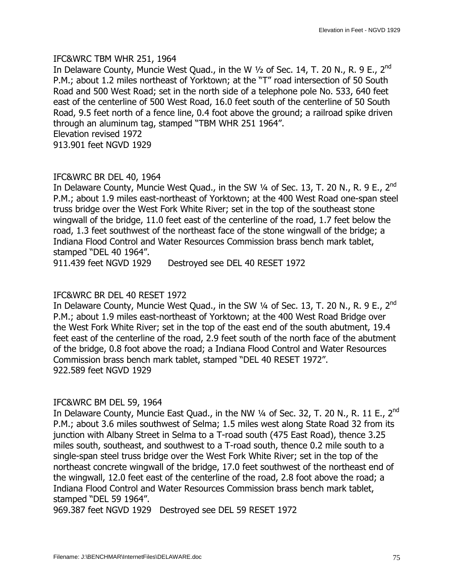#### IFC&WRC TBM WHR 251, 1964

In Delaware County, Muncie West Quad., in the W  $1/2$  of Sec. 14, T. 20 N., R. 9 E., 2<sup>nd</sup> P.M.; about 1.2 miles northeast of Yorktown; at the "T" road intersection of 50 South Road and 500 West Road; set in the north side of a telephone pole No. 533, 640 feet east of the centerline of 500 West Road, 16.0 feet south of the centerline of 50 South Road, 9.5 feet north of a fence line, 0.4 foot above the ground; a railroad spike driven through an aluminum tag, stamped "TBM WHR 251 1964". Elevation revised 1972 913.901 feet NGVD 1929

# IFC&WRC BR DEL 40, 1964

In Delaware County, Muncie West Quad., in the SW  $\frac{1}{4}$  of Sec. 13, T. 20 N., R. 9 E., 2<sup>nd</sup> P.M.; about 1.9 miles east-northeast of Yorktown; at the 400 West Road one-span steel truss bridge over the West Fork White River; set in the top of the southeast stone wingwall of the bridge, 11.0 feet east of the centerline of the road, 1.7 feet below the road, 1.3 feet southwest of the northeast face of the stone wingwall of the bridge; a Indiana Flood Control and Water Resources Commission brass bench mark tablet, stamped "DEL 40 1964".

911.439 feet NGVD 1929 Destroyed see DEL 40 RESET 1972

# IFC&WRC BR DEL 40 RESET 1972

In Delaware County, Muncie West Quad., in the SW  $\frac{1}{4}$  of Sec. 13, T. 20 N., R. 9 E., 2<sup>nd</sup> P.M.; about 1.9 miles east-northeast of Yorktown; at the 400 West Road Bridge over the West Fork White River; set in the top of the east end of the south abutment, 19.4 feet east of the centerline of the road, 2.9 feet south of the north face of the abutment of the bridge, 0.8 foot above the road; a Indiana Flood Control and Water Resources Commission brass bench mark tablet, stamped "DEL 40 RESET 1972". 922.589 feet NGVD 1929

# IFC&WRC BM DEL 59, 1964

In Delaware County, Muncie East Quad., in the NW  $\frac{1}{4}$  of Sec. 32, T. 20 N., R. 11 E., 2<sup>nd</sup> P.M.; about 3.6 miles southwest of Selma; 1.5 miles west along State Road 32 from its junction with Albany Street in Selma to a T-road south (475 East Road), thence 3.25 miles south, southeast, and southwest to a T-road south, thence 0.2 mile south to a single-span steel truss bridge over the West Fork White River; set in the top of the northeast concrete wingwall of the bridge, 17.0 feet southwest of the northeast end of the wingwall, 12.0 feet east of the centerline of the road, 2.8 foot above the road; a Indiana Flood Control and Water Resources Commission brass bench mark tablet, stamped "DEL 59 1964".

969.387 feet NGVD 1929 Destroyed see DEL 59 RESET 1972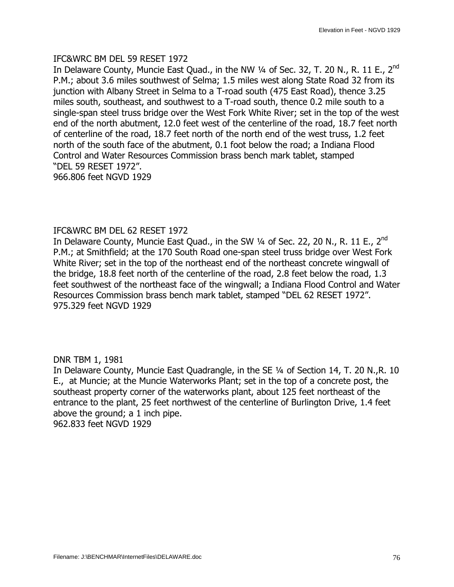#### IFC&WRC BM DEL 59 RESET 1972

In Delaware County, Muncie East Quad., in the NW 1/4 of Sec. 32, T. 20 N., R. 11 E., 2<sup>nd</sup> P.M.; about 3.6 miles southwest of Selma; 1.5 miles west along State Road 32 from its junction with Albany Street in Selma to a T-road south (475 East Road), thence 3.25 miles south, southeast, and southwest to a T-road south, thence 0.2 mile south to a single-span steel truss bridge over the West Fork White River; set in the top of the west end of the north abutment, 12.0 feet west of the centerline of the road, 18.7 feet north of centerline of the road, 18.7 feet north of the north end of the west truss, 1.2 feet north of the south face of the abutment, 0.1 foot below the road; a Indiana Flood Control and Water Resources Commission brass bench mark tablet, stamped —DEL 59 RESET 1972". 966.806 feet NGVD 1929

#### IFC&WRC BM DEL 62 RESET 1972

In Delaware County, Muncie East Quad., in the SW  $\frac{1}{4}$  of Sec. 22, 20 N., R. 11 E., 2<sup>nd</sup> P.M.; at Smithfield; at the 170 South Road one-span steel truss bridge over West Fork White River; set in the top of the northeast end of the northeast concrete wingwall of the bridge, 18.8 feet north of the centerline of the road, 2.8 feet below the road, 1.3 feet southwest of the northeast face of the wingwall; a Indiana Flood Control and Water Resources Commission brass bench mark tablet, stamped "DEL 62 RESET 1972". 975.329 feet NGVD 1929

#### DNR TBM 1, 1981

In Delaware County, Muncie East Quadrangle, in the SE 1/4 of Section 14, T. 20 N., R. 10 E., at Muncie; at the Muncie Waterworks Plant; set in the top of a concrete post, the southeast property corner of the waterworks plant, about 125 feet northeast of the entrance to the plant, 25 feet northwest of the centerline of Burlington Drive, 1.4 feet above the ground; a 1 inch pipe. 962.833 feet NGVD 1929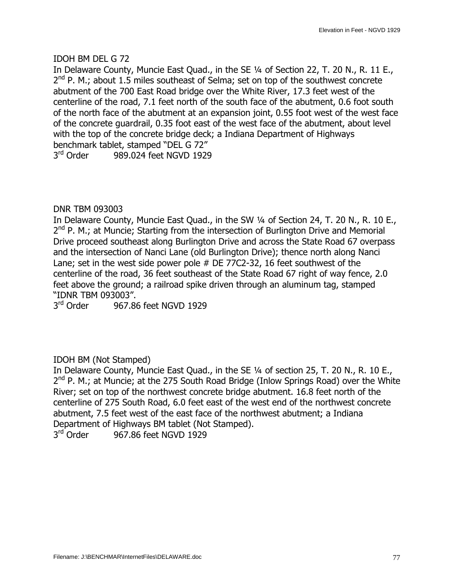# IDOH BM DEL G 72

In Delaware County, Muncie East Ouad., in the SE 1/4 of Section 22, T, 20 N., R, 11 E.,  $2^{nd}$  P. M.; about 1.5 miles southeast of Selma; set on top of the southwest concrete abutment of the 700 East Road bridge over the White River, 17.3 feet west of the centerline of the road, 7.1 feet north of the south face of the abutment, 0.6 foot south of the north face of the abutment at an expansion joint, 0.55 foot west of the west face of the concrete guardrail, 0.35 foot east of the west face of the abutment, about level with the top of the concrete bridge deck; a Indiana Department of Highways benchmark tablet, stamped "DEL G 72" 3<sup>rd</sup> Order 989.024 feet NGVD 1929

# DNR TBM 093003

In Delaware County, Muncie East Quad., in the SW 1/4 of Section 24, T. 20 N., R. 10 E.,  $2^{nd}$  P. M.; at Muncie; Starting from the intersection of Burlington Drive and Memorial Drive proceed southeast along Burlington Drive and across the State Road 67 overpass and the intersection of Nanci Lane (old Burlington Drive); thence north along Nanci Lane; set in the west side power pole # DE 77C2-32, 16 feet southwest of the centerline of the road, 36 feet southeast of the State Road 67 right of way fence, 2.0 feet above the ground; a railroad spike driven through an aluminum tag, stamped "IDNR TBM 093003".

3<sup>rd</sup> Order 967.86 feet NGVD 1929

# IDOH BM (Not Stamped)

In Delaware County, Muncie East Quad., in the SE 1/4 of section 25, T. 20 N., R. 10 E.,  $2<sup>nd</sup>$  P. M.; at Muncie; at the 275 South Road Bridge (Inlow Springs Road) over the White River; set on top of the northwest concrete bridge abutment. 16.8 feet north of the centerline of 275 South Road, 6.0 feet east of the west end of the northwest concrete abutment, 7.5 feet west of the east face of the northwest abutment; a Indiana Department of Highways BM tablet (Not Stamped).<br>3<sup>rd</sup> Order 967.86 feet NGVD 1929

967.86 feet NGVD 1929